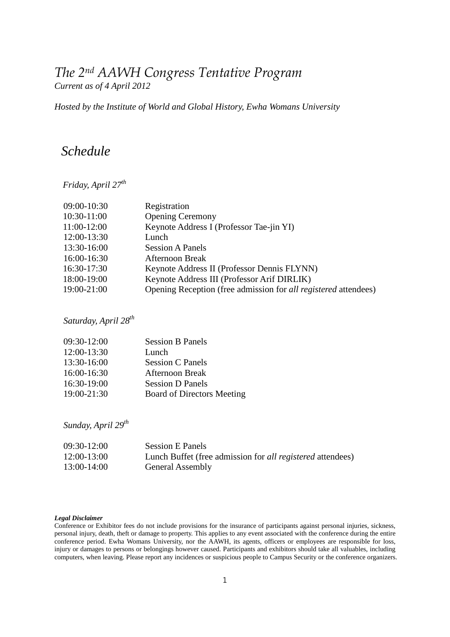# *The 2nd AAWH Congress Tentative Program Current as of 4 April 2012*

# *Hosted by the Institute of World and Global History, Ewha Womans University*

# *Schedule*

*Friday, April 27th*

| 09:00-10:30 | Registration                                                           |
|-------------|------------------------------------------------------------------------|
| 10:30-11:00 | <b>Opening Ceremony</b>                                                |
| 11:00-12:00 | Keynote Address I (Professor Tae-jin YI)                               |
| 12:00-13:30 | Lunch                                                                  |
| 13:30-16:00 | <b>Session A Panels</b>                                                |
| 16:00-16:30 | <b>Afternoon Break</b>                                                 |
| 16:30-17:30 | Keynote Address II (Professor Dennis FLYNN)                            |
| 18:00-19:00 | Keynote Address III (Professor Arif DIRLIK)                            |
| 19:00-21:00 | Opening Reception (free admission for <i>all registered</i> attendees) |
|             |                                                                        |

 *Saturday, April 28th*

| 09:30-12:00     | <b>Session B Panels</b>           |
|-----------------|-----------------------------------|
| 12:00-13:30     | Lunch                             |
| 13:30-16:00     | <b>Session C Panels</b>           |
| 16:00-16:30     | Afternoon Break                   |
| 16:30-19:00     | <b>Session D Panels</b>           |
| $19:00 - 21:30$ | <b>Board of Directors Meeting</b> |

 *Sunday, April 29th*

| $09:30-12:00$ | <b>Session E Panels</b>                                           |
|---------------|-------------------------------------------------------------------|
| 12:00-13:00   | Lunch Buffet (free admission for <i>all registered</i> attendees) |
| 13:00-14:00   | <b>General Assembly</b>                                           |

#### *Legal Disclaimer*

Conference or Exhibitor fees do not include provisions for the insurance of participants against personal injuries, sickness, personal injury, death, theft or damage to property. This applies to any event associated with the conference during the entire conference period. Ewha Womans University, nor the AAWH, its agents, officers or employees are responsible for loss, injury or damages to persons or belongings however caused. Participants and exhibitors should take all valuables, including computers, when leaving. Please report any incidences or suspicious people to Campus Security or the conference organizers.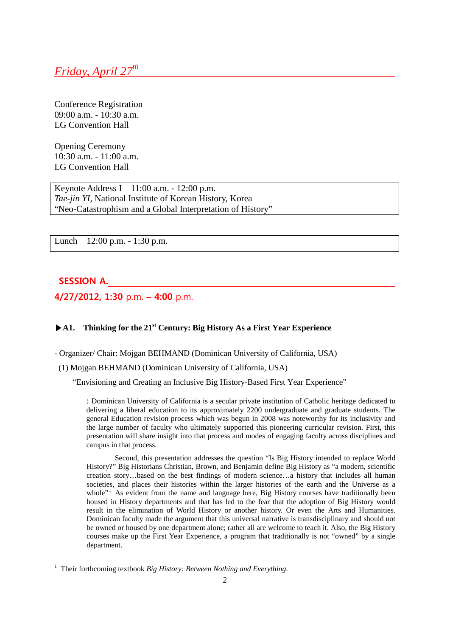# *Friday, April 27th*

Conference Registration 09:00 a.m. - 10:30 a.m. LG Convention Hall

Opening Ceremony 10:30 a.m. - 11:00 a.m. LG Convention Hall

Keynote Address I 11:00 a.m. - 12:00 p.m. *Tae-jin YI,* National Institute of Korean History, Korea "Neo-Catastrophism and a Global Interpretation of History"

Lunch 12:00 p.m. - 1:30 p.m.

# **SESSION A.**

-

**4/27/2012, 1:30** p.m. **– 4:00** p.m.

# **▶A1. Thinking for the 21st Century: Big History As a First Year Experience**

- Organizer/ Chair: Mojgan BEHMAND (Dominican University of California, USA)

(1) Mojgan BEHMAND (Dominican University of California, USA)

"Envisioning and Creating an Inclusive Big History-Based First Year Experience"

: Dominican University of California is a secular private institution of Catholic heritage dedicated to delivering a liberal education to its approximately 2200 undergraduate and graduate students. The general Education revision process which was begun in 2008 was noteworthy for its inclusivity and the large number of faculty who ultimately supported this pioneering curricular revision. First, this presentation will share insight into that process and modes of engaging faculty across disciplines and campus in that process.

Second, this presentation addresses the question "Is Big History intended to replace World History?" Big Historians Christian, Brown, and Benjamin define Big History as "a modern, scientific creation story…based on the best findings of modern science…a history that includes all human societies, and places their histories within the larger histories of the earth and the Universe as a whole"<sup>[1](#page-1-0)</sup> As evident from the name and language here, Big History courses have traditionally been housed in History departments and that has led to the fear that the adoption of Big History would result in the elimination of World History or another history. Or even the Arts and Humanities. Dominican faculty made the argument that this universal narrative is transdisciplinary and should not be owned or housed by one department alone; rather all are welcome to teach it. Also, the Big History courses make up the First Year Experience, a program that traditionally is not "owned" by a single department.

<span id="page-1-0"></span><sup>1</sup> Their forthcoming textbook *Big History: Between Nothing and Everything*.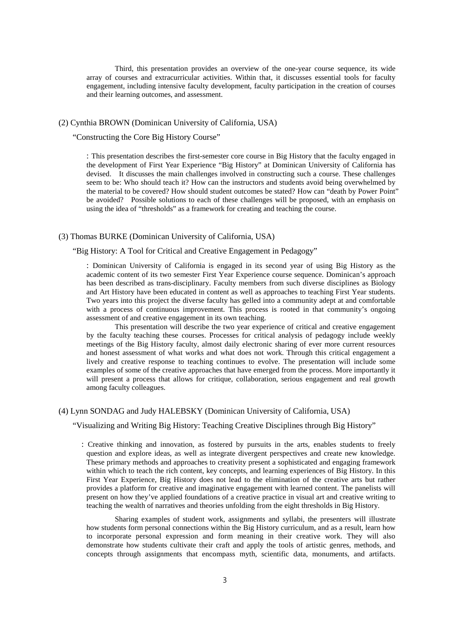Third, this presentation provides an overview of the one-year course sequence, its wide array of courses and extracurricular activities. Within that, it discusses essential tools for faculty engagement, including intensive faculty development, faculty participation in the creation of courses and their learning outcomes, and assessment.

#### (2) Cynthia BROWN (Dominican University of California, USA)

"Constructing the Core Big History Course"

: This presentation describes the first-semester core course in Big History that the faculty engaged in the development of First Year Experience "Big History" at Dominican University of California has devised. It discusses the main challenges involved in constructing such a course. These challenges seem to be: Who should teach it? How can the instructors and students avoid being overwhelmed by the material to be covered? How should student outcomes be stated? How can "death by Power Point" be avoided? Possible solutions to each of these challenges will be proposed, with an emphasis on using the idea of "thresholds" as a framework for creating and teaching the course.

## (3) Thomas BURKE (Dominican University of California, USA)

## "Big History: A Tool for Critical and Creative Engagement in Pedagogy"

: Dominican University of California is engaged in its second year of using Big History as the academic content of its two semester First Year Experience course sequence. Dominican's approach has been described as trans-disciplinary. Faculty members from such diverse disciplines as Biology and Art History have been educated in content as well as approaches to teaching First Year students. Two years into this project the diverse faculty has gelled into a community adept at and comfortable with a process of continuous improvement. This process is rooted in that community's ongoing assessment of and creative engagement in its own teaching.

This presentation will describe the two year experience of critical and creative engagement by the faculty teaching these courses. Processes for critical analysis of pedagogy include weekly meetings of the Big History faculty, almost daily electronic sharing of ever more current resources and honest assessment of what works and what does not work. Through this critical engagement a lively and creative response to teaching continues to evolve. The presentation will include some examples of some of the creative approaches that have emerged from the process. More importantly it will present a process that allows for critique, collaboration, serious engagement and real growth among faculty colleagues.

#### (4) Lynn SONDAG and Judy HALEBSKY (Dominican University of California, USA)

"Visualizing and Writing Big History: Teaching Creative Disciplines through Big History"

: Creative thinking and innovation, as fostered by pursuits in the arts, enables students to freely question and explore ideas, as well as integrate divergent perspectives and create new knowledge. These primary methods and approaches to creativity present a sophisticated and engaging framework within which to teach the rich content, key concepts, and learning experiences of Big History. In this First Year Experience, Big History does not lead to the elimination of the creative arts but rather provides a platform for creative and imaginative engagement with learned content. The panelists will present on how they've applied foundations of a creative practice in visual art and creative writing to teaching the wealth of narratives and theories unfolding from the eight thresholds in Big History.

Sharing examples of student work, assignments and syllabi, the presenters will illustrate how students form personal connections within the Big History curriculum, and as a result, learn how to incorporate personal expression and form meaning in their creative work. They will also demonstrate how students cultivate their craft and apply the tools of artistic genres, methods, and concepts through assignments that encompass myth, scientific data, monuments, and artifacts.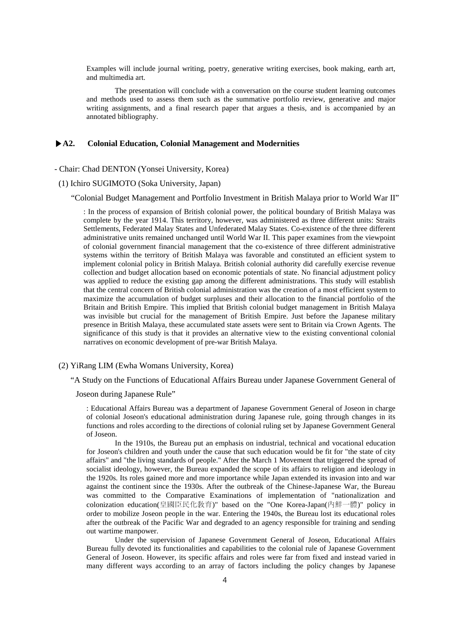Examples will include journal writing, poetry, generative writing exercises, book making, earth art, and multimedia art.

The presentation will conclude with a conversation on the course student learning outcomes and methods used to assess them such as the summative portfolio review, generative and major writing assignments, and a final research paper that argues a thesis, and is accompanied by an annotated bibliography.

## **▶A2. Colonial Education, Colonial Management and Modernities**

- Chair: Chad DENTON (Yonsei University, Korea)

(1) Ichiro SUGIMOTO (Soka University, Japan)

"Colonial Budget Management and Portfolio Investment in British Malaya prior to World War II"

: In the process of expansion of British colonial power, the political boundary of British Malaya was complete by the year 1914. This territory, however, was administered as three different units: Straits Settlements, Federated Malay States and Unfederated Malay States. Co-existence of the three different administrative units remained unchanged until World War II. This paper examines from the viewpoint of colonial government financial management that the co-existence of three different administrative systems within the territory of British Malaya was favorable and constituted an efficient system to implement colonial policy in British Malaya. British colonial authority did carefully exercise revenue collection and budget allocation based on economic potentials of state. No financial adjustment policy was applied to reduce the existing gap among the different administrations. This study will establish that the central concern of British colonial administration was the creation of a most efficient system to maximize the accumulation of budget surpluses and their allocation to the financial portfolio of the Britain and British Empire. This implied that British colonial budget management in British Malaya was invisible but crucial for the management of British Empire. Just before the Japanese military presence in British Malaya, these accumulated state assets were sent to Britain via Crown Agents. The significance of this study is that it provides an alternative view to the existing conventional colonial narratives on economic development of pre-war British Malaya.

#### (2) YiRang LIM (Ewha Womans University, Korea)

"A Study on the Functions of Educational Affairs Bureau under Japanese Government General of

Joseon during Japanese Rule"

: Educational Affairs Bureau was a department of Japanese Government General of Joseon in charge of colonial Joseon's educational administration during Japanese rule, going through changes in its functions and roles according to the directions of colonial ruling set by Japanese Government General of Joseon.

In the 1910s, the Bureau put an emphasis on industrial, technical and vocational education for Joseon's children and youth under the cause that such education would be fit for "the state of city affairs" and "the living standards of people." After the March 1 Movement that triggered the spread of socialist ideology, however, the Bureau expanded the scope of its affairs to religion and ideology in the 1920s. Its roles gained more and more importance while Japan extended its invasion into and war against the continent since the 1930s. After the outbreak of the Chinese-Japanese War, the Bureau was committed to the Comparative Examinations of implementation of "nationalization and colonization education(皇國臣民化敎育)" based on the "One Korea-Japan(內鮮一體)" policy in order to mobilize Joseon people in the war. Entering the 1940s, the Bureau lost its educational roles after the outbreak of the Pacific War and degraded to an agency responsible for training and sending out wartime manpower.

Under the supervision of Japanese Government General of Joseon, Educational Affairs Bureau fully devoted its functionalities and capabilities to the colonial rule of Japanese Government General of Joseon. However, its specific affairs and roles were far from fixed and instead varied in many different ways according to an array of factors including the policy changes by Japanese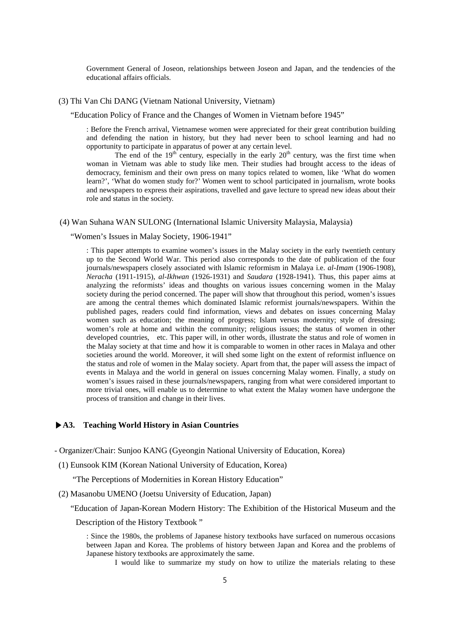Government General of Joseon, relationships between Joseon and Japan, and the tendencies of the educational affairs officials.

## (3) Thi Van Chi DANG (Vietnam National University, Vietnam)

"Education Policy of France and the Changes of Women in Vietnam before 1945"

: Before the French arrival, Vietnamese women were appreciated for their great contribution building and defending the nation in history, but they had never been to school learning and had no opportunity to participate in apparatus of power at any certain level.

The end of the  $19<sup>th</sup>$  century, especially in the early  $20<sup>th</sup>$  century, was the first time when woman in Vietnam was able to study like men. Their studies had brought access to the ideas of democracy, feminism and their own press on many topics related to women, like 'What do women learn?', 'What do women study for?' Women went to school participated in journalism, wrote books and newspapers to express their aspirations, travelled and gave lecture to spread new ideas about their role and status in the society.

#### (4) Wan Suhana WAN SULONG (International Islamic University Malaysia, Malaysia)

"Women's Issues in Malay Society, 1906-1941"

: This paper attempts to examine women's issues in the Malay society in the early twentieth century up to the Second World War. This period also corresponds to the date of publication of the four journals/newspapers closely associated with Islamic reformism in Malaya i.e. *al-Imam* (1906-1908), *Neracha* (1911-1915), *al-Ikhwan* (1926-1931) and *Saudara* (1928-1941). Thus, this paper aims at analyzing the reformists' ideas and thoughts on various issues concerning women in the Malay society during the period concerned. The paper will show that throughout this period, women's issues are among the central themes which dominated Islamic reformist journals/newspapers. Within the published pages, readers could find information, views and debates on issues concerning Malay women such as education; the meaning of progress; Islam versus modernity; style of dressing; women's role at home and within the community; religious issues; the status of women in other developed countries, etc. This paper will, in other words, illustrate the status and role of women in the Malay society at that time and how it is comparable to women in other races in Malaya and other societies around the world. Moreover, it will shed some light on the extent of reformist influence on the status and role of women in the Malay society. Apart from that, the paper will assess the impact of events in Malaya and the world in general on issues concerning Malay women. Finally, a study on women's issues raised in these journals/newspapers, ranging from what were considered important to more trivial ones, will enable us to determine to what extent the Malay women have undergone the process of transition and change in their lives.

## **▶A3. Teaching World History in Asian Countries**

- Organizer/Chair: Sunjoo KANG (Gyeongin National University of Education, Korea)
- (1) Eunsook KIM (Korean National University of Education, Korea)

"The Perceptions of Modernities in Korean History Education"

(2) Masanobu UMENO (Joetsu University of Education, Japan)

"Education of Japan-Korean Modern History: The Exhibition of the Historical Museum and the

Description of the History Textbook "

: Since the 1980s, the problems of Japanese history textbooks have surfaced on numerous occasions between Japan and Korea. The problems of history between Japan and Korea and the problems of Japanese history textbooks are approximately the same.

I would like to summarize my study on how to utilize the materials relating to these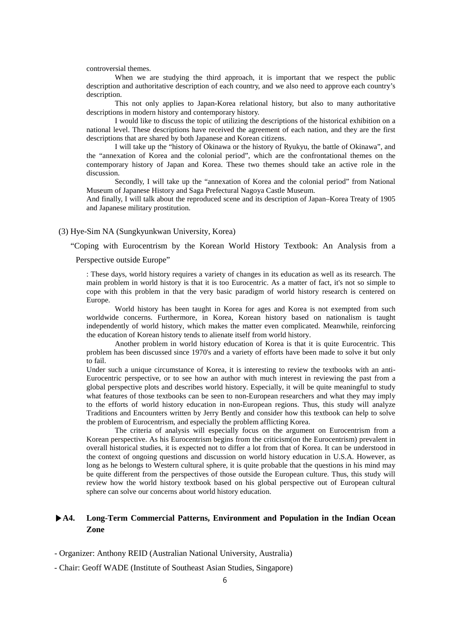controversial themes.

When we are studying the third approach, it is important that we respect the public description and authoritative description of each country, and we also need to approve each country's description.

This not only applies to Japan-Korea relational history, but also to many authoritative descriptions in modern history and contemporary history.

I would like to discuss the topic of utilizing the descriptions of the historical exhibition on a national level. These descriptions have received the agreement of each nation, and they are the first descriptions that are shared by both Japanese and Korean citizens.

I will take up the "history of Okinawa or the history of Ryukyu, the battle of Okinawa", and the "annexation of Korea and the colonial period", which are the confrontational themes on the contemporary history of Japan and Korea. These two themes should take an active role in the discussion.

Secondly, I will take up the "annexation of Korea and the colonial period" from National Museum of Japanese History and Saga Prefectural Nagoya Castle Museum.

And finally, I will talk about the reproduced scene and its description of Japan–Korea Treaty of 1905 and Japanese military prostitution.

#### (3) Hye-Sim NA (Sungkyunkwan University, Korea)

"Coping with Eurocentrism by the Korean World History Textbook: An Analysis from a

Perspective outside Europe"

: These days, world history requires a variety of changes in its education as well as its research. The main problem in world history is that it is too Eurocentric. As a matter of fact, it's not so simple to cope with this problem in that the very basic paradigm of world history research is centered on Europe.

World history has been taught in Korea for ages and Korea is not exempted from such worldwide concerns. Furthermore, in Korea, Korean history based on nationalism is taught independently of world history, which makes the matter even complicated. Meanwhile, reinforcing the education of Korean history tends to alienate itself from world history.

Another problem in world history education of Korea is that it is quite Eurocentric. This problem has been discussed since 1970's and a variety of efforts have been made to solve it but only to fail.

Under such a unique circumstance of Korea, it is interesting to review the textbooks with an anti-Eurocentric perspective, or to see how an author with much interest in reviewing the past from a global perspective plots and describes world history. Especially, it will be quite meaningful to study what features of those textbooks can be seen to non-European researchers and what they may imply to the efforts of world history education in non-European regions. Thus, this study will analyze Traditions and Encounters written by Jerry Bently and consider how this textbook can help to solve the problem of Eurocentrism, and especially the problem afflicting Korea.

The criteria of analysis will especially focus on the argument on Eurocentrism from a Korean perspective. As his Eurocentrism begins from the criticism(on the Eurocentrism) prevalent in overall historical studies, it is expected not to differ a lot from that of Korea. It can be understood in the context of ongoing questions and discussion on world history education in U.S.A. However, as long as he belongs to Western cultural sphere, it is quite probable that the questions in his mind may be quite different from the perspectives of those outside the European culture. Thus, this study will review how the world history textbook based on his global perspective out of European cultural sphere can solve our concerns about world history education.

# **▶A4. Long-Term Commercial Patterns, Environment and Population in the Indian Ocean Zone**

- Chair: Geoff WADE (Institute of Southeast Asian Studies, Singapore)

<sup>-</sup> Organizer: Anthony REID (Australian National University, Australia)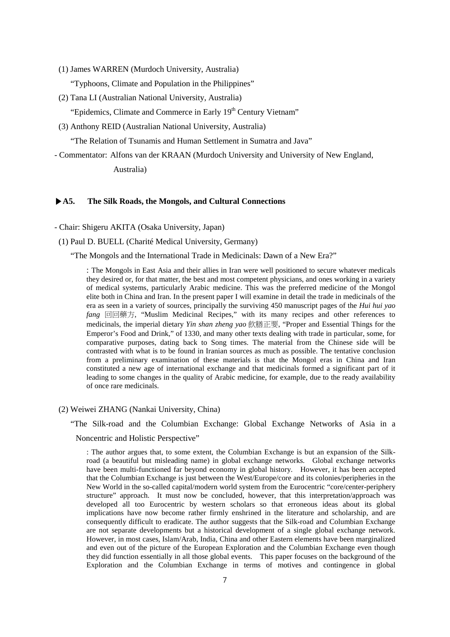- (1) James WARREN (Murdoch University, Australia) "Typhoons, Climate and Population in the Philippines"
- (2) Tana LI (Australian National University, Australia)
	- "Epidemics, Climate and Commerce in Early 19<sup>th</sup> Century Vietnam"
- (3) Anthony REID (Australian National University, Australia)

"The Relation of Tsunamis and Human Settlement in Sumatra and Java"

- Commentator: Alfons van der KRAAN (Murdoch University and University of New England, Australia)

## **▶A5. The Silk Roads, the Mongols, and Cultural Connections**

- Chair: Shigeru AKITA (Osaka University, Japan)

(1) Paul D. BUELL (Charité Medical University, Germany)

"The Mongols and the International Trade in Medicinals: Dawn of a New Era?"

: The Mongols in East Asia and their allies in Iran were well positioned to secure whatever medicals they desired or, for that matter, the best and most competent physicians, and ones working in a variety of medical systems, particularly Arabic medicine. This was the preferred medicine of the Mongol elite both in China and Iran. In the present paper I will examine in detail the trade in medicinals of the era as seen in a variety of sources, principally the surviving 450 manuscript pages of the *Hui hui yao fang* 回回藥方, "Muslim Medicinal Recipes," with its many recipes and other references to medicinals, the imperial dietary *Yin shan zheng yao* 飲膳正要, "Proper and Essential Things for the Emperor's Food and Drink," of 1330, and many other texts dealing with trade in particular, some, for comparative purposes, dating back to Song times. The material from the Chinese side will be contrasted with what is to be found in Iranian sources as much as possible. The tentative conclusion from a preliminary examination of these materials is that the Mongol eras in China and Iran constituted a new age of international exchange and that medicinals formed a significant part of it leading to some changes in the quality of Arabic medicine, for example, due to the ready availability of once rare medicinals.

(2) Weiwei ZHANG (Nankai University, China)

"The Silk-road and the Columbian Exchange: Global Exchange Networks of Asia in a

Noncentric and Holistic Perspective"

: The author argues that, to some extent, the Columbian Exchange is but an expansion of the Silkroad (a beautiful but misleading name) in global exchange networks. Global exchange networks have been multi-functioned far beyond economy in global history. However, it has been accepted that the Columbian Exchange is just between the West/Europe/core and its colonies/peripheries in the New World in the so-called capital/modern world system from the Eurocentric "core/center-periphery structure" approach. It must now be concluded, however, that this interpretation/approach was developed all too Eurocentric by western scholars so that erroneous ideas about its global implications have now become rather firmly enshrined in the literature and scholarship, and are consequently difficult to eradicate. The author suggests that the Silk-road and Columbian Exchange are not separate developments but a historical development of a single global exchange network. However, in most cases, Islam/Arab, India, China and other Eastern elements have been marginalized and even out of the picture of the European Exploration and the Columbian Exchange even though they did function essentially in all those global events. This paper focuses on the background of the Exploration and the Columbian Exchange in terms of motives and contingence in global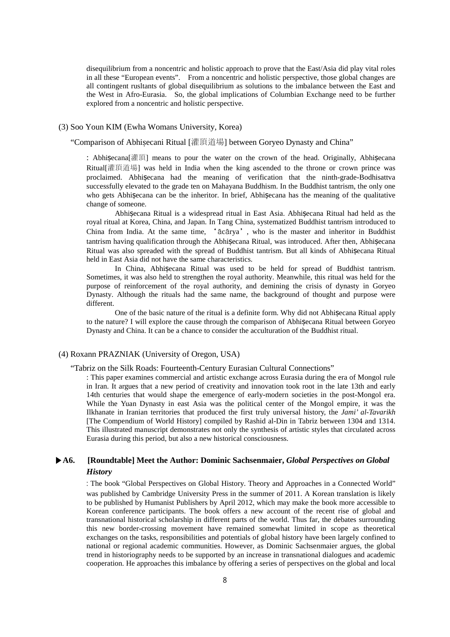disequilibrium from a noncentric and holistic approach to prove that the East/Asia did play vital roles in all these "European events". From a noncentric and holistic perspective, those global changes are all contingent rusltants of global disequilibrium as solutions to the imbalance between the East and the West in Afro-Eurasia. So, the global implications of Columbian Exchange need to be further explored from a noncentric and holistic perspective.

## (3) Soo Youn KIM (Ewha Womans University, Korea)

"Comparison of Abhiṣecani Ritual [灌頂道場] between Goryeo Dynasty and China"

: Abhiṣecana[灌頂] means to pour the water on the crown of the head. Originally, Abhiṣecana Ritual[灌頂道場] was held in India when the king ascended to the throne or crown prince was proclaimed. Abhiṣecana had the meaning of verification that the ninth-grade-Bodhisattva successfully elevated to the grade ten on Mahayana Buddhism. In the Buddhist tantrism, the only one who gets Abhisecana can be the inheritor. In brief, Abhisecana has the meaning of the qualitative change of someone.

Abhiṣecana Ritual is a widespread ritual in East Asia. Abhiṣecana Ritual had held as the royal ritual at Korea, China, and Japan. In Tang China, systematized Buddhist tantrism introduced to China from India. At the same time, 'ācārya', who is the master and inheritor in Buddhist tantrism having qualification through the Abhiṣecana Ritual, was introduced. After then, Abhiṣecana Ritual was also spreaded with the spread of Buddhist tantrism. But all kinds of Abhisecana Ritual held in East Asia did not have the same characteristics.

In China, Abhisecana Ritual was used to be held for spread of Buddhist tantrism. Sometimes, it was also held to strengthen the royal authority. Meanwhile, this ritual was held for the purpose of reinforcement of the royal authority, and demining the crisis of dynasty in Goryeo Dynasty. Although the rituals had the same name, the background of thought and purpose were different.

One of the basic nature of the ritual is a definite form. Why did not Abhiṣecana Ritual apply to the nature? I will explore the cause through the comparison of Abhiṣecana Ritual between Goryeo Dynasty and China. It can be a chance to consider the acculturation of the Buddhist ritual.

## (4) Roxann PRAZNIAK (University of Oregon, USA)

"Tabriz on the Silk Roads: Fourteenth-Century Eurasian Cultural Connections"

: This paper examines commercial and artistic exchange across Eurasia during the era of Mongol rule in Iran. It argues that a new period of creativity and innovation took root in the late 13th and early 14th centuries that would shape the emergence of early-modern societies in the post-Mongol era. While the Yuan Dynasty in east Asia was the political center of the Mongol empire, it was the Ilkhanate in Iranian territories that produced the first truly universal history, the *Jami' al-Tavarikh*  [The Compendium of World History] compiled by Rashid al-Din in Tabriz between 1304 and 1314. This illustrated manuscript demonstrates not only the synthesis of artistic styles that circulated across Eurasia during this period, but also a new historical consciousness.

# **▶A6. [Roundtable] Meet the Author: Dominic Sachsenmaier,** *Global Perspectives on Global History*

: The book "Global Perspectives on Global History. Theory and Approaches in a Connected World" was published by Cambridge University Press in the summer of 2011. A Korean translation is likely to be published by Humanist Publishers by April 2012, which may make the book more accessible to Korean conference participants. The book offers a new account of the recent rise of global and transnational historical scholarship in different parts of the world. Thus far, the debates surrounding this new border-crossing movement have remained somewhat limited in scope as theoretical exchanges on the tasks, responsibilities and potentials of global history have been largely confined to national or regional academic communities. However, as Dominic Sachsenmaier argues, the global trend in historiography needs to be supported by an increase in transnational dialogues and academic cooperation. He approaches this imbalance by offering a series of perspectives on the global and local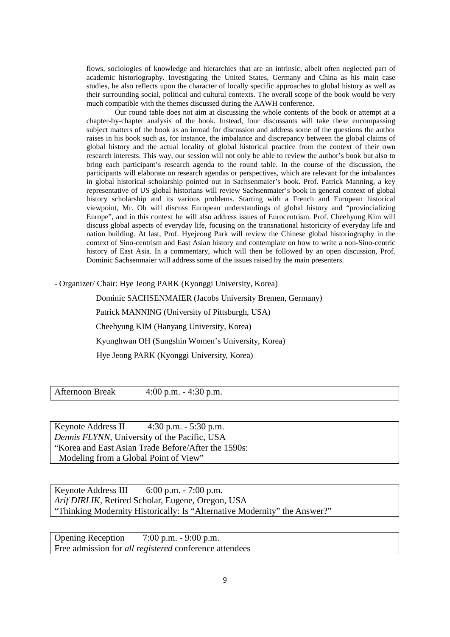flows, sociologies of knowledge and hierarchies that are an intrinsic, albeit often neglected part of academic historiography. Investigating the United States, Germany and China as his main case studies, he also reflects upon the character of locally specific approaches to global history as well as their surrounding social, political and cultural contexts. The overall scope of the book would be very much compatible with the themes discussed during the AAWH conference.

Our round table does not aim at discussing the whole contents of the book or attempt at a chapter-by-chapter analysis of the book. Instead, four discussants will take these encompassing subject matters of the book as an inroad for discussion and address some of the questions the author raises in his book such as, for instance, the imbalance and discrepancy between the global claims of global history and the actual locality of global historical practice from the context of their own research interests. This way, our session will not only be able to review the author's book but also to bring each participant's research agenda to the round table. In the course of the discussion, the participants will elaborate on research agendas or perspectives, which are relevant for the imbalances in global historical scholarship pointed out in Sachsenmaier's book. Prof. Patrick Manning, a key representative of US global historians will review Sachsenmaier's book in general context of global history scholarship and its various problems. Starting with a French and European historical viewpoint, Mr. Oh will discuss European understandings of global history and "provincializing Europe", and in this context he will also address issues of Eurocentrism. Prof. Cheehyung Kim will discuss global aspects of everyday life, focusing on the transnational historicity of everyday life and nation building. At last, Prof. Hyejeong Park will review the Chinese global historiography in the context of Sino-centrism and East Asian history and contemplate on how to write a non-Sino-centric history of East Asia. In a commentary, which will then be followed by an open discussion, Prof. Dominic Sachsenmaier will address some of the issues raised by the main presenters.

- Organizer/ Chair: Hye Jeong PARK (Kyonggi University, Korea)

Dominic SACHSENMAIER (Jacobs University Bremen, Germany) Patrick MANNING (University of Pittsburgh, USA) Cheehyung KIM (Hanyang University, Korea) Kyunghwan OH (Sungshin Women's University, Korea) Hye Jeong PARK (Kyonggi University, Korea)

Afternoon Break 4:00 p.m. - 4:30 p.m.

Keynote Address II 4:30 p.m. - 5:30 p.m. *Dennis FLYNN,* University of the Pacific, USA "Korea and East Asian Trade Before/After the 1590s: Modeling from a Global Point of View"

Keynote Address III 6:00 p.m. - 7:00 p.m. *Arif DIRLIK,* Retired Scholar, Eugene, Oregon, USA "Thinking Modernity Historically: Is "Alternative Modernity" the Answer?"

Opening Reception 7:00 p.m. - 9:00 p.m. Free admission for *all registered* conference attendees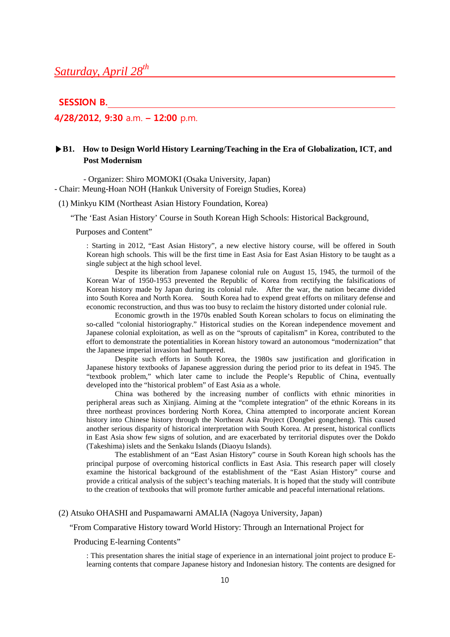## **SESSION B.**

# **4/28/2012, 9:30** a.m. **– 12:00** p.m.

# **▶B1. How to Design World History Learning/Teaching in the Era of Globalization, ICT, and Post Modernism**

- Organizer: Shiro MOMOKI (Osaka University, Japan)

- Chair: Meung-Hoan NOH (Hankuk University of Foreign Studies, Korea)

(1) Minkyu KIM (Northeast Asian History Foundation, Korea)

"The 'East Asian History' Course in South Korean High Schools: Historical Background,

Purposes and Content"

: Starting in 2012, "East Asian History", a new elective history course, will be offered in South Korean high schools. This will be the first time in East Asia for East Asian History to be taught as a single subject at the high school level.

Despite its liberation from Japanese colonial rule on August 15, 1945, the turmoil of the Korean War of 1950-1953 prevented the Republic of Korea from rectifying the falsifications of Korean history made by Japan during its colonial rule. After the war, the nation became divided into South Korea and North Korea. South Korea had to expend great efforts on military defense and economic reconstruction, and thus was too busy to reclaim the history distorted under colonial rule.

Economic growth in the 1970s enabled South Korean scholars to focus on eliminating the so-called "colonial historiography." Historical studies on the Korean independence movement and Japanese colonial exploitation, as well as on the "sprouts of capitalism" in Korea, contributed to the effort to demonstrate the potentialities in Korean history toward an autonomous "modernization" that the Japanese imperial invasion had hampered.

Despite such efforts in South Korea, the 1980s saw justification and glorification in Japanese history textbooks of Japanese aggression during the period prior to its defeat in 1945. The "textbook problem," which later came to include the People's Republic of China, eventually developed into the "historical problem" of East Asia as a whole.

China was bothered by the increasing number of conflicts with ethnic minorities in peripheral areas such as Xinjiang. Aiming at the "complete integration" of the ethnic Koreans in its three northeast provinces bordering North Korea, China attempted to incorporate ancient Korean history into Chinese history through the Northeast Asia Project (Dongbei gongcheng). This caused another serious disparity of historical interpretation with South Korea. At present, historical conflicts in East Asia show few signs of solution, and are exacerbated by territorial disputes over the Dokdo (Takeshima) islets and the Senkaku Islands (Diaoyu Islands).

The establishment of an "East Asian History" course in South Korean high schools has the principal purpose of overcoming historical conflicts in East Asia. This research paper will closely examine the historical background of the establishment of the "East Asian History" course and provide a critical analysis of the subject's teaching materials. It is hoped that the study will contribute to the creation of textbooks that will promote further amicable and peaceful international relations.

## (2) Atsuko OHASHI and Puspamawarni AMALIA (Nagoya University, Japan)

## "From Comparative History toward World History: Through an International Project for

Producing E-learning Contents"

: This presentation shares the initial stage of experience in an international joint project to produce Elearning contents that compare Japanese history and Indonesian history. The contents are designed for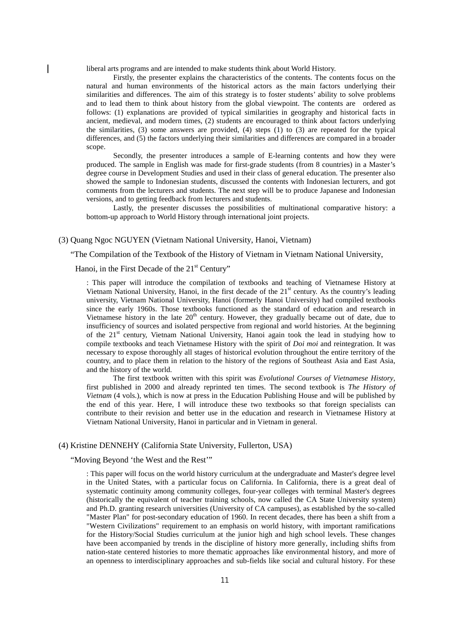liberal arts programs and are intended to make students think about World History.

Firstly, the presenter explains the characteristics of the contents. The contents focus on the natural and human environments of the historical actors as the main factors underlying their similarities and differences. The aim of this strategy is to foster students' ability to solve problems and to lead them to think about history from the global viewpoint. The contents are ordered as follows: (1) explanations are provided of typical similarities in geography and historical facts in ancient, medieval, and modern times, (2) students are encouraged to think about factors underlying the similarities, (3) some answers are provided, (4) steps (1) to (3) are repeated for the typical differences, and (5) the factors underlying their similarities and differences are compared in a broader scope.

Secondly, the presenter introduces a sample of E-learning contents and how they were produced. The sample in English was made for first-grade students (from 8 countries) in a Master's degree course in Development Studies and used in their class of general education. The presenter also showed the sample to Indonesian students, discussed the contents with Indonesian lecturers, and got comments from the lecturers and students. The next step will be to produce Japanese and Indonesian versions, and to getting feedback from lecturers and students.

Lastly, the presenter discusses the possibilities of multinational comparative history: a bottom-up approach to World History through international joint projects.

#### (3) Quang Ngoc NGUYEN (Vietnam National University, Hanoi, Vietnam)

"The Compilation of the Textbook of the History of Vietnam in Vietnam National University,

## Hanoi, in the First Decade of the 21<sup>st</sup> Century"

: This paper will introduce the compilation of textbooks and teaching of Vietnamese History at Vietnam National University, Hanoi, in the first decade of the 21<sup>st</sup> century. As the country's leading university, Vietnam National University, Hanoi (formerly Hanoi University) had compiled textbooks since the early 1960s. Those textbooks functioned as the standard of education and research in Vietnamese history in the late  $20<sup>th</sup>$  century. However, they gradually became out of date, due to insufficiency of sources and isolated perspective from regional and world histories. At the beginning of the 21<sup>st</sup> century, Vietnam National University, Hanoi again took the lead in studying how to compile textbooks and teach Vietnamese History with the spirit of *Doi moi* and reintegration. It was necessary to expose thoroughly all stages of historical evolution throughout the entire territory of the country, and to place them in relation to the history of the regions of Southeast Asia and East Asia, and the history of the world.

 The first textbook written with this spirit was *Evolutional Courses of Vietnamese History*, first published in 2000 and already reprinted ten times. The second textbook is *The History of Vietnam* (4 vols.), which is now at press in the Education Publishing House and will be published by the end of this year. Here, I will introduce these two textbooks so that foreign specialists can contribute to their revision and better use in the education and research in Vietnamese History at Vietnam National University, Hanoi in particular and in Vietnam in general.

## (4) Kristine DENNEHY (California State University, Fullerton, USA)

## "Moving Beyond 'the West and the Rest'"

: This paper will focus on the world history curriculum at the undergraduate and Master's degree level in the United States, with a particular focus on California. In California, there is a great deal of systematic continuity among community colleges, four-year colleges with terminal Master's degrees (historically the equivalent of teacher training schools, now called the CA State University system) and Ph.D. granting research universities (University of CA campuses), as established by the so-called "Master Plan" for post-secondary education of 1960. In recent decades, there has been a shift from a "Western Civilizations" requirement to an emphasis on world history, with important ramifications for the History/Social Studies curriculum at the junior high and high school levels. These changes have been accompanied by trends in the discipline of history more generally, including shifts from nation-state centered histories to more thematic approaches like environmental history, and more of an openness to interdisciplinary approaches and sub-fields like social and cultural history. For these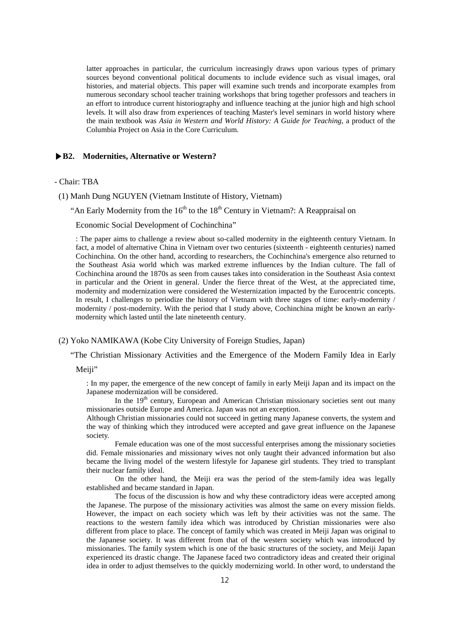latter approaches in particular, the curriculum increasingly draws upon various types of primary sources beyond conventional political documents to include evidence such as visual images, oral histories, and material objects. This paper will examine such trends and incorporate examples from numerous secondary school teacher training workshops that bring together professors and teachers in an effort to introduce current historiography and influence teaching at the junior high and high school levels. It will also draw from experiences of teaching Master's level seminars in world history where the main textbook was *Asia in Western and World History: A Guide for Teaching*, a product of the Columbia Project on Asia in the Core Curriculum.

#### **▶B2. Modernities, Alternative or Western?**

## - Chair: TBA

- (1) Manh Dung NGUYEN (Vietnam Institute of History, Vietnam)
	- "An Early Modernity from the  $16<sup>th</sup>$  to the  $18<sup>th</sup>$  Century in Vietnam?: A Reappraisal on

Economic Social Development of Cochinchina"

: The paper aims to challenge a review about so-called modernity in the eighteenth century Vietnam. In fact, a model of alternative China in Vietnam over two centuries (sixteenth - eighteenth centuries) named Cochinchina. On the other hand, according to researchers, the Cochinchina's emergence also returned to the Southeast Asia world which was marked extreme influences by the Indian culture. The fall of Cochinchina around the 1870s as seen from causes takes into consideration in the Southeast Asia context in particular and the Orient in general. Under the fierce threat of the West, at the appreciated time, modernity and modernization were considered the Westernization impacted by the Eurocentric concepts. In result, I challenges to periodize the history of Vietnam with three stages of time: early-modernity / modernity / post-modernity. With the period that I study above, Cochinchina might be known an earlymodernity which lasted until the late nineteenth century.

#### (2) Yoko NAMIKAWA (Kobe City University of Foreign Studies, Japan)

"The Christian Missionary Activities and the Emergence of the Modern Family Idea in Early

Meiii"

: In my paper, the emergence of the new concept of family in early Meiji Japan and its impact on the Japanese modernization will be considered.

In the 19<sup>th</sup> century, European and American Christian missionary societies sent out many missionaries outside Europe and America. Japan was not an exception.

Although Christian missionaries could not succeed in getting many Japanese converts, the system and the way of thinking which they introduced were accepted and gave great influence on the Japanese society.

Female education was one of the most successful enterprises among the missionary societies did. Female missionaries and missionary wives not only taught their advanced information but also became the living model of the western lifestyle for Japanese girl students. They tried to transplant their nuclear family ideal.

On the other hand, the Meiji era was the period of the stem-family idea was legally established and became standard in Japan.

The focus of the discussion is how and why these contradictory ideas were accepted among the Japanese. The purpose of the missionary activities was almost the same on every mission fields. However, the impact on each society which was left by their activities was not the same. The reactions to the western family idea which was introduced by Christian missionaries were also different from place to place. The concept of family which was created in Meiji Japan was original to the Japanese society. It was different from that of the western society which was introduced by missionaries. The family system which is one of the basic structures of the society, and Meiji Japan experienced its drastic change. The Japanese faced two contradictory ideas and created their original idea in order to adjust themselves to the quickly modernizing world. In other word, to understand the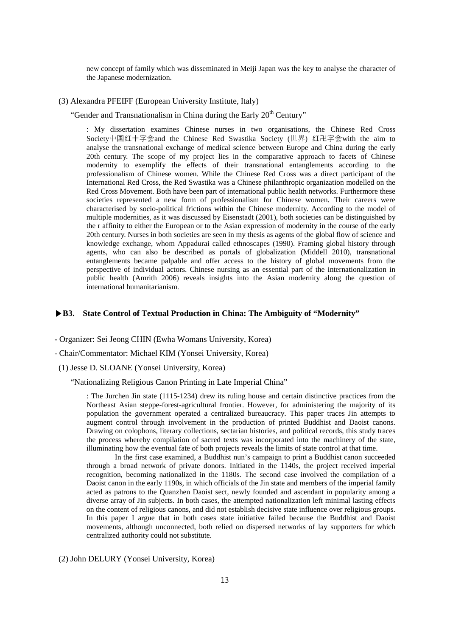new concept of family which was disseminated in Meiji Japan was the key to analyse the character of the Japanese modernization.

## (3) Alexandra PFEIFF (European University Institute, Italy)

"Gender and Transnationalism in China during the Early  $20<sup>th</sup>$  Century"

: My dissertation examines Chinese nurses in two organisations, the Chinese Red Cross Society中国红十字会and the Chinese Red Swastika Society (世界) 红卍字会with the aim to analyse the transnational exchange of medical science between Europe and China during the early 20th century. The scope of my project lies in the comparative approach to facets of Chinese modernity to exemplify the effects of their transnational entanglements according to the professionalism of Chinese women. While the Chinese Red Cross was a direct participant of the International Red Cross, the Red Swastika was a Chinese philanthropic organization modelled on the Red Cross Movement. Both have been part of international public health networks. Furthermore these societies represented a new form of professionalism for Chinese women. Their careers were characterised by socio-political frictions within the Chinese modernity. According to the model of multiple modernities, as it was discussed by Eisenstadt (2001), both societies can be distinguished by the r affinity to either the European or to the Asian expression of modernity in the course of the early 20th century. Nurses in both societies are seen in my thesis as agents of the global flow of science and knowledge exchange, whom Appadurai called ethnoscapes (1990). Framing global history through agents, who can also be described as portals of globalization (Middell 2010), transnational entanglements became palpable and offer access to the history of global movements from the perspective of individual actors. Chinese nursing as an essential part of the internationalization in public health (Amrith 2006) reveals insights into the Asian modernity along the question of international humanitarianism.

## **▶B3. State Control of Textual Production in China: The Ambiguity of "Modernity"**

**-** Organizer: Sei Jeong CHIN (Ewha Womans University, Korea)

- Chair/Commentator: Michael KIM (Yonsei University, Korea)
- (1) Jesse D. SLOANE (Yonsei University, Korea)

"Nationalizing Religious Canon Printing in Late Imperial China"

: The Jurchen Jin state (1115-1234) drew its ruling house and certain distinctive practices from the Northeast Asian steppe-forest-agricultural frontier. However, for administering the majority of its population the government operated a centralized bureaucracy. This paper traces Jin attempts to augment control through involvement in the production of printed Buddhist and Daoist canons. Drawing on colophons, literary collections, sectarian histories, and political records, this study traces the process whereby compilation of sacred texts was incorporated into the machinery of the state, illuminating how the eventual fate of both projects reveals the limits of state control at that time.

In the first case examined, a Buddhist nun's campaign to print a Buddhist canon succeeded through a broad network of private donors. Initiated in the 1140s, the project received imperial recognition, becoming nationalized in the 1180s. The second case involved the compilation of a Daoist canon in the early 1190s, in which officials of the Jin state and members of the imperial family acted as patrons to the Quanzhen Daoist sect, newly founded and ascendant in popularity among a diverse array of Jin subjects. In both cases, the attempted nationalization left minimal lasting effects on the content of religious canons, and did not establish decisive state influence over religious groups. In this paper I argue that in both cases state initiative failed because the Buddhist and Daoist movements, although unconnected, both relied on dispersed networks of lay supporters for which centralized authority could not substitute.

(2) John DELURY (Yonsei University, Korea)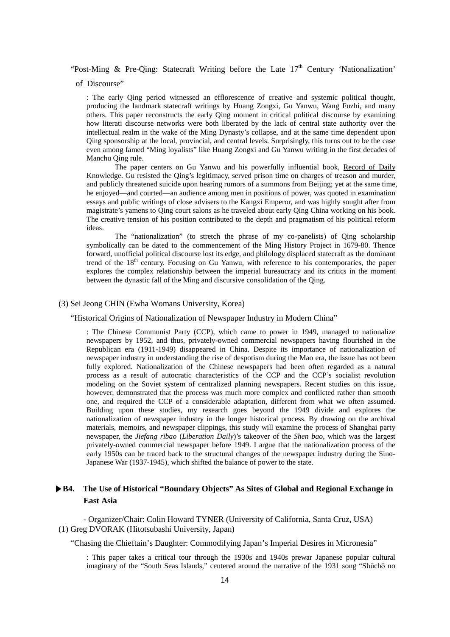"Post-Ming & Pre-Qing: Statecraft Writing before the Late  $17<sup>th</sup>$  Century 'Nationalization'

of Discourse"

: The early Qing period witnessed an efflorescence of creative and systemic political thought, producing the landmark statecraft writings by Huang Zongxi, Gu Yanwu, Wang Fuzhi, and many others. This paper reconstructs the early Qing moment in critical political discourse by examining how literati discourse networks were both liberated by the lack of central state authority over the intellectual realm in the wake of the Ming Dynasty's collapse, and at the same time dependent upon Qing sponsorship at the local, provincial, and central levels. Surprisingly, this turns out to be the case even among famed "Ming loyalists" like Huang Zongxi and Gu Yanwu writing in the first decades of Manchu Qing rule.

The paper centers on Gu Yanwu and his powerfully influential book, Record of Daily Knowledge. Gu resisted the Qing's legitimacy, served prison time on charges of treason and murder, and publicly threatened suicide upon hearing rumors of a summons from Beijing; yet at the same time, he enjoyed—and courted—an audience among men in positions of power, was quoted in examination essays and public writings of close advisers to the Kangxi Emperor, and was highly sought after from magistrate's yamens to Qing court salons as he traveled about early Qing China working on his book. The creative tension of his position contributed to the depth and pragmatism of his political reform ideas.

The "nationalization" (to stretch the phrase of my co-panelists) of Qing scholarship symbolically can be dated to the commencement of the Ming History Project in 1679-80. Thence forward, unofficial political discourse lost its edge, and philology displaced statecraft as the dominant trend of the 18<sup>th</sup> century. Focusing on Gu Yanwu, with reference to his contemporaries, the paper explores the complex relationship between the imperial bureaucracy and its critics in the moment between the dynastic fall of the Ming and discursive consolidation of the Qing.

## (3) Sei Jeong CHIN (Ewha Womans University, Korea)

"Historical Origins of Nationalization of Newspaper Industry in Modern China"

: The Chinese Communist Party (CCP), which came to power in 1949, managed to nationalize newspapers by 1952, and thus, privately-owned commercial newspapers having flourished in the Republican era (1911-1949) disappeared in China. Despite its importance of nationalization of newspaper industry in understanding the rise of despotism during the Mao era, the issue has not been fully explored. Nationalization of the Chinese newspapers had been often regarded as a natural process as a result of autocratic characteristics of the CCP and the CCP's socialist revolution modeling on the Soviet system of centralized planning newspapers. Recent studies on this issue, however, demonstrated that the process was much more complex and conflicted rather than smooth one, and required the CCP of a considerable adaptation, different from what we often assumed. Building upon these studies, my research goes beyond the 1949 divide and explores the nationalization of newspaper industry in the longer historical process. By drawing on the archival materials, memoirs, and newspaper clippings, this study will examine the process of Shanghai party newspaper, the *Jiefang ribao* (*Liberation Daily*)'s takeover of the *Shen bao*, which was the largest privately-owned commercial newspaper before 1949. I argue that the nationalization process of the early 1950s can be traced back to the structural changes of the newspaper industry during the Sino-Japanese War (1937-1945), which shifted the balance of power to the state.

# **▶B4. The Use of Historical "Boundary Objects" As Sites of Global and Regional Exchange in East Asia**

- Organizer/Chair: Colin Howard TYNER (University of California, Santa Cruz, USA) (1) Greg DVORAK (Hitotsubashi University, Japan)

"Chasing the Chieftain's Daughter: Commodifying Japan's Imperial Desires in Micronesia"

: This paper takes a critical tour through the 1930s and 1940s prewar Japanese popular cultural imaginary of the "South Seas Islands," centered around the narrative of the 1931 song "Shūchō no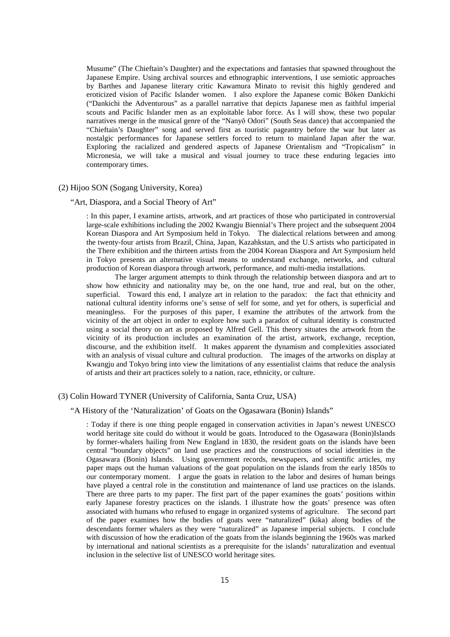Musume" (The Chieftain's Daughter) and the expectations and fantasies that spawned throughout the Japanese Empire. Using archival sources and ethnographic interventions, I use semiotic approaches by Barthes and Japanese literary critic Kawamura Minato to revisit this highly gendered and eroticized vision of Pacific Islander women. I also explore the Japanese comic Bōken Dankichi ("Dankichi the Adventurous" as a parallel narrative that depicts Japanese men as faithful imperial scouts and Pacific Islander men as an exploitable labor force. As I will show, these two popular narratives merge in the musical genre of the "Nanyō Odori" (South Seas dance) that accompanied the "Chieftain's Daughter" song and served first as touristic pageantry before the war but later as nostalgic performances for Japanese settlers forced to return to mainland Japan after the war. Exploring the racialized and gendered aspects of Japanese Orientalism and "Tropicalism" in Micronesia, we will take a musical and visual journey to trace these enduring legacies into contemporary times.

## (2) Hijoo SON (Sogang University, Korea)

#### "Art, Diaspora, and a Social Theory of Art"

: In this paper, I examine artists, artwork, and art practices of those who participated in controversial large-scale exhibitions including the 2002 Kwangju Biennial's There project and the subsequent 2004 Korean Diaspora and Art Symposium held in Tokyo. The dialectical relations between and among the twenty-four artists from Brazil, China, Japan, Kazahkstan, and the U.S artists who participated in the There exhibition and the thirteen artists from the 2004 Korean Diaspora and Art Symposium held in Tokyo presents an alternative visual means to understand exchange, networks, and cultural production of Korean diaspora through artwork, performance, and multi-media installations.

The larger argument attempts to think through the relationship between diaspora and art to show how ethnicity and nationality may be, on the one hand, true and real, but on the other, superficial. Toward this end, I analyze art in relation to the paradox: the fact that ethnicity and national cultural identity informs one's sense of self for some, and yet for others, is superficial and meaningless. For the purposes of this paper, I examine the attributes of the artwork from the vicinity of the art object in order to explore how such a paradox of cultural identity is constructed using a social theory on art as proposed by Alfred Gell. This theory situates the artwork from the vicinity of its production includes an examination of the artist, artwork, exchange, reception, discourse, and the exhibition itself. It makes apparent the dynamism and complexities associated with an analysis of visual culture and cultural production. The images of the artworks on display at Kwangju and Tokyo bring into view the limitations of any essentialist claims that reduce the analysis of artists and their art practices solely to a nation, race, ethnicity, or culture.

## (3) Colin Howard TYNER (University of California, Santa Cruz, USA)

## "A History of the 'Naturalization' of Goats on the Ogasawara (Bonin) Islands"

: Today if there is one thing people engaged in conservation activities in Japan's newest UNESCO world heritage site could do without it would be goats. Introduced to the Ogasawara (Bonin)Islands by former-whalers hailing from New England in 1830, the resident goats on the islands have been central "boundary objects" on land use practices and the constructions of social identities in the Ogasawara (Bonin) Islands. Using government records, newspapers, and scientific articles, my paper maps out the human valuations of the goat population on the islands from the early 1850s to our contemporary moment. I argue the goats in relation to the labor and desires of human beings have played a central role in the constitution and maintenance of land use practices on the islands. There are three parts to my paper. The first part of the paper examines the goats' positions within early Japanese forestry practices on the islands. I illustrate how the goats' presence was often associated with humans who refused to engage in organized systems of agriculture. The second part of the paper examines how the bodies of goats were "naturalized" (kika) along bodies of the descendants former whalers as they were "naturalized" as Japanese imperial subjects. I conclude with discussion of how the eradication of the goats from the islands beginning the 1960s was marked by international and national scientists as a prerequisite for the islands' naturalization and eventual inclusion in the selective list of UNESCO world heritage sites.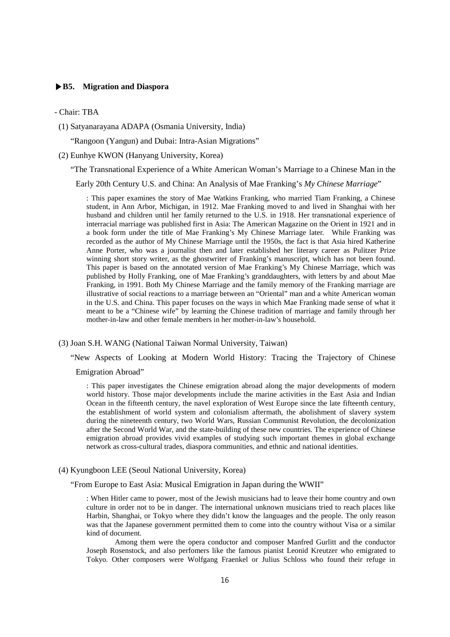## **▶B5. Migration and Diaspora**

#### - Chair: TBA

(1) Satyanarayana ADAPA (Osmania University, India)

"Rangoon (Yangun) and Dubai: Intra-Asian Migrations"

(2) Eunhye KWON (Hanyang University, Korea)

"The Transnational Experience of a White American Woman's Marriage to a Chinese Man in the

Early 20th Century U.S. and China: An Analysis of Mae Franking's *My Chinese Marriage*"

: This paper examines the story of Mae Watkins Franking, who married Tiam Franking, a Chinese student, in Ann Arbor, Michigan, in 1912. Mae Franking moved to and lived in Shanghai with her husband and children until her family returned to the U.S. in 1918. Her transnational experience of interracial marriage was published first in Asia: The American Magazine on the Orient in 1921 and in a book form under the title of Mae Franking's My Chinese Marriage later. While Franking was recorded as the author of My Chinese Marriage until the 1950s, the fact is that Asia hired Katherine Anne Porter, who was a journalist then and later established her literary career as Pulitzer Prize winning short story writer, as the ghostwriter of Franking's manuscript, which has not been found. This paper is based on the annotated version of Mae Franking's My Chinese Marriage, which was published by Holly Franking, one of Mae Franking's granddaughters, with letters by and about Mae Franking, in 1991. Both My Chinese Marriage and the family memory of the Franking marriage are illustrative of social reactions to a marriage between an "Oriental" man and a white American woman in the U.S. and China. This paper focuses on the ways in which Mae Franking made sense of what it meant to be a "Chinese wife" by learning the Chinese tradition of marriage and family through her mother-in-law and other female members in her mother-in-law's household.

(3) Joan S.H. WANG (National Taiwan Normal University, Taiwan)

"New Aspects of Looking at Modern World History: Tracing the Trajectory of Chinese

#### Emigration Abroad"

: This paper investigates the Chinese emigration abroad along the major developments of modern world history. Those major developments include the marine activities in the East Asia and Indian Ocean in the fifteenth century, the navel exploration of West Europe since the late fifteenth century, the establishment of world system and colonialism aftermath, the abolishment of slavery system during the nineteenth century, two World Wars, Russian Communist Revolution, the decolonization after the Second World War, and the state-building of these new countries. The experience of Chinese emigration abroad provides vivid examples of studying such important themes in global exchange network as cross-cultural trades, diaspora communities, and ethnic and national identities.

(4) Kyungboon LEE (Seoul National University, Korea)

"From Europe to East Asia: Musical Emigration in Japan during the WWII"

: When Hitler came to power, most of the Jewish musicians had to leave their home country and own culture in order not to be in danger. The international unknown musicians tried to reach places like Harbin, Shanghai, or Tokyo where they didn't know the languages and the people. The only reason was that the Japanese government permitted them to come into the country without Visa or a similar kind of document.

Among them were the opera conductor and composer Manfred Gurlitt and the conductor Joseph Rosenstock, and also perfomers like the famous pianist Leonid Kreutzer who emigrated to Tokyo. Other composers were Wolfgang Fraenkel or Julius Schloss who found their refuge in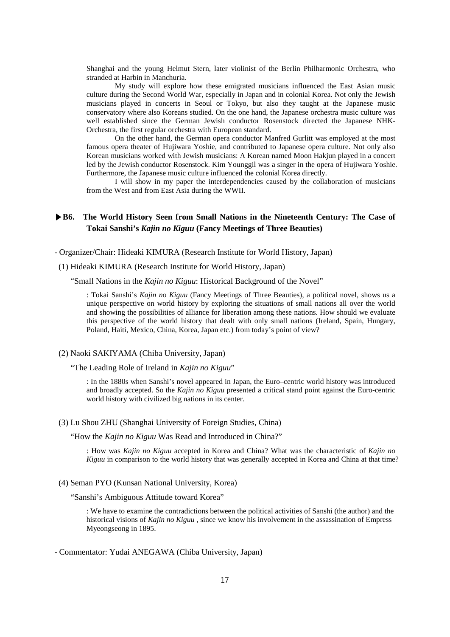Shanghai and the young Helmut Stern, later violinist of the Berlin Philharmonic Orchestra, who stranded at Harbin in Manchuria.

My study will explore how these emigrated musicians influenced the East Asian music culture during the Second World War, especially in Japan and in colonial Korea. Not only the Jewish musicians played in concerts in Seoul or Tokyo, but also they taught at the Japanese music conservatory where also Koreans studied. On the one hand, the Japanese orchestra music culture was well established since the German Jewish conductor Rosenstock directed the Japanese NHK-Orchestra, the first regular orchestra with European standard.

On the other hand, the German opera conductor Manfred Gurlitt was employed at the most famous opera theater of Hujiwara Yoshie, and contributed to Japanese opera culture. Not only also Korean musicians worked with Jewish musicians: A Korean named Moon Hakjun played in a concert led by the Jewish conductor Rosenstock. Kim Younggil was a singer in the opera of Hujiwara Yoshie. Furthermore, the Japanese music culture influenced the colonial Korea directly.

I will show in my paper the interdependencies caused by the collaboration of musicians from the West and from East Asia during the WWII.

# **▶B6. The World History Seen from Small Nations in the Nineteenth Century: The Case of Tokai Sanshi's** *Kajin no Kiguu* **(Fancy Meetings of Three Beauties)**

- Organizer/Chair: Hideaki KIMURA (Research Institute for World History, Japan)

(1) Hideaki KIMURA (Research Institute for World History, Japan)

"Small Nations in the *Kajin no Kiguu*: Historical Background of the Novel"

: Tokai Sanshi's *Kajin no Kiguu* (Fancy Meetings of Three Beauties), a political novel, shows us a unique perspective on world history by exploring the situations of small nations all over the world and showing the possibilities of alliance for liberation among these nations. How should we evaluate this perspective of the world history that dealt with only small nations (Ireland, Spain, Hungary, Poland, Haiti, Mexico, China, Korea, Japan etc.) from today's point of view?

## (2) Naoki SAKIYAMA (Chiba University, Japan)

"The Leading Role of Ireland in *Kajin no Kiguu*"

: In the 1880s when Sanshi's novel appeared in Japan, the Euro–centric world history was introduced and broadly accepted. So the *Kajin no Kiguu* presented a critical stand point against the Euro-centric world history with civilized big nations in its center.

(3) Lu Shou ZHU (Shanghai University of Foreign Studies, China)

"How the *Kajin no Kiguu* Was Read and Introduced in China?"

: How was *Kajin no Kiguu* accepted in Korea and China? What was the characteristic of *Kajin no Kiguu* in comparison to the world history that was generally accepted in Korea and China at that time?

(4) Seman PYO (Kunsan National University, Korea)

"Sanshi's Ambiguous Attitude toward Korea"

: We have to examine the contradictions between the political activities of Sanshi (the author) and the historical visions of *Kajin no Kiguu* , since we know his involvement in the assassination of Empress Myeongseong in 1895.

- Commentator: Yudai ANEGAWA (Chiba University, Japan)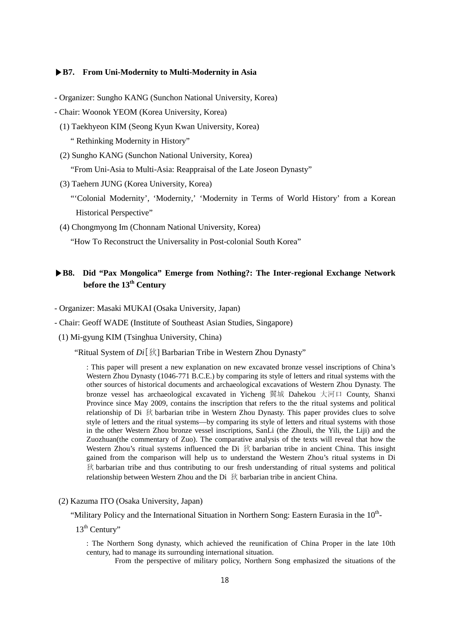## **▶B7. From Uni-Modernity to Multi-Modernity in Asia**

- Organizer: Sungho KANG (Sunchon National University, Korea)
- Chair: Woonok YEOM (Korea University, Korea)
	- (1) Taekhyeon KIM (Seong Kyun Kwan University, Korea)
		- " Rethinking Modernity in History"
	- (2) Sungho KANG (Sunchon National University, Korea)

"From Uni-Asia to Multi-Asia: Reappraisal of the Late Joseon Dynasty"

- (3) Taehern JUNG (Korea University, Korea)
	- "'Colonial Modernity', 'Modernity,' 'Modernity in Terms of World History' from a Korean Historical Perspective"
- (4) Chongmyong Im (Chonnam National University, Korea)

"How To Reconstruct the Universality in Post-colonial South Korea"

# **▶B8. Did "Pax Mongolica" Emerge from Nothing?: The Inter-regional Exchange Network**  before the 13<sup>th</sup> Century

- Organizer: Masaki MUKAI (Osaka University, Japan)
- Chair: Geoff WADE (Institute of Southeast Asian Studies, Singapore)
- (1) Mi-gyung KIM (Tsinghua University, China)

"Ritual System of *Di*[狄] Barbarian Tribe in Western Zhou Dynasty"

: This paper will present a new explanation on new excavated bronze vessel inscriptions of China's Western Zhou Dynasty (1046-771 B.C.E.) by comparing its style of letters and ritual systems with the other sources of historical documents and archaeological excavations of Western Zhou Dynasty. The bronze vessel has archaeological excavated in Yicheng 翼城 Dahekou 大河口 County, Shanxi Province since May 2009, contains the inscription that refers to the the ritual systems and political relationship of Di 狄 barbarian tribe in Western Zhou Dynasty. This paper provides clues to solve style of letters and the ritual systems—by comparing its style of letters and ritual systems with those in the other Western Zhou bronze vessel inscriptions, SanLi (the Zhouli, the Yili, the Liji) and the Zuozhuan(the commentary of Zuo). The comparative analysis of the texts will reveal that how the Western Zhou's ritual systems influenced the Di 狄 barbarian tribe in ancient China. This insight gained from the comparison will help us to understand the Western Zhou's ritual systems in Di 狄 barbarian tribe and thus contributing to our fresh understanding of ritual systems and political relationship between Western Zhou and the Di 狄 barbarian tribe in ancient China.

(2) Kazuma ITO (Osaka University, Japan)

"Military Policy and the International Situation in Northern Song: Eastern Eurasia in the  $10<sup>th</sup>$ -

13<sup>th</sup> Century"

: The Northern Song dynasty, which achieved the reunification of China Proper in the late 10th century, had to manage its surrounding international situation.

From the perspective of military policy, Northern Song emphasized the situations of the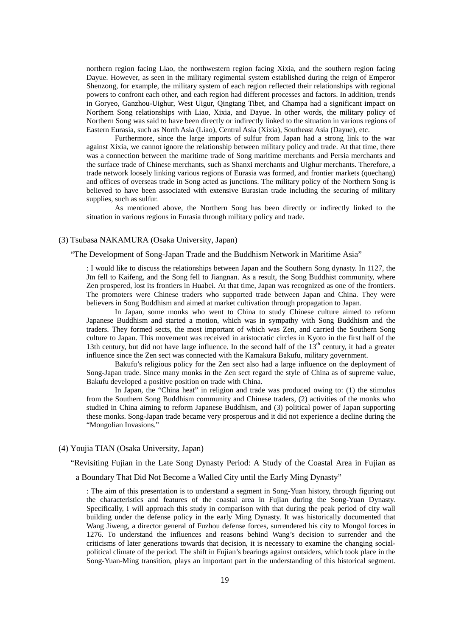northern region facing Liao, the northwestern region facing Xixia, and the southern region facing Dayue. However, as seen in the military regimental system established during the reign of Emperor Shenzong, for example, the military system of each region reflected their relationships with regional powers to confront each other, and each region had different processes and factors. In addition, trends in Goryeo, Ganzhou-Uighur, West Uigur, Qingtang Tibet, and Champa had a significant impact on Northern Song relationships with Liao, Xixia, and Dayue. In other words, the military policy of Northern Song was said to have been directly or indirectly linked to the situation in various regions of Eastern Eurasia, such as North Asia (Liao), Central Asia (Xixia), Southeast Asia (Dayue), etc.

Furthermore, since the large imports of sulfur from Japan had a strong link to the war against Xixia, we cannot ignore the relationship between military policy and trade. At that time, there was a connection between the maritime trade of Song maritime merchants and Persia merchants and the surface trade of Chinese merchants, such as Shanxi merchants and Uighur merchants. Therefore, a trade network loosely linking various regions of Eurasia was formed, and frontier markets (quechang) and offices of overseas trade in Song acted as junctions. The military policy of the Northern Song is believed to have been associated with extensive Eurasian trade including the securing of military supplies, such as sulfur.

As mentioned above, the Northern Song has been directly or indirectly linked to the situation in various regions in Eurasia through military policy and trade.

## (3) Tsubasa NAKAMURA (Osaka University, Japan)

"The Development of Song-Japan Trade and the Buddhism Network in Maritime Asia"

: I would like to discuss the relationships between Japan and the Southern Song dynasty. In 1127, the Jīn fell to Kaifeng, and the Song fell to Jiangnan. As a result, the Song Buddhist community, where Zen prospered, lost its frontiers in Huabei. At that time, Japan was recognized as one of the frontiers. The promoters were Chinese traders who supported trade between Japan and China. They were believers in Song Buddhism and aimed at market cultivation through propagation to Japan.

In Japan, some monks who went to China to study Chinese culture aimed to reform Japanese Buddhism and started a motion, which was in sympathy with Song Buddhism and the traders. They formed sects, the most important of which was Zen, and carried the Southern Song culture to Japan. This movement was received in aristocratic circles in Kyoto in the first half of the 13th century, but did not have large influence. In the second half of the  $13<sup>th</sup>$  century, it had a greater influence since the Zen sect was connected with the Kamakura Bakufu, military government.

Bakufu's religious policy for the Zen sect also had a large influence on the deployment of Song-Japan trade. Since many monks in the Zen sect regard the style of China as of supreme value, Bakufu developed a positive position on trade with China.

In Japan, the "China heat" in religion and trade was produced owing to: (1) the stimulus from the Southern Song Buddhism community and Chinese traders, (2) activities of the monks who studied in China aiming to reform Japanese Buddhism, and (3) political power of Japan supporting these monks. Song-Japan trade became very prosperous and it did not experience a decline during the "Mongolian Invasions."

## (4) Youjia TIAN (Osaka University, Japan)

"Revisiting Fujian in the Late Song Dynasty Period: A Study of the Coastal Area in Fujian as

a Boundary That Did Not Become a Walled City until the Early Ming Dynasty"

: The aim of this presentation is to understand a segment in Song-Yuan history, through figuring out the characteristics and features of the coastal area in Fujian during the Song-Yuan Dynasty. Specifically, I will approach this study in comparison with that during the peak period of city wall building under the defense policy in the early Ming Dynasty. It was historically documented that Wang Jiweng, a director general of Fuzhou defense forces, surrendered his city to Mongol forces in 1276. To understand the influences and reasons behind Wang's decision to surrender and the criticisms of later generations towards that decision, it is necessary to examine the changing socialpolitical climate of the period. The shift in Fujian's bearings against outsiders, which took place in the Song-Yuan-Ming transition, plays an important part in the understanding of this historical segment.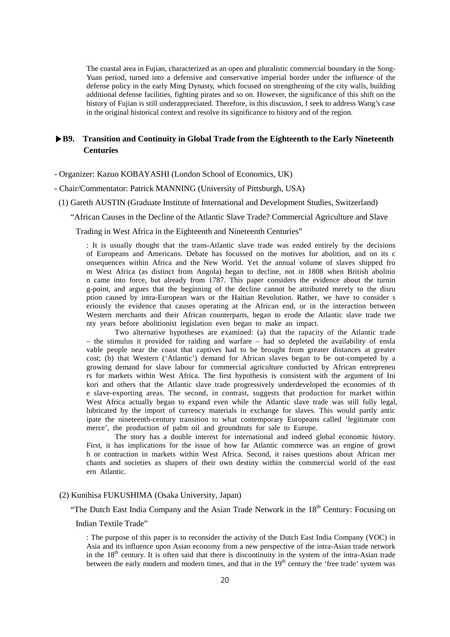The coastal area in Fujian, characterized as an open and pluralistic commercial boundary in the Song-Yuan period, turned into a defensive and conservative imperial border under the influence of the defense policy in the early Ming Dynasty, which focused on strengthening of the city walls, building additional defense facilities, fighting pirates and so on. However, the significance of this shift on the history of Fujian is still underappreciated. Therefore, in this discussion, I seek to address Wang's case in the original historical context and resolve its significance to history and of the region.

# **▶B9. Transition and Continuity in Global Trade from the Eighteenth to the Early Nineteenth Centuries**

- Organizer: Kazuo KOBAYASHI (London School of Economics, UK)
- Chair/Commentator: Patrick MANNING (University of Pittsburgh, USA)
- (1) Gareth AUSTIN (Graduate Institute of International and Development Studies, Switzerland)
	- "African Causes in the Decline of the Atlantic Slave Trade? Commercial Agriculture and Slave

Trading in West Africa in the Eighteenth and Nineteenth Centuries"

: It is usually thought that the trans-Atlantic slave trade was ended entirely by the decisions of Europeans and Americans. Debate has focussed on the motives for abolition, and on its c onsequences within Africa and the New World. Yet the annual volume of slaves shipped fro m West Africa (as distinct from Angola) began to decline, not in 1808 when British abolitio n came into force, but already from 1787. This paper considers the evidence about the turnin g-point, and argues that the beginning of the decline cannot be attributed merely to the disru ption caused by intra-European wars or the Haitian Revolution. Rather, we have to consider s eriously the evidence that causes operating at the African end, or in the interaction between Western merchants and their African counterparts, began to erode the Atlantic slave trade twe nty years before abolitionist legislation even began to make an impact.

Two alternative hypotheses are examined: (a) that the rapacity of the Atlantic trade – the stimulus it provided for raiding and warfare – had so depleted the availability of ensla vable people near the coast that captives had to be brought from greater distances at greater cost; (b) that Western ('Atlantic') demand for African slaves began to be out-competed by a growing demand for slave labour for commercial agriculture conducted by African entrepreneu rs for markets within West Africa. The first hypothesis is consistent with the argument of Ini kori and others that the Atlantic slave trade progressively underdeveloped the economies of th e slave-exporting areas. The second, in contrast, suggests that production for market within West Africa actually began to expand even while the Atlantic slave trade was still fully legal, lubricated by the import of currency materials in exchange for slaves. This would partly antic ipate the nineteenth-century transition to what contemporary Europeans called 'legitimate com merce', the production of palm oil and groundnuts for sale to Europe.

The story has a double interest for international and indeed global economic history. First, it has implications for the issue of how far Atlantic commerce was an engine of growt h or contraction in markets within West Africa. Second, it raises questions about African mer chants and societies as shapers of their own destiny within the commercial world of the east ern Atlantic.

## (2) Kunihisa FUKUSHIMA (Osaka University, Japan)

"The Dutch East India Company and the Asian Trade Network in the  $18<sup>th</sup>$  Century: Focusing on

## Indian Textile Trade"

: The purpose of this paper is to reconsider the activity of the Dutch East India Company (VOC) in Asia and its influence upon Asian economy from a new perspective of the intra-Asian trade network in the  $18<sup>th</sup>$  century. It is often said that there is discontinuity in the system of the intra-Asian trade between the early modern and modern times, and that in the  $19<sup>th</sup>$  century the 'free trade' system was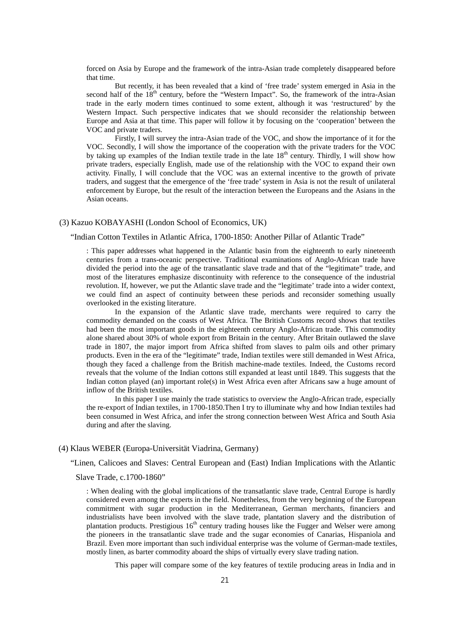forced on Asia by Europe and the framework of the intra-Asian trade completely disappeared before that time.

But recently, it has been revealed that a kind of 'free trade' system emerged in Asia in the second half of the 18<sup>th</sup> century, before the "Western Impact". So, the framework of the intra-Asian trade in the early modern times continued to some extent, although it was 'restructured' by the Western Impact. Such perspective indicates that we should reconsider the relationship between Europe and Asia at that time. This paper will follow it by focusing on the 'cooperation' between the VOC and private traders.

Firstly, I will survey the intra-Asian trade of the VOC, and show the importance of it for the VOC. Secondly, I will show the importance of the cooperation with the private traders for the VOC by taking up examples of the Indian textile trade in the late 18<sup>th</sup> century. Thirdly, I will show how private traders, especially English, made use of the relationship with the VOC to expand their own activity. Finally, I will conclude that the VOC was an external incentive to the growth of private traders, and suggest that the emergence of the 'free trade' system in Asia is not the result of unilateral enforcement by Europe, but the result of the interaction between the Europeans and the Asians in the Asian oceans.

#### (3) Kazuo KOBAYASHI (London School of Economics, UK)

#### "Indian Cotton Textiles in Atlantic Africa, 1700-1850: Another Pillar of Atlantic Trade"

: This paper addresses what happened in the Atlantic basin from the eighteenth to early nineteenth centuries from a trans-oceanic perspective. Traditional examinations of Anglo-African trade have divided the period into the age of the transatlantic slave trade and that of the "legitimate" trade, and most of the literatures emphasize discontinuity with reference to the consequence of the industrial revolution. If, however, we put the Atlantic slave trade and the "legitimate' trade into a wider context, we could find an aspect of continuity between these periods and reconsider something usually overlooked in the existing literature.

In the expansion of the Atlantic slave trade, merchants were required to carry the commodity demanded on the coasts of West Africa. The British Customs record shows that textiles had been the most important goods in the eighteenth century Anglo-African trade. This commodity alone shared about 30% of whole export from Britain in the century. After Britain outlawed the slave trade in 1807, the major import from Africa shifted from slaves to palm oils and other primary products. Even in the era of the "legitimate" trade, Indian textiles were still demanded in West Africa, though they faced a challenge from the British machine-made textiles. Indeed, the Customs record reveals that the volume of the Indian cottons still expanded at least until 1849. This suggests that the Indian cotton played (an) important role(s) in West Africa even after Africans saw a huge amount of inflow of the British textiles.

In this paper I use mainly the trade statistics to overview the Anglo-African trade, especially the re-export of Indian textiles, in 1700-1850.Then I try to illuminate why and how Indian textiles had been consumed in West Africa, and infer the strong connection between West Africa and South Asia during and after the slaving.

## (4) Klaus WEBER (Europa-Universität Viadrina, Germany)

"Linen, Calicoes and Slaves: Central European and (East) Indian Implications with the Atlantic

#### Slave Trade, c.1700-1860"

: When dealing with the global implications of the transatlantic slave trade, Central Europe is hardly considered even among the experts in the field. Nonetheless, from the very beginning of the European commitment with sugar production in the Mediterranean, German merchants, financiers and industrialists have been involved with the slave trade, plantation slavery and the distribution of plantation products. Prestigious  $16<sup>th</sup>$  century trading houses like the Fugger and Welser were among the pioneers in the transatlantic slave trade and the sugar economies of Canarias, Hispaniola and Brazil. Even more important than such individual enterprise was the volume of German-made textiles, mostly linen, as barter commodity aboard the ships of virtually every slave trading nation.

This paper will compare some of the key features of textile producing areas in India and in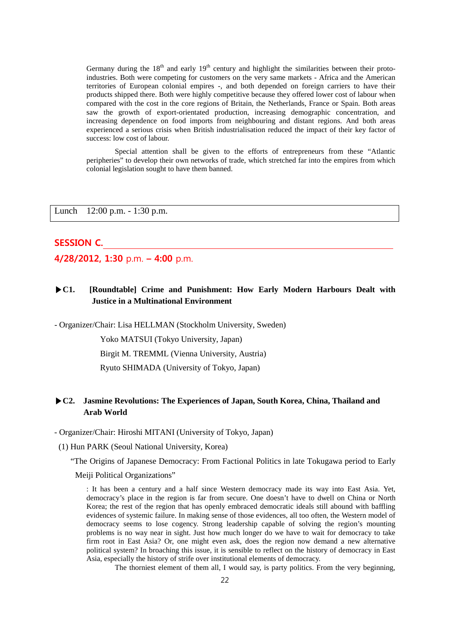Germany during the  $18<sup>th</sup>$  and early  $19<sup>th</sup>$  century and highlight the similarities between their protoindustries. Both were competing for customers on the very same markets - Africa and the American territories of European colonial empires -, and both depended on foreign carriers to have their products shipped there. Both were highly competitive because they offered lower cost of labour when compared with the cost in the core regions of Britain, the Netherlands, France or Spain. Both areas saw the growth of export-orientated production, increasing demographic concentration, and increasing dependence on food imports from neighbouring and distant regions. And both areas experienced a serious crisis when British industrialisation reduced the impact of their key factor of success: low cost of labour.

Special attention shall be given to the efforts of entrepreneurs from these "Atlantic peripheries" to develop their own networks of trade, which stretched far into the empires from which colonial legislation sought to have them banned.

Lunch 12:00 p.m. - 1:30 p.m.

# **SESSION C.**

**4/28/2012, 1:30** p.m. **– 4:00** p.m.

# **▶C1. [Roundtable] Crime and Punishment: How Early Modern Harbours Dealt with Justice in a Multinational Environment**

- Organizer/Chair: Lisa HELLMAN (Stockholm University, Sweden)

Yoko MATSUI (Tokyo University, Japan) Birgit M. TREMML (Vienna University, Austria)

Ryuto SHIMADA (University of Tokyo, Japan)

# **▶C2. Jasmine Revolutions: The Experiences of Japan, South Korea, China, Thailand and Arab World**

- Organizer/Chair: Hiroshi MITANI (University of Tokyo, Japan)

(1) Hun PARK (Seoul National University, Korea)

"The Origins of Japanese Democracy: From Factional Politics in late Tokugawa period to Early

Meiji Political Organizations"

: It has been a century and a half since Western democracy made its way into East Asia. Yet, democracy's place in the region is far from secure. One doesn't have to dwell on China or North Korea; the rest of the region that has openly embraced democratic ideals still abound with baffling evidences of systemic failure. In making sense of those evidences, all too often, the Western model of democracy seems to lose cogency. Strong leadership capable of solving the region's mounting problems is no way near in sight. Just how much longer do we have to wait for democracy to take firm root in East Asia? Or, one might even ask, does the region now demand a new alternative political system? In broaching this issue, it is sensible to reflect on the history of democracy in East Asia, especially the history of strife over institutional elements of democracy.

The thorniest element of them all, I would say, is party politics. From the very beginning,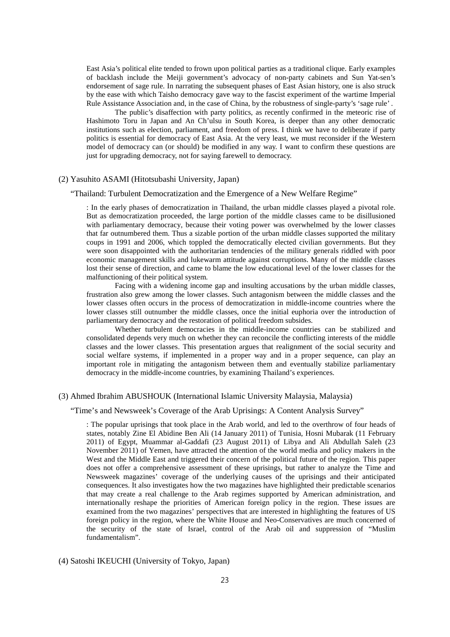East Asia's political elite tended to frown upon political parties as a traditional clique. Early examples of backlash include the Meiji government's advocacy of non-party cabinets and Sun Yat-sen's endorsement of sage rule. In narrating the subsequent phases of East Asian history, one is also struck by the ease with which Taisho democracy gave way to the fascist experiment of the wartime Imperial Rule Assistance Association and, in the case of China, by the robustness of single-party's 'sage rule' .

The public's disaffection with party politics, as recently confirmed in the meteoric rise of Hashimoto Toru in Japan and An Ch'ulsu in South Korea, is deeper than any other democratic institutions such as election, parliament, and freedom of press. I think we have to deliberate if party politics is essential for democracy of East Asia. At the very least, we must reconsider if the Western model of democracy can (or should) be modified in any way. I want to confirm these questions are just for upgrading democracy, not for saying farewell to democracy.

## (2) Yasuhito ASAMI (Hitotsubashi University, Japan)

#### "Thailand: Turbulent Democratization and the Emergence of a New Welfare Regime"

: In the early phases of democratization in Thailand, the urban middle classes played a pivotal role. But as democratization proceeded, the large portion of the middle classes came to be disillusioned with parliamentary democracy, because their voting power was overwhelmed by the lower classes that far outnumbered them. Thus a sizable portion of the urban middle classes supported the military coups in 1991 and 2006, which toppled the democratically elected civilian governments. But they were soon disappointed with the authoritarian tendencies of the military generals riddled with poor economic management skills and lukewarm attitude against corruptions. Many of the middle classes lost their sense of direction, and came to blame the low educational level of the lower classes for the malfunctioning of their political system.

Facing with a widening income gap and insulting accusations by the urban middle classes, frustration also grew among the lower classes. Such antagonism between the middle classes and the lower classes often occurs in the process of democratization in middle-income countries where the lower classes still outnumber the middle classes, once the initial euphoria over the introduction of parliamentary democracy and the restoration of political freedom subsides.

Whether turbulent democracies in the middle-income countries can be stabilized and consolidated depends very much on whether they can reconcile the conflicting interests of the middle classes and the lower classes. This presentation argues that realignment of the social security and social welfare systems, if implemented in a proper way and in a proper sequence, can play an important role in mitigating the antagonism between them and eventually stabilize parliamentary democracy in the middle-income countries, by examining Thailand's experiences.

## (3) Ahmed Ibrahim ABUSHOUK (International Islamic University Malaysia, Malaysia)

## "Time's and Newsweek's Coverage of the Arab Uprisings: A Content Analysis Survey"

: The popular uprisings that took place in the Arab world, and led to the overthrow of four heads of states, notably Zine El Abidine Ben Ali (14 January 2011) of Tunisia, Hosni Mubarak (11 February 2011) of Egypt, Muammar al-Gaddafi (23 August 2011) of Libya and Ali Abdullah Saleh (23 November 2011) of Yemen, have attracted the attention of the world media and policy makers in the West and the Middle East and triggered their concern of the political future of the region. This paper does not offer a comprehensive assessment of these uprisings, but rather to analyze the Time and Newsweek magazines' coverage of the underlying causes of the uprisings and their anticipated consequences. It also investigates how the two magazines have highlighted their predictable scenarios that may create a real challenge to the Arab regimes supported by American administration, and internationally reshape the priorities of American foreign policy in the region. These issues are examined from the two magazines' perspectives that are interested in highlighting the features of US foreign policy in the region, where the White House and Neo-Conservatives are much concerned of the security of the state of Israel, control of the Arab oil and suppression of "Muslim fundamentalism".

## (4) Satoshi IKEUCHI (University of Tokyo, Japan)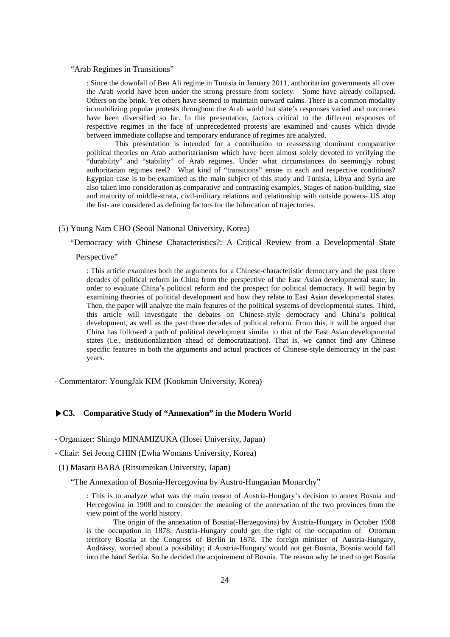#### "Arab Regimes in Transitions"

: Since the downfall of Ben Ali regime in Tunisia in January 2011, authoritarian governments all over the Arab world have been under the strong pressure from society. Some have already collapsed. Others on the brink. Yet others have seemed to maintain outward calms. There is a common modality in mobilizing popular protests throughout the Arab world but state's responses varied and outcomes have been diversified so far. In this presentation, factors critical to the different responses of respective regimes in the face of unprecedented protests are examined and causes which divide between immediate collapse and temporary endurance of regimes are analyzed.

This presentation is intended for a contribution to reassessing dominant comparative political theories on Arab authoritarianism which have been almost solely devoted to verifying the "durability" and "stability" of Arab regimes. Under what circumstances do seemingly robust authoritarian regimes reel? What kind of "transitions" ensue in each and respective conditions? Egyptian case is to be examined as the main subject of this study and Tunisia, Libya and Syria are also taken into consideration as comparative and contrasting examples. Stages of nation-building, size and maturity of middle-strata, civil-military relations and relationship with outside powers- US atop the list- are considered as defining factors for the bifurcation of trajectories.

## (5) Young Nam CHO (Seoul National University, Korea)

"Democracy with Chinese Characteristics?: A Critical Review from a Developmental State

Perspective"

: This article examines both the arguments for a Chinese-characteristic democracy and the past three decades of political reform in China from the perspective of the East Asian developmental state, in order to evaluate China's political reform and the prospect for political democracy. It will begin by examining theories of political development and how they relate to East Asian developmental states. Then, the paper will analyze the main features of the political systems of developmental states. Third, this article will investigate the debates on Chinese-style democracy and China's political development, as well as the past three decades of political reform. From this, it will be argued that China has followed a path of political development similar to that of the East Asian developmental states (i.e., institutionalization ahead of democratization). That is, we cannot find any Chinese specific features in both the arguments and actual practices of Chinese-style democracy in the past years.

- Commentator: YoungJak KIM (Kookmin University, Korea)

## **▶C3. Comparative Study of "Annexation" in the Modern World**

- Organizer: Shingo MINAMIZUKA (Hosei University, Japan)

- Chair: Sei Jeong CHIN (Ewha Womans University, Korea)

(1) Masaru BABA (Ritsumeikan University, Japan)

"The Annexation of Bosnia-Hercegovina by Austro-Hungarian Monarchy"

: This is to analyze what was the main reason of Austria-Hungary's decision to annex Bosnia and Hercegovina in 1908 and to consider the meaning of the annexation of the two provinces from the view point of the world history.

The origin of the annexation of Bosnia(-Herzegovina) by Austria-Hungary in October 1908 is the occupation in 1878. Austria-Hungary could get the right of the occupation of Ottoman territory Bosnia at the Congress of Berlin in 1878. The foreign minister of Austria-Hungary, Andrássy, worried about a possibility; if Austria-Hungary would not get Bosnia, Bosnia would fall into the hand Serbia. So he decided the acquirement of Bosnia. The reason why he tried to get Bosnia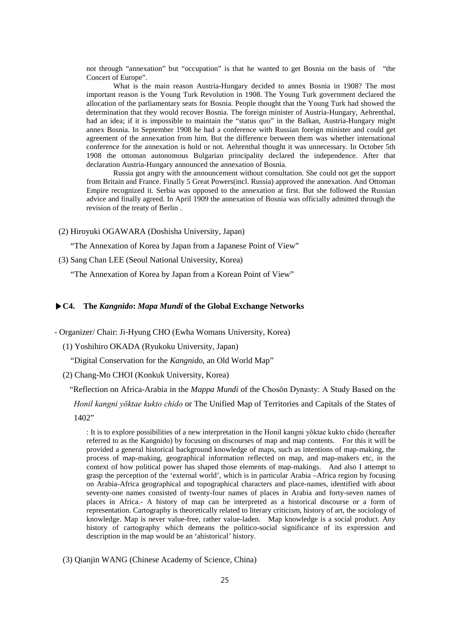not through "annexation" but "occupation" is that he wanted to get Bosnia on the basis of "the Concert of Europe".

What is the main reason Austria-Hungary decided to annex Bosnia in 1908? The most important reason is the Young Turk Revolution in 1908. The Young Turk government declared the allocation of the parliamentary seats for Bosnia. People thought that the Young Turk had showed the determination that they would recover Bosnia. The foreign minister of Austria-Hungary, Aehrenthal, had an idea; if it is impossible to maintain the "status quo" in the Balkan, Austria-Hungary might annex Bosnia. In September 1908 he had a conference with Russian foreign minister and could get agreement of the annexation from him. But the difference between them was whether international conference for the annexation is hold or not. Aehrenthal thought it was unnecessary. In October 5th 1908 the ottoman autonomous Bulgarian principality declared the independence. After that declaration Austria-Hungary announced the annexation of Bosnia.

Russia got angry with the announcement without consultation. She could not get the support from Britain and France. Finally 5 Great Powers(incl. Russia) approved the annexation. And Ottoman Empire recognized it. Serbia was opposed to the annexation at first. But she followed the Russian advice and finally agreed. In April 1909 the annexation of Bosnia was officially admitted through the revision of the treaty of Berlin .

(2) Hiroyuki OGAWARA (Doshisha University, Japan)

"The Annexation of Korea by Japan from a Japanese Point of View"

(3) Sang Chan LEE (Seoul National University, Korea)

"The Annexation of Korea by Japan from a Korean Point of View"

## **▶C4. The** *Kangnido***:** *Mapa Mundi* **of the Global Exchange Networks**

- Organizer/ Chair: Ji-Hyung CHO (Ewha Womans University, Korea)

(1) Yoshihiro OKADA (Ryukoku University, Japan)

"Digital Conservation for the *Kangnido*, an Old World Map"

(2) Chang-Mo CHOI (Konkuk University, Korea)

"Reflection on Africa-Arabia in the *Mappa Mundi* of the Chosŏn Dynasty: A Study Based on the *Honil kangni yŏktae kukto chido* or The Unified Map of Territories and Capitals of the States of 1402"

: It is to explore possibilities of a new interpretation in the Honil kangni yŏktae kukto chido (hereafter referred to as the Kangnido) by focusing on discourses of map and map contents. For this it will be provided a general historical background knowledge of maps, such as intentions of map-making, the process of map-making, geographical information reflected on map, and map-makers etc, in the context of how political power has shaped those elements of map-makings. And also I attempt to grasp the perception of the 'external world', which is in particular Arabia –Africa region by focusing on Arabia-Africa geographical and topographical characters and place-names, identified with about seventy-one names consisted of twenty-four names of places in Arabia and forty-seven names of places in Africa.- A history of map can be interpreted as a historical discourse or a form of representation. Cartography is theoretically related to literary criticism, history of art, the sociology of knowledge. Map is never value-free, rather value-laden. Map knowledge is a social product. Any history of cartography which demeans the politico-social significance of its expression and description in the map would be an 'ahistorical' history.

(3) Qianjin WANG (Chinese Academy of Science, China)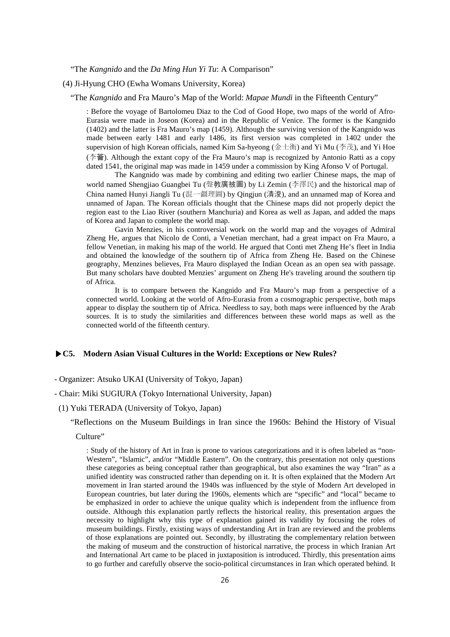"The *Kangnido* and the *Da Ming Hun Yi Tu*: A Comparison"

(4) Ji-Hyung CHO (Ewha Womans University, Korea)

"The *Kangnido* and Fra Mauro's Map of the World: *Mapae Mundi* in the Fifteenth Century"

: Before the voyage of Bartolomeu Diaz to the Cod of Good Hope, two maps of the world of Afro-Eurasia were made in Joseon (Korea) and in the Republic of Venice. The former is the Kangnido (1402) and the latter is Fra Mauro's map (1459). Although the surviving version of the Kangnido was made between early 1481 and early 1486, its first version was completed in 1402 under the supervision of high Korean officials, named Kim Sa-hyeong (金士衡) and Yi Mu (李茂), and Yi Hoe (李薈). Although the extant copy of the Fra Mauro's map is recognized by Antonio Ratti as a copy dated 1541, the original map was made in 1459 under a commission by King Afonso V of Portugal.

The Kangnido was made by combining and editing two earlier Chinese maps, the map of world named Shengjiao Guangbei Tu (聲教廣被圖) by Li Zemin (李澤民) and the historical map of China named Hunyi Jiangli Tu (混一疆理圖) by Qingjun (清浚), and an unnamed map of Korea and unnamed of Japan. The Korean officials thought that the Chinese maps did not properly depict the region east to the Liao River (southern Manchuria) and Korea as well as Japan, and added the maps of Korea and Japan to complete the world map.

Gavin Menzies, in his controversial work on the world map and the voyages of Admiral Zheng He, argues that Nicolo de Conti, a Venetian merchant, had a great impact on Fra Mauro, a fellow Venetian, in making his map of the world. He argued that Conti met Zheng He's fleet in India and obtained the knowledge of the southern tip of Africa from Zheng He. Based on the Chinese geography, Menzines believes, Fra Mauro displayed the Indian Ocean as an open sea with passage. But many scholars have doubted Menzies' argument on Zheng He's traveling around the southern tip of Africa.

It is to compare between the Kangnido and Fra Mauro's map from a perspective of a connected world. Looking at the world of Afro-Eurasia from a cosmographic perspective, both maps appear to display the southern tip of Africa. Needless to say, both maps were influenced by the Arab sources. It is to study the similarities and differences between these world maps as well as the connected world of the fifteenth century.

## **▶C5. Modern Asian Visual Cultures in the World: Exceptions or New Rules?**

## - Organizer: Atsuko UKAI (University of Tokyo, Japan)

## - Chair: Miki SUGIURA (Tokyo International University, Japan)

#### (1) Yuki TERADA (University of Tokyo, Japan)

"Reflections on the Museum Buildings in Iran since the 1960s: Behind the History of Visual

## Culture"

: Study of the history of Art in Iran is prone to various categorizations and it is often labeled as "non-Western", "Islamic", and/or "Middle Eastern". On the contrary, this presentation not only questions these categories as being conceptual rather than geographical, but also examines the way "Iran" as a unified identity was constructed rather than depending on it. It is often explained that the Modern Art movement in Iran started around the 1940s was influenced by the style of Modern Art developed in European countries, but later during the 1960s, elements which are "specific" and "local" became to be emphasized in order to achieve the unique quality which is independent from the influence from outside. Although this explanation partly reflects the historical reality, this presentation argues the necessity to highlight why this type of explanation gained its validity by focusing the roles of museum buildings. Firstly, existing ways of understanding Art in Iran are reviewed and the problems of those explanations are pointed out. Secondly, by illustrating the complementary relation between the making of museum and the construction of historical narrative, the process in which Iranian Art and International Art came to be placed in juxtaposition is introduced. Thirdly, this presentation aims to go further and carefully observe the socio-political circumstances in Iran which operated behind. It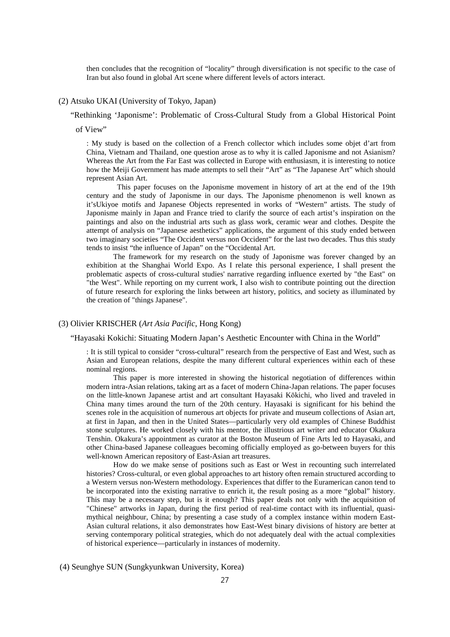then concludes that the recognition of "locality" through diversification is not specific to the case of Iran but also found in global Art scene where different levels of actors interact.

#### (2) Atsuko UKAI (University of Tokyo, Japan)

"Rethinking 'Japonisme': Problematic of Cross-Cultural Study from a Global Historical Point

of View"

: My study is based on the collection of a French collector which includes some objet d'art from China, Vietnam and Thailand, one question arose as to why it is called Japonisme and not Asianism? Whereas the Art from the Far East was collected in Europe with enthusiasm, it is interesting to notice how the Meiji Government has made attempts to sell their "Art" as "The Japanese Art" which should represent Asian Art.

This paper focuses on the Japonisme movement in history of art at the end of the 19th century and the study of Japonisme in our days. The Japonisme phenomenon is well known as it'sUkiyoe motifs and Japanese Objects represented in works of "Western" artists. The study of Japonisme mainly in Japan and France tried to clarify the source of each artist's inspiration on the paintings and also on the industrial arts such as glass work, ceramic wear and clothes. Despite the attempt of analysis on "Japanese aesthetics" applications, the argument of this study ended between two imaginary societies "The Occident versus non Occident" for the last two decades. Thus this study tends to insist "the influence of Japan" on the "Occidental Art.

The framework for my research on the study of Japonisme was forever changed by an exhibition at the Shanghai World Expo. As I relate this personal experience, I shall present the problematic aspects of cross-cultural studies' narrative regarding influence exerted by "the East" on "the West". While reporting on my current work, I also wish to contribute pointing out the direction of future research for exploring the links between art history, politics, and society as illuminated by the creation of "things Japanese".

## (3) Olivier KRISCHER (*Art Asia Pacific*, Hong Kong)

"Hayasaki Kokichi: Situating Modern Japan's Aesthetic Encounter with China in the World"

: It is still typical to consider "cross-cultural" research from the perspective of East and West, such as Asian and European relations, despite the many different cultural experiences within each of these nominal regions.

This paper is more interested in showing the historical negotiation of differences within modern intra-Asian relations, taking art as a facet of modern China-Japan relations. The paper focuses on the little-known Japanese artist and art consultant Hayasaki Kōkichi, who lived and traveled in China many times around the turn of the 20th century. Hayasaki is significant for his behind the scenes role in the acquisition of numerous art objects for private and museum collections of Asian art, at first in Japan, and then in the United States—particularly very old examples of Chinese Buddhist stone sculptures. He worked closely with his mentor, the illustrious art writer and educator Okakura Tenshin. Okakura's appointment as curator at the Boston Museum of Fine Arts led to Hayasaki, and other China-based Japanese colleagues becoming officially employed as go-between buyers for this well-known American repository of East-Asian art treasures.

How do we make sense of positions such as East or West in recounting such interrelated histories? Cross-cultural, or even global approaches to art history often remain structured according to a Western versus non-Western methodology. Experiences that differ to the Euramerican canon tend to be incorporated into the existing narrative to enrich it, the result posing as a more "global" history. This may be a necessary step, but is it enough? This paper deals not only with the acquisition of "Chinese" artworks in Japan, during the first period of real-time contact with its influential, quasimythical neighbour, China; by presenting a case study of a complex instance within modern East-Asian cultural relations, it also demonstrates how East-West binary divisions of history are better at serving contemporary political strategies, which do not adequately deal with the actual complexities of historical experience—particularly in instances of modernity.

(4) Seunghye SUN (Sungkyunkwan University, Korea)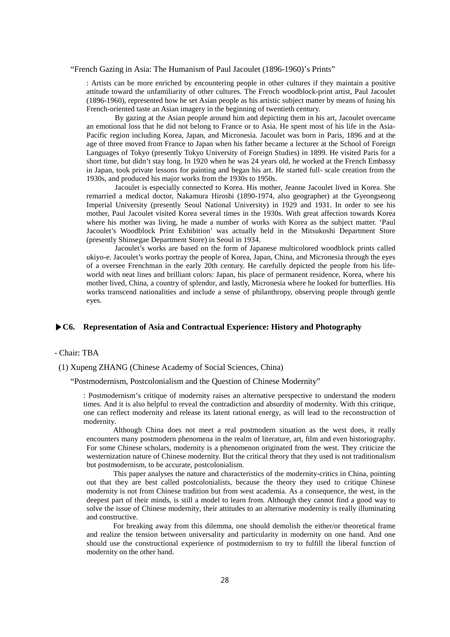## "French Gazing in Asia: The Humanism of Paul Jacoulet (1896-1960)'s Prints"

: Artists can be more enriched by encountering people in other cultures if they maintain a positive attitude toward the unfamiliarity of other cultures. The French woodblock-print artist, Paul Jacoulet (1896-1960), represented how he set Asian people as his artistic subject matter by means of fusing his French-oriented taste an Asian imagery in the beginning of twentieth century.

By gazing at the Asian people around him and depicting them in his art, Jacoulet overcame an emotional loss that he did not belong to France or to Asia. He spent most of his life in the Asia-Pacific region including Korea, Japan, and Micronesia. Jacoulet was born in Paris, 1896 and at the age of three moved from France to Japan when his father became a lecturer at the School of Foreign Languages of Tokyo (presently Tokyo University of Foreign Studies) in 1899. He visited Paris for a short time, but didn't stay long. In 1920 when he was 24 years old, he worked at the French Embassy in Japan, took private lessons for painting and began his art. He started full- scale creation from the 1930s, and produced his major works from the 1930s to 1950s.

Jacoulet is especially connected to Korea. His mother, Jeanne Jacoulet lived in Korea. She remarried a medical doctor, Nakamura Hiroshi (1890-1974, also geographer) at the Gyeongseong Imperial University (presently Seoul National University) in 1929 and 1931. In order to see his mother, Paul Jacoulet visited Korea several times in the 1930s. With great affection towards Korea where his mother was living, he made a number of works with Korea as the subject matter. 'Paul Jacoulet's Woodblock Print Exhibition' was actually held in the Mitsukoshi Department Store (presently Shinsegae Department Store) in Seoul in 1934.

Jacoulet's works are based on the form of Japanese multicolored woodblock prints called ukiyo-e. Jacoulet's works portray the people of Korea, Japan, China, and Micronesia through the eyes of a oversee Frenchman in the early 20th century. He carefully depicted the people from his lifeworld with neat lines and brilliant colors: Japan, his place of permanent residence, Korea, where his mother lived, China, a country of splendor, and lastly, Micronesia where he looked for butterflies. His works transcend nationalities and include a sense of philanthropy, observing people through gentle eyes.

## **▶C6. Representation of Asia and Contractual Experience: History and Photography**

## - Chair: TBA

(1) Xupeng ZHANG (Chinese Academy of Social Sciences, China)

"Postmodernism, Postcolonialism and the Question of Chinese Modernity"

: Postmodernism's critique of modernity raises an alternative perspective to understand the modern times. And it is also helpful to reveal the contradiction and absurdity of modernity. With this critique, one can reflect modernity and release its latent rational energy, as will lead to the reconstruction of modernity.

Although China does not meet a real postmodern situation as the west does, it really encounters many postmodern phenomena in the realm of literature, art, film and even historiography. For some Chinese scholars, modernity is a phenomenon originated from the west. They criticize the westernization nature of Chinese modernity. But the critical theory that they used is not traditionalism but postmodernism, to be accurate, postcolonialism.

This paper analyses the nature and characteristics of the modernity-critics in China, pointing out that they are best called postcolonialists, because the theory they used to critique Chinese modernity is not from Chinese tradition but from west academia. As a consequence, the west, in the deepest part of their minds, is still a model to learn from. Although they cannot find a good way to solve the issue of Chinese modernity, their attitudes to an alternative modernity is really illuminating and constructive.

For breaking away from this dilemma, one should demolish the either/or theoretical frame and realize the tension between universality and particularity in modernity on one hand. And one should use the constructional experience of postmodernism to try to fulfill the liberal function of modernity on the other hand.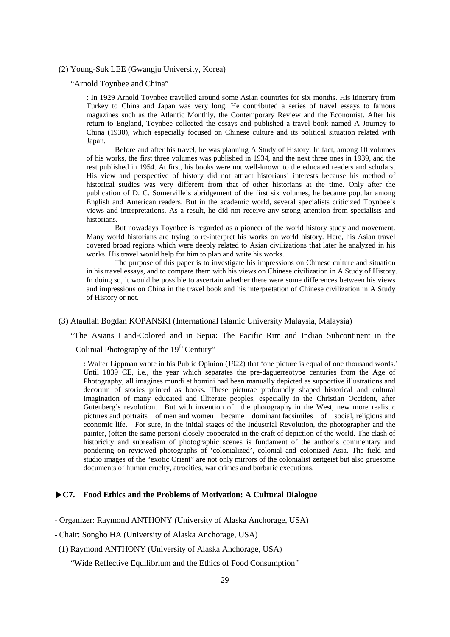(2) Young-Suk LEE (Gwangju University, Korea)

"Arnold Toynbee and China"

: In 1929 Arnold Toynbee travelled around some Asian countries for six months. His itinerary from Turkey to China and Japan was very long. He contributed a series of travel essays to famous magazines such as the Atlantic Monthly, the Contemporary Review and the Economist. After his return to England, Toynbee collected the essays and published a travel book named A Journey to China (1930), which especially focused on Chinese culture and its political situation related with Japan.

Before and after his travel, he was planning A Study of History. In fact, among 10 volumes of his works, the first three volumes was published in 1934, and the next three ones in 1939, and the rest published in 1954. At first, his books were not well-known to the educated readers and scholars. His view and perspective of history did not attract historians' interests because his method of historical studies was very different from that of other historians at the time. Only after the publication of D. C. Somerville's abridgement of the first six volumes, he became popular among English and American readers. But in the academic world, several specialists criticized Toynbee's views and interpretations. As a result, he did not receive any strong attention from specialists and historians.

But nowadays Toynbee is regarded as a pioneer of the world history study and movement. Many world historians are trying to re-interpret his works on world history. Here, his Asian travel covered broad regions which were deeply related to Asian civilizations that later he analyzed in his works. His travel would help for him to plan and write his works.

The purpose of this paper is to investigate his impressions on Chinese culture and situation in his travel essays, and to compare them with his views on Chinese civilization in A Study of History. In doing so, it would be possible to ascertain whether there were some differences between his views and impressions on China in the travel book and his interpretation of Chinese civilization in A Study of History or not.

## (3) Ataullah Bogdan KOPANSKI (International Islamic University Malaysia, Malaysia)

"The Asians Hand-Colored and in Sepia: The Pacific Rim and Indian Subcontinent in the Colinial Photography of the 19<sup>th</sup> Century"

: Walter Lippman wrote in his Public Opinion (1922) that 'one picture is equal of one thousand words.' Until 1839 CE, i.e., the year which separates the pre-daguerreotype centuries from the Age of Photography, all imagines mundi et homini had been manually depicted as supportive illustrations and decorum of stories printed as books. These picturae profoundly shaped historical and cultural imagination of many educated and illiterate peoples, especially in the Christian Occident, after Gutenberg's revolution. But with invention of the photography in the West, new more realistic pictures and portraits of men and women became dominant facsimiles of social, religious and economic life. For sure, in the initial stages of the Industrial Revolution, the photographer and the painter, (often the same person) closely cooperated in the craft of depiction of the world. The clash of historicity and subrealism of photographic scenes is fundament of the author's commentary and pondering on reviewed photographs of 'colonialized', colonial and colonized Asia. The field and studio images of the "exotic Orient" are not only mirrors of the colonialist zeitgeist but also gruesome documents of human cruelty, atrocities, war crimes and barbaric executions.

## **▶C7. Food Ethics and the Problems of Motivation: A Cultural Dialogue**

- Organizer: Raymond ANTHONY (University of Alaska Anchorage, USA)
- Chair: Songho HA (University of Alaska Anchorage, USA)
- (1) Raymond ANTHONY (University of Alaska Anchorage, USA)

"Wide Reflective Equilibrium and the Ethics of Food Consumption"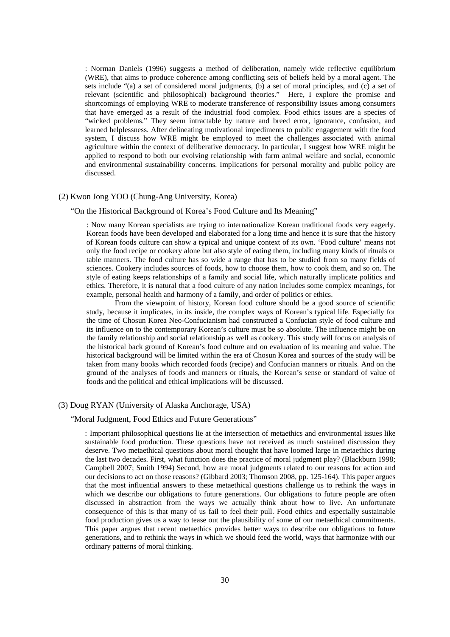: Norman Daniels (1996) suggests a method of deliberation, namely wide reflective equilibrium (WRE), that aims to produce coherence among conflicting sets of beliefs held by a moral agent. The sets include "(a) a set of considered moral judgments, (b) a set of moral principles, and (c) a set of relevant (scientific and philosophical) background theories." Here, I explore the promise and shortcomings of employing WRE to moderate transference of responsibility issues among consumers that have emerged as a result of the industrial food complex. Food ethics issues are a species of "wicked problems." They seem intractable by nature and breed error, ignorance, confusion, and learned helplessness. After delineating motivational impediments to public engagement with the food system, I discuss how WRE might be employed to meet the challenges associated with animal agriculture within the context of deliberative democracy. In particular, I suggest how WRE might be applied to respond to both our evolving relationship with farm animal welfare and social, economic and environmental sustainability concerns. Implications for personal morality and public policy are discussed.

## (2) Kwon Jong YOO (Chung-Ang University, Korea)

#### "On the Historical Background of Korea's Food Culture and Its Meaning"

: Now many Korean specialists are trying to internationalize Korean traditional foods very eagerly. Korean foods have been developed and elaborated for a long time and hence it is sure that the history of Korean foods culture can show a typical and unique context of its own. 'Food culture' means not only the food recipe or cookery alone but also style of eating them, including many kinds of rituals or table manners. The food culture has so wide a range that has to be studied from so many fields of sciences. Cookery includes sources of foods, how to choose them, how to cook them, and so on. The style of eating keeps relationships of a family and social life, which naturally implicate politics and ethics. Therefore, it is natural that a food culture of any nation includes some complex meanings, for example, personal health and harmony of a family, and order of politics or ethics.

From the viewpoint of history, Korean food culture should be a good source of scientific study, because it implicates, in its inside, the complex ways of Korean's typical life. Especially for the time of Chosun Korea Neo-Confucianism had constructed a Confucian style of food culture and its influence on to the contemporary Korean's culture must be so absolute. The influence might be on the family relationship and social relationship as well as cookery. This study will focus on analysis of the historical back ground of Korean's food culture and on evaluation of its meaning and value. The historical background will be limited within the era of Chosun Korea and sources of the study will be taken from many books which recorded foods (recipe) and Confucian manners or rituals. And on the ground of the analyses of foods and manners or rituals, the Korean's sense or standard of value of foods and the political and ethical implications will be discussed.

#### (3) Doug RYAN (University of Alaska Anchorage, USA)

#### "Moral Judgment, Food Ethics and Future Generations"

: Important philosophical questions lie at the intersection of metaethics and environmental issues like sustainable food production. These questions have not received as much sustained discussion they deserve. Two metaethical questions about moral thought that have loomed large in metaethics during the last two decades. First, what function does the practice of moral judgment play? (Blackburn 1998; Campbell 2007; Smith 1994) Second, how are moral judgments related to our reasons for action and our decisions to act on those reasons? (Gibbard 2003; Thomson 2008, pp. 125-164). This paper argues that the most influential answers to these metaethical questions challenge us to rethink the ways in which we describe our obligations to future generations. Our obligations to future people are often discussed in abstraction from the ways we actually think about how to live. An unfortunate consequence of this is that many of us fail to feel their pull. Food ethics and especially sustainable food production gives us a way to tease out the plausibility of some of our metaethical commitments. This paper argues that recent metaethics provides better ways to describe our obligations to future generations, and to rethink the ways in which we should feed the world, ways that harmonize with our ordinary patterns of moral thinking.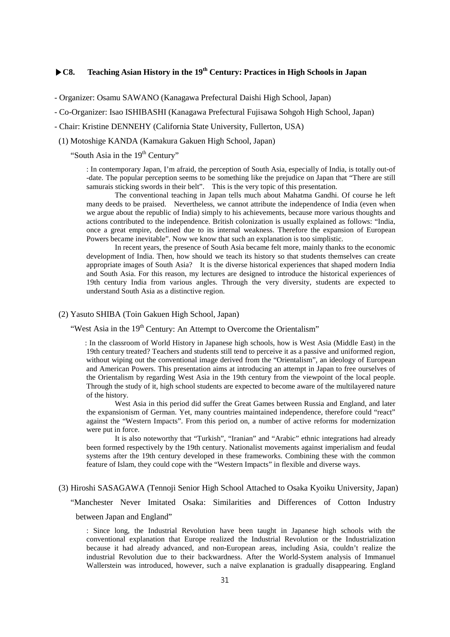# **▶C8. Teaching Asian History in the 19th Century: Practices in High Schools in Japan**

- Organizer: Osamu SAWANO (Kanagawa Prefectural Daishi High School, Japan)

- Co-Organizer: Isao ISHIBASHI (Kanagawa Prefectural Fujisawa Sohgoh High School, Japan)

- Chair: Kristine DENNEHY (California State University, Fullerton, USA)
- (1) Motoshige KANDA (Kamakura Gakuen High School, Japan)

"South Asia in the 19<sup>th</sup> Century"

: In contemporary Japan, I'm afraid, the perception of South Asia, especially of India, is totally out-of -date. The popular perception seems to be something like the prejudice on Japan that "There are still samurais sticking swords in their belt". This is the very topic of this presentation.

The conventional teaching in Japan tells much about Mahatma Gandhi. Of course he left many deeds to be praised. Nevertheless, we cannot attribute the independence of India (even when we argue about the republic of India) simply to his achievements, because more various thoughts and actions contributed to the independence. British colonization is usually explained as follows: "India, once a great empire, declined due to its internal weakness. Therefore the expansion of European Powers became inevitable". Now we know that such an explanation is too simplistic.

In recent years, the presence of South Asia became felt more, mainly thanks to the economic development of India. Then, how should we teach its history so that students themselves can create appropriate images of South Asia? It is the diverse historical experiences that shaped modern India and South Asia. For this reason, my lectures are designed to introduce the historical experiences of 19th century India from various angles. Through the very diversity, students are expected to understand South Asia as a distinctive region.

#### (2) Yasuto SHIBA (Toin Gakuen High School, Japan)

"West Asia in the 19<sup>th</sup> Century: An Attempt to Overcome the Orientalism"

: In the classroom of World History in Japanese high schools, how is West Asia (Middle East) in the 19th century treated? Teachers and students still tend to perceive it as a passive and uniformed region, without wiping out the conventional image derived from the "Orientalism", an ideology of European and American Powers. This presentation aims at introducing an attempt in Japan to free ourselves of the Orientalism by regarding West Asia in the 19th century from the viewpoint of the local people. Through the study of it, high school students are expected to become aware of the multilayered nature of the history.

West Asia in this period did suffer the Great Games between Russia and England, and later the expansionism of German. Yet, many countries maintained independence, therefore could "react" against the "Western Impacts". From this period on, a number of active reforms for modernization were put in force.

It is also noteworthy that "Turkish", "Iranian" and "Arabic" ethnic integrations had already been formed respectively by the 19th century. Nationalist movements against imperialism and feudal systems after the 19th century developed in these frameworks. Combining these with the common feature of Islam, they could cope with the "Western Impacts" in flexible and diverse ways.

## (3) Hiroshi SASAGAWA (Tennoji Senior High School Attached to Osaka Kyoiku University, Japan)

"Manchester Never Imitated Osaka: Similarities and Differences of Cotton Industry between Japan and England"

: Since long, the Industrial Revolution have been taught in Japanese high schools with the conventional explanation that Europe realized the Industrial Revolution or the Industrialization because it had already advanced, and non-European areas, including Asia, couldn't realize the industrial Revolution due to their backwardness. After the World-System analysis of Immanuel Wallerstein was introduced, however, such a naïve explanation is gradually disappearing. England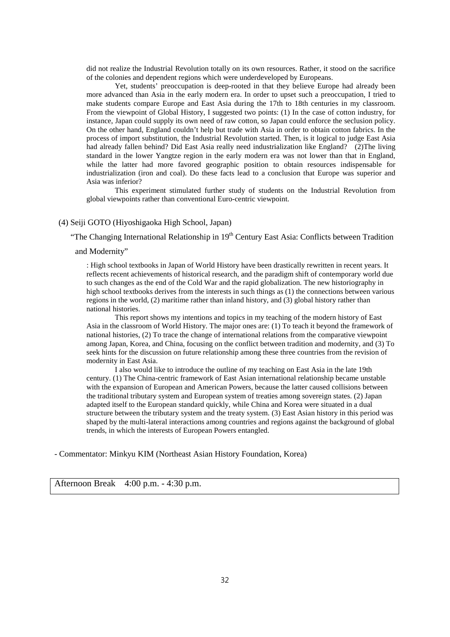did not realize the Industrial Revolution totally on its own resources. Rather, it stood on the sacrifice of the colonies and dependent regions which were underdeveloped by Europeans.

Yet, students' preoccupation is deep-rooted in that they believe Europe had already been more advanced than Asia in the early modern era. In order to upset such a preoccupation, I tried to make students compare Europe and East Asia during the 17th to 18th centuries in my classroom. From the viewpoint of Global History, I suggested two points: (1) In the case of cotton industry, for instance, Japan could supply its own need of raw cotton, so Japan could enforce the seclusion policy. On the other hand, England couldn't help but trade with Asia in order to obtain cotton fabrics. In the process of import substitution, the Industrial Revolution started. Then, is it logical to judge East Asia had already fallen behind? Did East Asia really need industrialization like England? (2)The living standard in the lower Yangtze region in the early modern era was not lower than that in England, while the latter had more favored geographic position to obtain resources indispensable for industrialization (iron and coal). Do these facts lead to a conclusion that Europe was superior and Asia was inferior?

This experiment stimulated further study of students on the Industrial Revolution from global viewpoints rather than conventional Euro-centric viewpoint.

## (4) Seiji GOTO (Hiyoshigaoka High School, Japan)

"The Changing International Relationship in  $19<sup>th</sup>$  Century East Asia: Conflicts between Tradition

and Modernity"

: High school textbooks in Japan of World History have been drastically rewritten in recent years. It reflects recent achievements of historical research, and the paradigm shift of contemporary world due to such changes as the end of the Cold War and the rapid globalization. The new historiography in high school textbooks derives from the interests in such things as (1) the connections between various regions in the world, (2) maritime rather than inland history, and (3) global history rather than national histories.

This report shows my intentions and topics in my teaching of the modern history of East Asia in the classroom of World History. The major ones are: (1) To teach it beyond the framework of national histories, (2) To trace the change of international relations from the comparative viewpoint among Japan, Korea, and China, focusing on the conflict between tradition and modernity, and (3) To seek hints for the discussion on future relationship among these three countries from the revision of modernity in East Asia.

I also would like to introduce the outline of my teaching on East Asia in the late 19th century. (1) The China-centric framework of East Asian international relationship became unstable with the expansion of European and American Powers, because the latter caused collisions between the traditional tributary system and European system of treaties among sovereign states. (2) Japan adapted itself to the European standard quickly, while China and Korea were situated in a dual structure between the tributary system and the treaty system. (3) East Asian history in this period was shaped by the multi-lateral interactions among countries and regions against the background of global trends, in which the interests of European Powers entangled.

- Commentator: Minkyu KIM (Northeast Asian History Foundation, Korea)

Afternoon Break 4:00 p.m. - 4:30 p.m.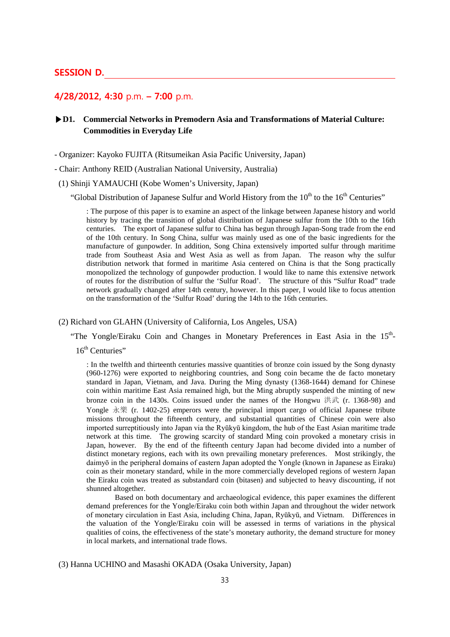## **SESSION D.**

# **4/28/2012, 4:30** p.m. **– 7:00** p.m.

# **▶D1. Commercial Networks in Premodern Asia and Transformations of Material Culture: Commodities in Everyday Life**

- Organizer: Kayoko FUJITA (Ritsumeikan Asia Pacific University, Japan)

- Chair: Anthony REID (Australian National University, Australia)

(1) Shinji YAMAUCHI (Kobe Women's University, Japan)

"Global Distribution of Japanese Sulfur and World History from the  $10<sup>th</sup>$  to the  $16<sup>th</sup>$  Centuries"

: The purpose of this paper is to examine an aspect of the linkage between Japanese history and world history by tracing the transition of global distribution of Japanese sulfur from the 10th to the 16th centuries. The export of Japanese sulfur to China has begun through Japan-Song trade from the end of the 10th century. In Song China, sulfur was mainly used as one of the basic ingredients for the manufacture of gunpowder. In addition, Song China extensively imported sulfur through maritime trade from Southeast Asia and West Asia as well as from Japan. The reason why the sulfur distribution network that formed in maritime Asia centered on China is that the Song practically monopolized the technology of gunpowder production. I would like to name this extensive network of routes for the distribution of sulfur the 'Sulfur Road'. The structure of this "Sulfur Road" trade network gradually changed after 14th century, however. In this paper, I would like to focus attention on the transformation of the 'Sulfur Road' during the 14th to the 16th centuries.

#### (2) Richard von GLAHN (University of California, Los Angeles, USA)

"The Yongle/Eiraku Coin and Changes in Monetary Preferences in East Asia in the 15<sup>th</sup>-

 $16<sup>th</sup>$  Centuries"

: In the twelfth and thirteenth centuries massive quantities of bronze coin issued by the Song dynasty (960-1276) were exported to neighboring countries, and Song coin became the de facto monetary standard in Japan, Vietnam, and Java. During the Ming dynasty (1368-1644) demand for Chinese coin within maritime East Asia remained high, but the Ming abruptly suspended the minting of new bronze coin in the 1430s. Coins issued under the names of the Hongwu 洪武  $(r. 1368-98)$  and Yongle 永樂 (r. 1402-25) emperors were the principal import cargo of official Japanese tribute missions throughout the fifteenth century, and substantial quantities of Chinese coin were also imported surreptitiously into Japan via the Ryūkyū kingdom, the hub of the East Asian maritime trade network at this time. The growing scarcity of standard Ming coin provoked a monetary crisis in Japan, however. By the end of the fifteenth century Japan had become divided into a number of distinct monetary regions, each with its own prevailing monetary preferences. Most strikingly, the daimyō in the peripheral domains of eastern Japan adopted the Yongle (known in Japanese as Eiraku) coin as their monetary standard, while in the more commercially developed regions of western Japan the Eiraku coin was treated as substandard coin (bitasen) and subjected to heavy discounting, if not shunned altogether.

Based on both documentary and archaeological evidence, this paper examines the different demand preferences for the Yongle/Eiraku coin both within Japan and throughout the wider network of monetary circulation in East Asia, including China, Japan, Ryūkyū, and Vietnam. Differences in the valuation of the Yongle/Eiraku coin will be assessed in terms of variations in the physical qualities of coins, the effectiveness of the state's monetary authority, the demand structure for money in local markets, and international trade flows.

#### (3) Hanna UCHINO and Masashi OKADA (Osaka University, Japan)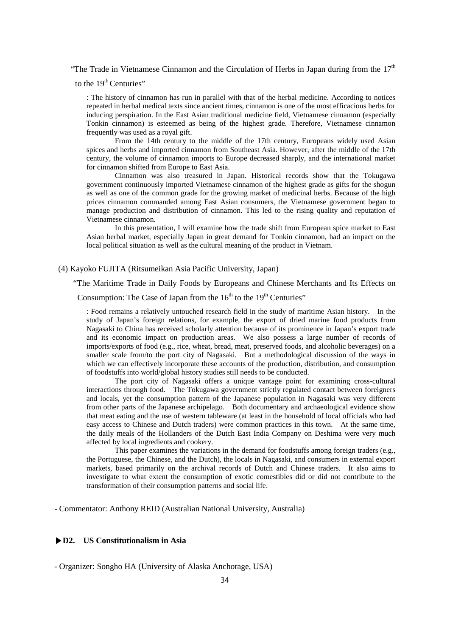"The Trade in Vietnamese Cinnamon and the Circulation of Herbs in Japan during from the  $17<sup>th</sup>$ 

to the  $19<sup>th</sup>$  Centuries"

: The history of cinnamon has run in parallel with that of the herbal medicine. According to notices repeated in herbal medical texts since ancient times, cinnamon is one of the most efficacious herbs for inducing perspiration. In the East Asian traditional medicine field, Vietnamese cinnamon (especially Tonkin cinnamon) is esteemed as being of the highest grade. Therefore, Vietnamese cinnamon frequently was used as a royal gift.

From the 14th century to the middle of the 17th century, Europeans widely used Asian spices and herbs and imported cinnamon from Southeast Asia. However, after the middle of the 17th century, the volume of cinnamon imports to Europe decreased sharply, and the international market for cinnamon shifted from Europe to East Asia.

Cinnamon was also treasured in Japan. Historical records show that the Tokugawa government continuously imported Vietnamese cinnamon of the highest grade as gifts for the shogun as well as one of the common grade for the growing market of medicinal herbs. Because of the high prices cinnamon commanded among East Asian consumers, the Vietnamese government began to manage production and distribution of cinnamon. This led to the rising quality and reputation of Vietnamese cinnamon.

In this presentation, I will examine how the trade shift from European spice market to East Asian herbal market, especially Japan in great demand for Tonkin cinnamon, had an impact on the local political situation as well as the cultural meaning of the product in Vietnam.

(4) Kayoko FUJITA (Ritsumeikan Asia Pacific University, Japan)

"The Maritime Trade in Daily Foods by Europeans and Chinese Merchants and Its Effects on

Consumption: The Case of Japan from the  $16<sup>th</sup>$  to the  $19<sup>th</sup>$  Centuries"

: Food remains a relatively untouched research field in the study of maritime Asian history. In the study of Japan's foreign relations, for example, the export of dried marine food products from Nagasaki to China has received scholarly attention because of its prominence in Japan's export trade and its economic impact on production areas. We also possess a large number of records of imports/exports of food (e.g., rice, wheat, bread, meat, preserved foods, and alcoholic beverages) on a smaller scale from/to the port city of Nagasaki. But a methodological discussion of the ways in which we can effectively incorporate these accounts of the production, distribution, and consumption of foodstuffs into world/global history studies still needs to be conducted.

The port city of Nagasaki offers a unique vantage point for examining cross-cultural interactions through food. The Tokugawa government strictly regulated contact between foreigners and locals, yet the consumption pattern of the Japanese population in Nagasaki was very different from other parts of the Japanese archipelago. Both documentary and archaeological evidence show that meat eating and the use of western tableware (at least in the household of local officials who had easy access to Chinese and Dutch traders) were common practices in this town. At the same time, the daily meals of the Hollanders of the Dutch East India Company on Deshima were very much affected by local ingredients and cookery.

This paper examines the variations in the demand for foodstuffs among foreign traders (e.g., the Portuguese, the Chinese, and the Dutch), the locals in Nagasaki, and consumers in external export markets, based primarily on the archival records of Dutch and Chinese traders. It also aims to investigate to what extent the consumption of exotic comestibles did or did not contribute to the transformation of their consumption patterns and social life.

- Commentator: Anthony REID (Australian National University, Australia)

## **▶D2. US Constitutionalism in Asia**

- Organizer: Songho HA (University of Alaska Anchorage, USA)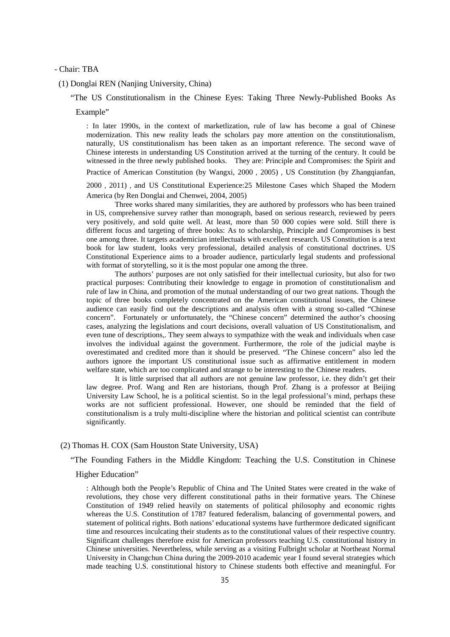#### - Chair: TBA

(1) Donglai REN (Nanjing University, China)

"The US Constitutionalism in the Chinese Eyes: Taking Three Newly-Published Books As

#### Example"

: In later 1990s, in the context of marketlization, rule of law has become a goal of Chinese modernization. This new reality leads the scholars pay more attention on the constitutionalism, naturally, US constitutionalism has been taken as an important reference. The second wave of Chinese interests in understanding US Constitution arrived at the turning of the century. It could be witnessed in the three newly published books. They are: Principle and Compromises: the Spirit and Practice of American Constitution (by Wangxi, 2000, 2005), US Constitution (by Zhangqianfan,

2000, 2011), and US Constitutional Experience:25 Milestone Cases which Shaped the Modern America (by Ren Donglai and Chenwei, 2004, 2005)

Three works shared many similarities, they are authored by professors who has been trained in US, comprehensive survey rather than monograph, based on serious research, reviewed by peers very positively, and sold quite well. At least, more than 50 000 copies were sold. Still there is different focus and targeting of three books: As to scholarship, Principle and Compromises is best one among three. It targets academician intellectuals with excellent research. US Constitution is a text book for law student, looks very professional, detailed analysis of constitutional doctrines. US Constitutional Experience aims to a broader audience, particularly legal students and professional with format of storytelling, so it is the most popular one among the three.

The authors' purposes are not only satisfied for their intellectual curiosity, but also for two practical purposes: Contributing their knowledge to engage in promotion of constitutionalism and rule of law in China, and promotion of the mutual understanding of our two great nations. Though the topic of three books completely concentrated on the American constitutional issues, the Chinese audience can easily find out the descriptions and analysis often with a strong so-called "Chinese concern". Fortunately or unfortunately, the "Chinese concern" determined the author's choosing cases, analyzing the legislations and court decisions, overall valuation of US Constitutionalism, and even tune of descriptions,. They seem always to sympathize with the weak and individuals when case involves the individual against the government. Furthermore, the role of the judicial maybe is overestimated and credited more than it should be preserved. "The Chinese concern" also led the authors ignore the important US constitutional issue such as affirmative entitlement in modern welfare state, which are too complicated and strange to be interesting to the Chinese readers.

It is little surprised that all authors are not genuine law professor, i.e. they didn't get their law degree. Prof. Wang and Ren are historians, though Prof. Zhang is a professor at Beijing University Law School, he is a political scientist. So in the legal professional's mind, perhaps these works are not sufficient professional. However, one should be reminded that the field of constitutionalism is a truly multi-discipline where the historian and political scientist can contribute significantly.

#### (2) Thomas H. COX (Sam Houston State University, USA)

"The Founding Fathers in the Middle Kingdom: Teaching the U.S. Constitution in Chinese

#### Higher Education"

: Although both the People's Republic of China and The United States were created in the wake of revolutions, they chose very different constitutional paths in their formative years. The Chinese Constitution of 1949 relied heavily on statements of political philosophy and economic rights whereas the U.S. Constitution of 1787 featured federalism, balancing of governmental powers, and statement of political rights. Both nations' educational systems have furthermore dedicated significant time and resources inculcating their students as to the constitutional values of their respective country. Significant challenges therefore exist for American professors teaching U.S. constitutional history in Chinese universities. Nevertheless, while serving as a visiting Fulbright scholar at Northeast Normal University in Changchun China during the 2009-2010 academic year I found several strategies which made teaching U.S. constitutional history to Chinese students both effective and meaningful. For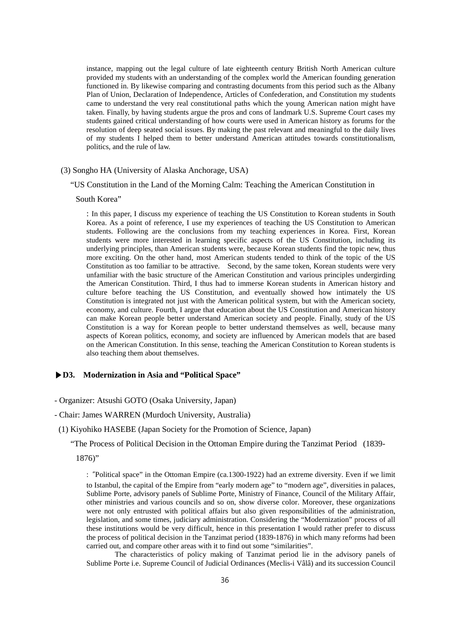instance, mapping out the legal culture of late eighteenth century British North American culture provided my students with an understanding of the complex world the American founding generation functioned in. By likewise comparing and contrasting documents from this period such as the Albany Plan of Union, Declaration of Independence, Articles of Confederation, and Constitution my students came to understand the very real constitutional paths which the young American nation might have taken. Finally, by having students argue the pros and cons of landmark U.S. Supreme Court cases my students gained critical understanding of how courts were used in American history as forums for the resolution of deep seated social issues. By making the past relevant and meaningful to the daily lives of my students I helped them to better understand American attitudes towards constitutionalism, politics, and the rule of law.

## (3) Songho HA (University of Alaska Anchorage, USA)

## "US Constitution in the Land of the Morning Calm: Teaching the American Constitution in

## South Korea"

: In this paper, I discuss my experience of teaching the US Constitution to Korean students in South Korea. As a point of reference, I use my experiences of teaching the US Constitution to American students. Following are the conclusions from my teaching experiences in Korea. First, Korean students were more interested in learning specific aspects of the US Constitution, including its underlying principles, than American students were, because Korean students find the topic new, thus more exciting. On the other hand, most American students tended to think of the topic of the US Constitution as too familiar to be attractive. Second, by the same token, Korean students were very unfamiliar with the basic structure of the American Constitution and various principles undergirding the American Constitution. Third, I thus had to immerse Korean students in American history and culture before teaching the US Constitution, and eventually showed how intimately the US Constitution is integrated not just with the American political system, but with the American society, economy, and culture. Fourth, I argue that education about the US Constitution and American history can make Korean people better understand American society and people. Finally, study of the US Constitution is a way for Korean people to better understand themselves as well, because many aspects of Korean politics, economy, and society are influenced by American models that are based on the American Constitution. In this sense, teaching the American Constitution to Korean students is also teaching them about themselves.

#### **▶D3. Modernization in Asia and "Political Space"**

- Organizer: Atsushi GOTO (Osaka University, Japan)

#### - Chair: James WARREN (Murdoch University, Australia)

(1) Kiyohiko HASEBE (Japan Society for the Promotion of Science, Japan)

"The Process of Political Decision in the Ottoman Empire during the Tanzimat Period (1839-

1876)"

: "Political space" in the Ottoman Empire (ca.1300-1922) had an extreme diversity. Even if we limit to Istanbul, the capital of the Empire from "early modern age" to "modern age", diversities in palaces, Sublime Porte, advisory panels of Sublime Porte, Ministry of Finance, Council of the Military Affair, other ministries and various councils and so on, show diverse color. Moreover, these organizations were not only entrusted with political affairs but also given responsibilities of the administration, legislation, and some times, judiciary administration. Considering the "Modernization" process of all these institutions would be very difficult, hence in this presentation I would rather prefer to discuss the process of political decision in the Tanzimat period (1839-1876) in which many reforms had been carried out, and compare other areas with it to find out some "similarities".

The characteristics of policy making of Tanzimat period lie in the advisory panels of Sublime Porte i.e. Supreme Council of Judicial Ordinances (Meclis-i Vâlâ) and its succession Council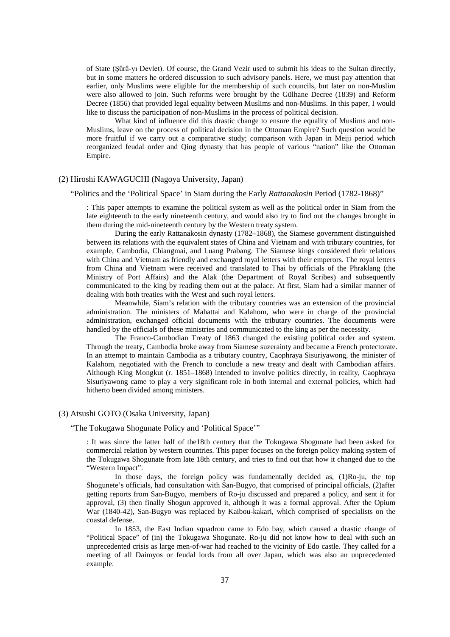of State (Şûrâ-yı Devlet). Of course, the Grand Vezir used to submit his ideas to the Sultan directly, but in some matters he ordered discussion to such advisory panels. Here, we must pay attention that earlier, only Muslims were eligible for the membership of such councils, but later on non-Muslim were also allowed to join. Such reforms were brought by the Gülhane Decree (1839) and Reform Decree (1856) that provided legal equality between Muslims and non-Muslims. In this paper, I would like to discuss the participation of non-Muslims in the process of political decision.

What kind of influence did this drastic change to ensure the equality of Muslims and non-Muslims, leave on the process of political decision in the Ottoman Empire? Such question would be more fruitful if we carry out a comparative study; comparison with Japan in Meiji period which reorganized feudal order and Qing dynasty that has people of various "nation" like the Ottoman Empire.

## (2) Hiroshi KAWAGUCHI (Nagoya University, Japan)

#### "Politics and the 'Political Space' in Siam during the Early *Rattanakosin* Period (1782-1868)"

: This paper attempts to examine the political system as well as the political order in Siam from the late eighteenth to the early nineteenth century, and would also try to find out the changes brought in them during the mid-nineteenth century by the Western treaty system.

During the early Rattanakosin dynasty (1782–1868), the Siamese government distinguished between its relations with the equivalent states of China and Vietnam and with tributary countries, for example, Cambodia, Chiangmai, and Luang Prabang. The Siamese kings considered their relations with China and Vietnam as friendly and exchanged royal letters with their emperors. The royal letters from China and Vietnam were received and translated to Thai by officials of the Phraklang (the Ministry of Port Affairs) and the Alak (the Department of Royal Scribes) and subsequently communicated to the king by reading them out at the palace. At first, Siam had a similar manner of dealing with both treaties with the West and such royal letters.

Meanwhile, Siam's relation with the tributary countries was an extension of the provincial administration. The ministers of Mahattai and Kalahom, who were in charge of the provincial administration, exchanged official documents with the tributary countries. The documents were handled by the officials of these ministries and communicated to the king as per the necessity.

The Franco-Cambodian Treaty of 1863 changed the existing political order and system. Through the treaty, Cambodia broke away from Siamese suzerainty and became a French protectorate. In an attempt to maintain Cambodia as a tributary country, Caophraya Sisuriyawong, the minister of Kalahom, negotiated with the French to conclude a new treaty and dealt with Cambodian affairs. Although King Mongkut (r. 1851–1868) intended to involve politics directly, in reality, Caophraya Sisuriyawong came to play a very significant role in both internal and external policies, which had hitherto been divided among ministers.

#### (3) Atsushi GOTO (Osaka University, Japan)

## "The Tokugawa Shogunate Policy and 'Political Space'"

: It was since the latter half of the18th century that the Tokugawa Shogunate had been asked for commercial relation by western countries. This paper focuses on the foreign policy making system of the Tokugawa Shogunate from late 18th century, and tries to find out that how it changed due to the "Western Impact".

In those days, the foreign policy was fundamentally decided as, (1)Ro-ju, the top Shogunete's officials, had consultation with San-Bugyo, that comprised of principal officials, (2)after getting reports from San-Bugyo, members of Ro-ju discussed and prepared a policy, and sent it for approval, (3) then finally Shogun approved it, although it was a formal approval. After the Opium War (1840-42), San-Bugyo was replaced by Kaibou-kakari, which comprised of specialists on the coastal defense.

In 1853, the East Indian squadron came to Edo bay, which caused a drastic change of "Political Space" of (in) the Tokugawa Shogunate. Ro-ju did not know how to deal with such an unprecedented crisis as large men-of-war had reached to the vicinity of Edo castle. They called for a meeting of all Daimyos or feudal lords from all over Japan, which was also an unprecedented example.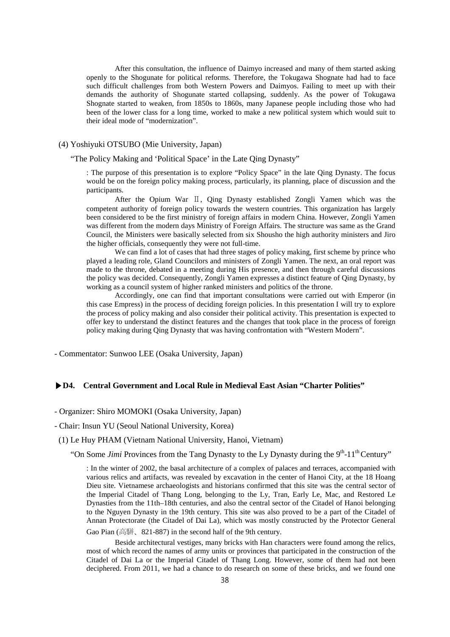After this consultation, the influence of Daimyo increased and many of them started asking openly to the Shogunate for political reforms. Therefore, the Tokugawa Shognate had had to face such difficult challenges from both Western Powers and Daimyos. Failing to meet up with their demands the authority of Shogunate started collapsing, suddenly. As the power of Tokugawa Shognate started to weaken, from 1850s to 1860s, many Japanese people including those who had been of the lower class for a long time, worked to make a new political system which would suit to their ideal mode of "modernization".

## (4) Yoshiyuki OTSUBO (Mie University, Japan)

#### "The Policy Making and 'Political Space' in the Late Qing Dynasty"

: The purpose of this presentation is to explore "Policy Space" in the late Qing Dynasty. The focus would be on the foreign policy making process, particularly, its planning, place of discussion and the participants.

After the Opium War Ⅱ, Qing Dynasty established Zongli Yamen which was the competent authority of foreign policy towards the western countries. This organization has largely been considered to be the first ministry of foreign affairs in modern China. However, Zongli Yamen was different from the modern days Ministry of Foreign Affairs. The structure was same as the Grand Council, the Ministers were basically selected from six Shousho the high authority ministers and Jiro the higher officials, consequently they were not full-time.

We can find a lot of cases that had three stages of policy making, first scheme by prince who played a leading role, Gland Councilors and ministers of Zongli Yamen. The next, an oral report was made to the throne, debated in a meeting during His presence, and then through careful discussions the policy was decided. Consequently, Zongli Yamen expresses a distinct feature of Qing Dynasty, by working as a council system of higher ranked ministers and politics of the throne.

Accordingly, one can find that important consultations were carried out with Emperor (in this case Empress) in the process of deciding foreign policies. In this presentation I will try to explore the process of policy making and also consider their political activity. This presentation is expected to offer key to understand the distinct features and the changes that took place in the process of foreign policy making during Qing Dynasty that was having confrontation with "Western Modern".

- Commentator: Sunwoo LEE (Osaka University, Japan)

## **▶D4. Central Government and Local Rule in Medieval East Asian "Charter Polities"**

- Organizer: Shiro MOMOKI (Osaka University, Japan)

## - Chair: Insun YU (Seoul National University, Korea)

#### (1) Le Huy PHAM (Vietnam National University, Hanoi, Vietnam)

"On Some *Jimi* Provinces from the Tang Dynasty to the Ly Dynasty during the 9<sup>th</sup>-11<sup>th</sup> Century"

: In the winter of 2002, the basal architecture of a complex of palaces and terraces, accompanied with various relics and artifacts, was revealed by excavation in the center of Hanoi City, at the 18 Hoang Dieu site. Vietnamese archaeologists and historians confirmed that this site was the central sector of the Imperial Citadel of Thang Long, belonging to the Ly, Tran, Early Le, Mac, and Restored Le Dynasties from the 11th–18th centuries, and also the central sector of the Citadel of Hanoi belonging to the Nguyen Dynasty in the 19th century. This site was also proved to be a part of the Citadel of Annan Protectorate (the Citadel of Dai La), which was mostly constructed by the Protector General

Gao Pian (高駢、821-887) in the second half of the 9th century.

Beside architectural vestiges, many bricks with Han characters were found among the relics, most of which record the names of army units or provinces that participated in the construction of the Citadel of Dai La or the Imperial Citadel of Thang Long. However, some of them had not been deciphered. From 2011, we had a chance to do research on some of these bricks, and we found one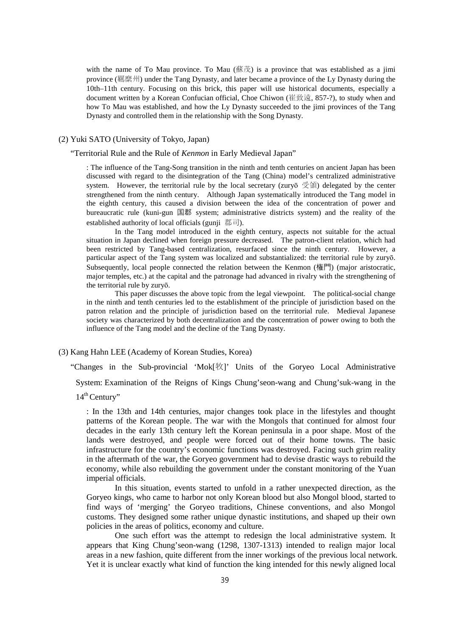with the name of To Mau province. To Mau  $(\mathbb{R}\times\mathbb{R})$  is a province that was established as a jimi province (羈縻州) under the Tang Dynasty, and later became a province of the Ly Dynasty during the 10th–11th century. Focusing on this brick, this paper will use historical documents, especially a document written by a Korean Confucian official, Choe Chiwon (崔致遠, 857-?), to study when and how To Mau was established, and how the Ly Dynasty succeeded to the jimi provinces of the Tang Dynasty and controlled them in the relationship with the Song Dynasty.

## (2) Yuki SATO (University of Tokyo, Japan)

"Territorial Rule and the Rule of *Kenmon* in Early Medieval Japan"

: The influence of the Tang-Song transition in the ninth and tenth centuries on ancient Japan has been discussed with regard to the disintegration of the Tang (China) model's centralized administrative system. However, the territorial rule by the local secretary (zuryō 受領) delegated by the center strengthened from the ninth century. Although Japan systematically introduced the Tang model in the eighth century, this caused a division between the idea of the concentration of power and bureaucratic rule (kuni-gun 国郡 system; administrative districts system) and the reality of the established authority of local officials (gunji 郡司).

In the Tang model introduced in the eighth century, aspects not suitable for the actual situation in Japan declined when foreign pressure decreased. The patron-client relation, which had been restricted by Tang-based centralization, resurfaced since the ninth century. However, a particular aspect of the Tang system was localized and substantialized: the territorial rule by zuryō. Subsequently, local people connected the relation between the Kenmon (権門) (major aristocratic, major temples, etc.) at the capital and the patronage had advanced in rivalry with the strengthening of the territorial rule by zuryō.

This paper discusses the above topic from the legal viewpoint. The political-social change in the ninth and tenth centuries led to the establishment of the principle of jurisdiction based on the patron relation and the principle of jurisdiction based on the territorial rule. Medieval Japanese society was characterized by both decentralization and the concentration of power owing to both the influence of the Tang model and the decline of the Tang Dynasty.

## (3) Kang Hahn LEE (Academy of Korean Studies, Korea)

"Changes in the Sub-provincial 'Mok[牧]' Units of the Goryeo Local Administrative

System: Examination of the Reigns of Kings Chung'seon-wang and Chung'suk-wang in the

: In the 13th and 14th centuries, major changes took place in the lifestyles and thought patterns of the Korean people. The war with the Mongols that continued for almost four decades in the early 13th century left the Korean peninsula in a poor shape. Most of the lands were destroyed, and people were forced out of their home towns. The basic infrastructure for the country's economic functions was destroyed. Facing such grim reality in the aftermath of the war, the Goryeo government had to devise drastic ways to rebuild the economy, while also rebuilding the government under the constant monitoring of the Yuan imperial officials.

In this situation, events started to unfold in a rather unexpected direction, as the Goryeo kings, who came to harbor not only Korean blood but also Mongol blood, started to find ways of 'merging' the Goryeo traditions, Chinese conventions, and also Mongol customs. They designed some rather unique dynastic institutions, and shaped up their own policies in the areas of politics, economy and culture.

One such effort was the attempt to redesign the local administrative system. It appears that King Chung'seon-wang (1298, 1307-1313) intended to realign major local areas in a new fashion, quite different from the inner workings of the previous local network. Yet it is unclear exactly what kind of function the king intended for this newly aligned local

 $14<sup>th</sup>$ Century"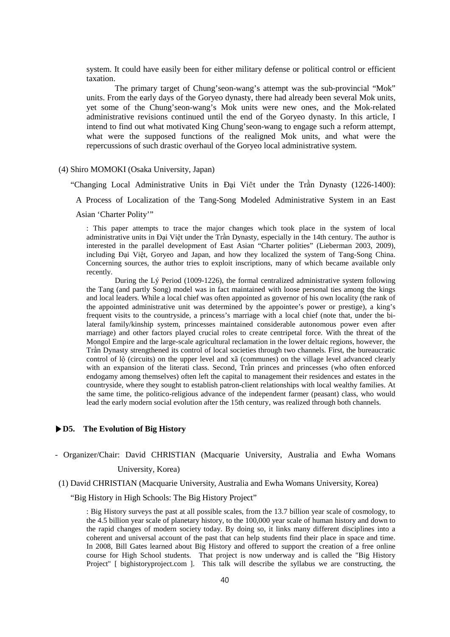system. It could have easily been for either military defense or political control or efficient taxation.

The primary target of Chung'seon-wang's attempt was the sub-provincial "Mok" units. From the early days of the Goryeo dynasty, there had already been several Mok units, yet some of the Chung'seon-wang's Mok units were new ones, and the Mok-related administrative revisions continued until the end of the Goryeo dynasty. In this article, I intend to find out what motivated King Chung'seon-wang to engage such a reform attempt, what were the supposed functions of the realigned Mok units, and what were the repercussions of such drastic overhaul of the Goryeo local administrative system.

## (4) Shiro MOMOKI (Osaka University, Japan)

"Changing Local Administrative Units in Ðại Viêt under the Trần Dynasty (1226-1400):

A Process of Localization of the Tang-Song Modeled Administrative System in an East

Asian 'Charter Polity'"

: This paper attempts to trace the major changes which took place in the system of local administrative units in Đại Việt under the Trần Dynasty, especially in the 14th century. The author is interested in the parallel development of East Asian "Charter polities" (Lieberman 2003, 2009), including Đại Việt, Goryeo and Japan, and how they localized the system of Tang-Song China. Concerning sources, the author tries to exploit inscriptions, many of which became available only recently.

During the Lý Period (1009-1226), the formal centralized administrative system following the Tang (and partly Song) model was in fact maintained with loose personal ties among the kings and local leaders. While a local chief was often appointed as governor of his own locality (the rank of the appointed administrative unit was determined by the appointee's power or prestige), a king's frequent visits to the countryside, a princess's marriage with a local chief (note that, under the bilateral family/kinship system, princesses maintained considerable autonomous power even after marriage) and other factors played crucial roles to create centripetal force. With the threat of the Mongol Empire and the large-scale agricultural reclamation in the lower deltaic regions, however, the Trần Dynasty strengthened its control of local societies through two channels. First, the bureaucratic control of lộ (circuits) on the upper level and xã (communes) on the village level advanced clearly with an expansion of the literati class. Second, Trần princes and princesses (who often enforced endogamy among themselves) often left the capital to management their residences and estates in the countryside, where they sought to establish patron-client relationships with local wealthy families. At the same time, the politico-religious advance of the independent farmer (peasant) class, who would lead the early modern social evolution after the 15th century, was realized through both channels.

## **▶D5. The Evolution of Big History**

- Organizer/Chair: David CHRISTIAN (Macquarie University, Australia and Ewha Womans

## University, Korea)

(1) David CHRISTIAN (Macquarie University, Australia and Ewha Womans University, Korea)

"Big History in High Schools: The Big History Project"

: Big History surveys the past at all possible scales, from the 13.7 billion year scale of cosmology, to the 4.5 billion year scale of planetary history, to the 100,000 year scale of human history and down to the rapid changes of modern society today. By doing so, it links many different disciplines into a coherent and universal account of the past that can help students find their place in space and time. In 2008, Bill Gates learned about Big History and offered to support the creation of a free online course for High School students. That project is now underway and is called the "Big History Project" [ bighistoryproject.com ]. This talk will describe the syllabus we are constructing, the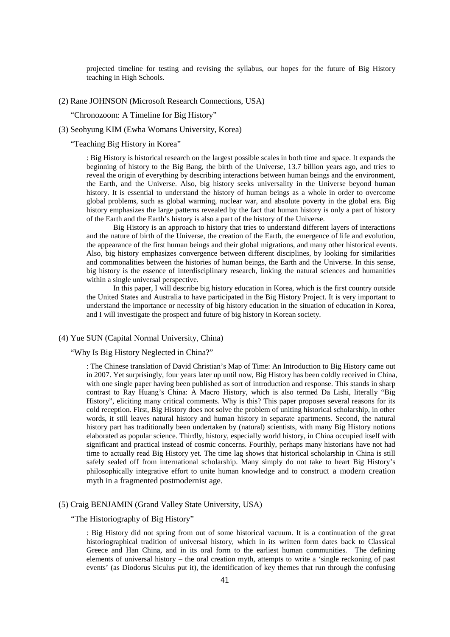projected timeline for testing and revising the syllabus, our hopes for the future of Big History teaching in High Schools.

#### (2) Rane JOHNSON (Microsoft Research Connections, USA)

"Chronozoom: A Timeline for Big History"

## (3) Seohyung KIM (Ewha Womans University, Korea)

#### "Teaching Big History in Korea"

: Big History is historical research on the largest possible scales in both time and space. It expands the beginning of history to the Big Bang, the birth of the Universe, 13.7 billion years ago, and tries to reveal the origin of everything by describing interactions between human beings and the environment, the Earth, and the Universe. Also, big history seeks universality in the Universe beyond human history. It is essential to understand the history of human beings as a whole in order to overcome global problems, such as global warming, nuclear war, and absolute poverty in the global era. Big history emphasizes the large patterns revealed by the fact that human history is only a part of history of the Earth and the Earth's history is also a part of the history of the Universe.

Big History is an approach to history that tries to understand different layers of interactions and the nature of birth of the Universe, the creation of the Earth, the emergence of life and evolution, the appearance of the first human beings and their global migrations, and many other historical events. Also, big history emphasizes convergence between different disciplines, by looking for similarities and commonalities between the histories of human beings, the Earth and the Universe. In this sense, big history is the essence of interdisciplinary research, linking the natural sciences and humanities within a single universal perspective.

In this paper, I will describe big history education in Korea, which is the first country outside the United States and Australia to have participated in the Big History Project. It is very important to understand the importance or necessity of big history education in the situation of education in Korea, and I will investigate the prospect and future of big history in Korean society.

## (4) Yue SUN (Capital Normal University, China)

## "Why Is Big History Neglected in China?"

: The Chinese translation of David Christian's Map of Time: An Introduction to Big History came out in 2007. Yet surprisingly, four years later up until now, Big History has been coldly received in China, with one single paper having been published as sort of introduction and response. This stands in sharp contrast to Ray Huang's China: A Macro History, which is also termed Da Lishi, literally "Big History", eliciting many critical comments. Why is this? This paper proposes several reasons for its cold reception. First, Big History does not solve the problem of uniting historical scholarship, in other words, it still leaves natural history and human history in separate apartments. Second, the natural history part has traditionally been undertaken by (natural) scientists, with many Big History notions elaborated as popular science. Thirdly, history, especially world history, in China occupied itself with significant and practical instead of cosmic concerns. Fourthly, perhaps many historians have not had time to actually read Big History yet. The time lag shows that historical scholarship in China is still safely sealed off from international scholarship. Many simply do not take to heart Big History's philosophically integrative effort to unite human knowledge and to construct a modern creation myth in a fragmented postmodernist age.

## (5) Craig BENJAMIN (Grand Valley State University, USA)

#### "The Historiography of Big History"

: Big History did not spring from out of some historical vacuum. It is a continuation of the great historiographical tradition of universal history, which in its written form dates back to Classical Greece and Han China, and in its oral form to the earliest human communities. The defining elements of universal history – the oral creation myth, attempts to write a 'single reckoning of past events' (as Diodorus Siculus put it), the identification of key themes that run through the confusing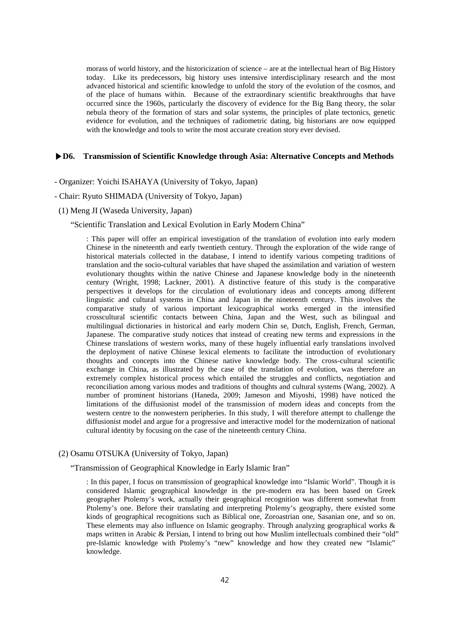morass of world history, and the historicization of science – are at the intellectual heart of Big History today. Like its predecessors, big history uses intensive interdisciplinary research and the most advanced historical and scientific knowledge to unfold the story of the evolution of the cosmos, and of the place of humans within. Because of the extraordinary scientific breakthroughs that have occurred since the 1960s, particularly the discovery of evidence for the Big Bang theory, the solar nebula theory of the formation of stars and solar systems, the principles of plate tectonics, genetic evidence for evolution, and the techniques of radiometric dating, big historians are now equipped with the knowledge and tools to write the most accurate creation story ever devised.

## **▶D6. Transmission of Scientific Knowledge through Asia: Alternative Concepts and Methods**

- Organizer: Yoichi ISAHAYA (University of Tokyo, Japan)

#### - Chair: Ryuto SHIMADA (University of Tokyo, Japan)

(1) Meng JI (Waseda University, Japan)

#### "Scientific Translation and Lexical Evolution in Early Modern China"

: This paper will offer an empirical investigation of the translation of evolution into early modern Chinese in the nineteenth and early twentieth century. Through the exploration of the wide range of historical materials collected in the database, I intend to identify various competing traditions of translation and the socio-cultural variables that have shaped the assimilation and variation of western evolutionary thoughts within the native Chinese and Japanese knowledge body in the nineteenth century (Wright, 1998; Lackner, 2001). A distinctive feature of this study is the comparative perspectives it develops for the circulation of evolutionary ideas and concepts among different linguistic and cultural systems in China and Japan in the nineteenth century. This involves the comparative study of various important lexicographical works emerged in the intensified crosscultural scientific contacts between China, Japan and the West, such as bilingual and multilingual dictionaries in historical and early modern Chin se, Dutch, English, French, German, Japanese. The comparative study notices that instead of creating new terms and expressions in the Chinese translations of western works, many of these hugely influential early translations involved the deployment of native Chinese lexical elements to facilitate the introduction of evolutionary thoughts and concepts into the Chinese native knowledge body. The cross-cultural scientific exchange in China, as illustrated by the case of the translation of evolution, was therefore an extremely complex historical process which entailed the struggles and conflicts, negotiation and reconciliation among various modes and traditions of thoughts and cultural systems (Wang, 2002). A number of prominent historians (Haneda, 2009; Jameson and Miyoshi, 1998) have noticed the limitations of the diffusionist model of the transmission of modern ideas and concepts from the western centre to the nonwestern peripheries. In this study, I will therefore attempt to challenge the diffusionist model and argue for a progressive and interactive model for the modernization of national cultural identity by focusing on the case of the nineteenth century China.

#### (2) Osamu OTSUKA (University of Tokyo, Japan)

"Transmission of Geographical Knowledge in Early Islamic Iran"

: In this paper, I focus on transmission of geographical knowledge into "Islamic World". Though it is considered Islamic geographical knowledge in the pre-modern era has been based on Greek geographer Ptolemy's work, actually their geographical recognition was different somewhat from Ptolemy's one. Before their translating and interpreting Ptolemy's geography, there existed some kinds of geographical recognitions such as Biblical one, Zoroastrian one, Sasanian one, and so on. These elements may also influence on Islamic geography. Through analyzing geographical works & maps written in Arabic & Persian, I intend to bring out how Muslim intellectuals combined their "old" pre-Islamic knowledge with Ptolemy's "new" knowledge and how they created new "Islamic" knowledge.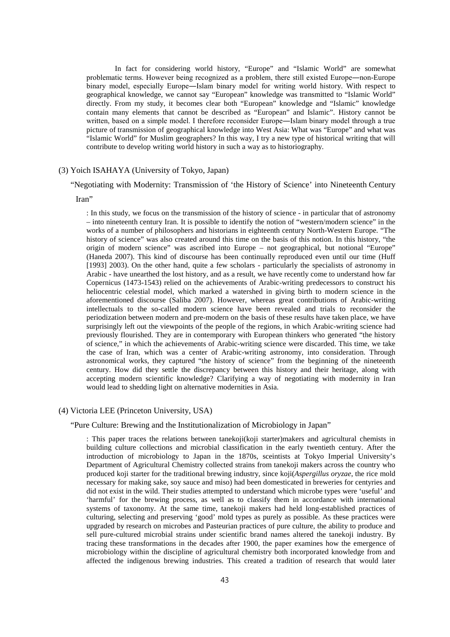In fact for considering world history, "Europe" and "Islamic World" are somewhat problematic terms. However being recognized as a problem, there still existed Europe―non-Europe binary model, especially Europe―Islam binary model for writing world history. With respect to geographical knowledge, we cannot say "European" knowledge was transmitted to "Islamic World" directly. From my study, it becomes clear both "European" knowledge and "Islamic" knowledge contain many elements that cannot be described as "European" and Islamic". History cannot be written, based on a simple model. I therefore reconsider Europe―Islam binary model through a true picture of transmission of geographical knowledge into West Asia: What was "Europe" and what was "Islamic World" for Muslim geographers? In this way, I try a new type of historical writing that will contribute to develop writing world history in such a way as to historiography.

## (3) Yoich ISAHAYA (University of Tokyo, Japan)

"Negotiating with Modernity: Transmission of 'the History of Science' into Nineteenth Century

#### Iran"

: In this study, we focus on the transmission of the history of science - in particular that of astronomy – into nineteenth century Iran. It is possible to identify the notion of "western/modern science" in the works of a number of philosophers and historians in eighteenth century North-Western Europe. "The history of science" was also created around this time on the basis of this notion. In this history, "the origin of modern science" was ascribed into Europe – not geographical, but notional "Europe" (Haneda 2007). This kind of discourse has been continually reproduced even until our time (Huff [1993] 2003). On the other hand, quite a few scholars - particularly the specialists of astronomy in Arabic - have unearthed the lost history, and as a result, we have recently come to understand how far Copernicus (1473-1543) relied on the achievements of Arabic-writing predecessors to construct his heliocentric celestial model, which marked a watershed in giving birth to modern science in the aforementioned discourse (Saliba 2007). However, whereas great contributions of Arabic-writing intellectuals to the so-called modern science have been revealed and trials to reconsider the periodization between modern and pre-modern on the basis of these results have taken place, we have surprisingly left out the viewpoints of the people of the regions, in which Arabic-writing science had previously flourished. They are in contemporary with European thinkers who generated "the history of science," in which the achievements of Arabic-writing science were discarded. This time, we take the case of Iran, which was a center of Arabic-writing astronomy, into consideration. Through astronomical works, they captured "the history of science" from the beginning of the nineteenth century. How did they settle the discrepancy between this history and their heritage, along with accepting modern scientific knowledge? Clarifying a way of negotiating with modernity in Iran would lead to shedding light on alternative modernities in Asia.

## (4) Victoria LEE (Princeton University, USA)

#### "Pure Culture: Brewing and the Institutionalization of Microbiology in Japan"

: This paper traces the relations between tanekoji(koji starter)makers and agricultural chemists in building culture collections and microbial classification in the early twentieth century. After the introduction of microbiology to Japan in the 1870s, sceintists at Tokyo Imperial University's Department of Agricultural Chemistry collected strains from tanekoji makers across the country who produced koji starter for the traditional brewing industry, since koji(*Aspergillus oryzae*, the rice mold necessary for making sake, soy sauce and miso) had been domesticated in breweries for centyries and did not exist in the wild. Their studies attempted to understand which microbe types were 'useful' and 'harmful' for the brewing process, as well as to classify them in accordance with international systems of taxonomy. At the same time, tanekoji makers had held long-established practices of culturing, selecting and preserving 'good' mold types as purely as possible. As these practices were upgraded by research on microbes and Pasteurian practices of pure culture, the ability to produce and sell pure-cultured microbial strains under scientific brand names altered the tanekoji industry. By tracing these transformations in the decades after 1900, the paper examines how the emergence of microbiology within the discipline of agricultural chemistry both incorporated knowledge from and affected the indigenous brewing industries. This created a tradition of research that would later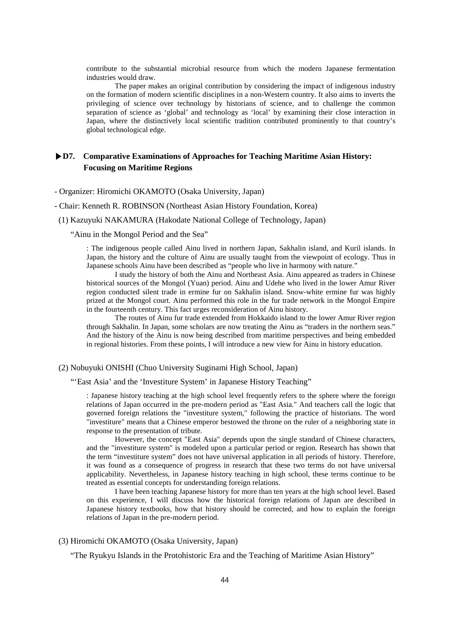contribute to the substantial microbial resource from which the modern Japanese fermentation industries would draw.

The paper makes an original contribution by considering the impact of indigenous industry on the formation of modern scientific disciplines in a non-Western country. It also aims to inverts the privileging of science over technology by historians of science, and to challenge the common separation of science as 'global' and technology as 'local' by examining their close interaction in Japan, where the distinctively local scientific tradition contributed prominently to that country's global technological edge.

# **▶D7. Comparative Examinations of Approaches for Teaching Maritime Asian History: Focusing on Maritime Regions**

- Organizer: Hiromichi OKAMOTO (Osaka University, Japan)

- Chair: Kenneth R. ROBINSON (Northeast Asian History Foundation, Korea)
- (1) Kazuyuki NAKAMURA (Hakodate National College of Technology, Japan)

"Ainu in the Mongol Period and the Sea"

: The indigenous people called Ainu lived in northern Japan, Sakhalin island, and Kuril islands. In Japan, the history and the culture of Ainu are usually taught from the viewpoint of ecology. Thus in Japanese schools Ainu have been described as "people who live in harmony with nature."

I study the history of both the Ainu and Northeast Asia. Ainu appeared as traders in Chinese historical sources of the Mongol (Yuan) period. Ainu and Udehe who lived in the lower Amur River region conducted silent trade in ermine fur on Sakhalin island. Snow-white ermine fur was highly prized at the Mongol court. Ainu performed this role in the fur trade network in the Mongol Empire in the fourteenth century. This fact urges reconsideration of Ainu history.

The routes of Ainu fur trade extended from Hokkaido island to the lower Amur River region through Sakhalin. In Japan, some scholars are now treating the Ainu as "traders in the northern seas." And the history of the Ainu is now being described from maritime perspectives and being embedded in regional histories. From these points, I will introduce a new view for Ainu in history education.

(2) Nobuyuki ONISHI (Chuo University Suginami High School, Japan)

## "'East Asia' and the 'Investiture System' in Japanese History Teaching"

: Japanese history teaching at the high school level frequently refers to the sphere where the foreign relations of Japan occurred in the pre-modern period as "East Asia." And teachers call the logic that governed foreign relations the "investiture system," following the practice of historians. The word "investiture" means that a Chinese emperor bestowed the throne on the ruler of a neighboring state in response to the presentation of tribute.

However, the concept "East Asia" depends upon the single standard of Chinese characters, and the "investiture system" is modeled upon a particular period or region. Research has shown that the term "investiture system" does not have universal application in all periods of history. Therefore, it was found as a consequence of progress in research that these two terms do not have universal applicability. Nevertheless, in Japanese history teaching in high school, these terms continue to be treated as essential concepts for understanding foreign relations.

I have been teaching Japanese history for more than ten years at the high school level. Based on this experience, I will discuss how the historical foreign relations of Japan are described in Japanese history textbooks, how that history should be corrected, and how to explain the foreign relations of Japan in the pre-modern period.

## (3) Hiromichi OKAMOTO (Osaka University, Japan)

"The Ryukyu Islands in the Protohistoric Era and the Teaching of Maritime Asian History"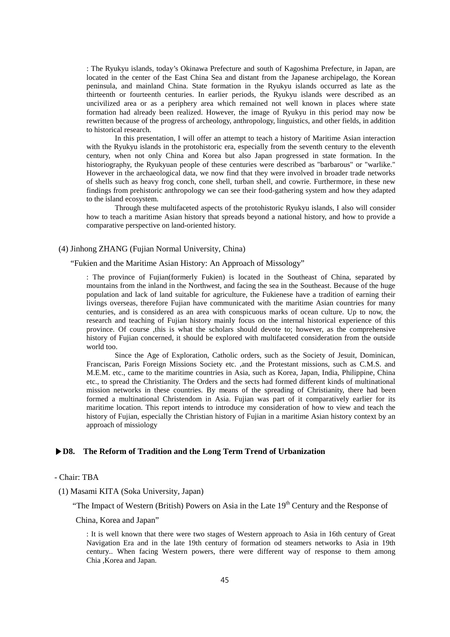: The Ryukyu islands, today's Okinawa Prefecture and south of Kagoshima Prefecture, in Japan, are located in the center of the East China Sea and distant from the Japanese archipelago, the Korean peninsula, and mainland China. State formation in the Ryukyu islands occurred as late as the thirteenth or fourteenth centuries. In earlier periods, the Ryukyu islands were described as an uncivilized area or as a periphery area which remained not well known in places where state formation had already been realized. However, the image of Ryukyu in this period may now be rewritten because of the progress of archeology, anthropology, linguistics, and other fields, in addition to historical research.

In this presentation, I will offer an attempt to teach a history of Maritime Asian interaction with the Ryukyu islands in the protohistoric era, especially from the seventh century to the eleventh century, when not only China and Korea but also Japan progressed in state formation. In the historiography, the Ryukyuan people of these centuries were described as "barbarous" or "warlike." However in the archaeological data, we now find that they were involved in broader trade networks of shells such as heavy frog conch, cone shell, turban shell, and cowrie. Furthermore, in these new findings from prehistoric anthropology we can see their food-gathering system and how they adapted to the island ecosystem.

Through these multifaceted aspects of the protohistoric Ryukyu islands, I also will consider how to teach a maritime Asian history that spreads beyond a national history, and how to provide a comparative perspective on land-oriented history.

## (4) Jinhong ZHANG (Fujian Normal University, China)

#### "Fukien and the Maritime Asian History: An Approach of Missology"

: The province of Fujian(formerly Fukien) is located in the Southeast of China, separated by mountains from the inland in the Northwest, and facing the sea in the Southeast. Because of the huge population and lack of land suitable for agriculture, the Fukienese have a tradition of earning their livings overseas, therefore Fujian have communicated with the maritime Asian countries for many centuries, and is considered as an area with conspicuous marks of ocean culture. Up to now, the research and teaching of Fujian history mainly focus on the internal historical experience of this province. Of course ,this is what the scholars should devote to; however, as the comprehensive history of Fujian concerned, it should be explored with multifaceted consideration from the outside world too.

Since the Age of Exploration, Catholic orders, such as the Society of Jesuit, Dominican, Franciscan, Paris Foreign Missions Society etc. ,and the Protestant missions, such as C.M.S. and M.E.M. etc., came to the maritime countries in Asia, such as Korea, Japan, India, Philippine, China etc., to spread the Christianity. The Orders and the sects had formed different kinds of multinational mission networks in these countries. By means of the spreading of Christianity, there had been formed a multinational Christendom in Asia. Fujian was part of it comparatively earlier for its maritime location. This report intends to introduce my consideration of how to view and teach the history of Fujian, especially the Christian history of Fujian in a maritime Asian history context by an approach of missiology

## **▶D8. The Reform of Tradition and the Long Term Trend of Urbanization**

## - Chair: TBA

(1) Masami KITA (Soka University, Japan)

"The Impact of Western (British) Powers on Asia in the Late  $19<sup>th</sup>$  Century and the Response of

China, Korea and Japan"

: It is well known that there were two stages of Western approach to Asia in 16th century of Great Navigation Era and in the late 19th century of formation od steamers networks to Asia in 19th century.. When facing Western powers, there were different way of response to them among Chia ,Korea and Japan.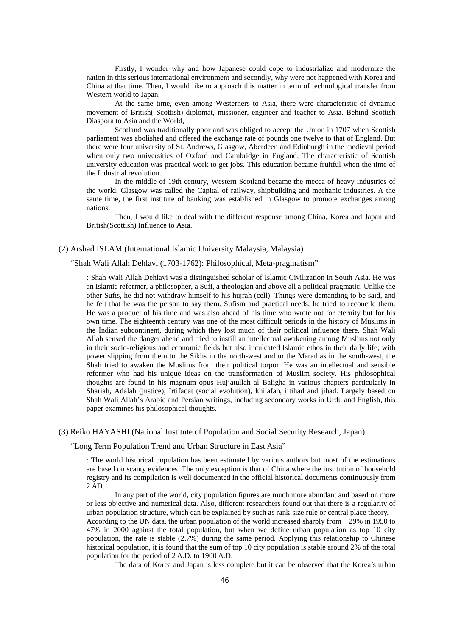Firstly, I wonder why and how Japanese could cope to industrialize and modernize the nation in this serious international environment and secondly, why were not happened with Korea and China at that time. Then, I would like to approach this matter in term of technological transfer from Western world to Japan.

At the same time, even among Westerners to Asia, there were characteristic of dynamic movement of British( Scottish) diplomat, missioner, engineer and teacher to Asia. Behind Scottish Diaspora to Asia and the World,

Scotland was traditionally poor and was obliged to accept the Union in 1707 when Scottish parliament was abolished and offered the exchange rate of pounds one twelve to that of England. But there were four university of St. Andrews, Glasgow, Aberdeen and Edinburgh in the medieval period when only two universities of Oxford and Cambridge in England. The characteristic of Scottish university education was practical work to get jobs. This education became fruitful when the time of the Industrial revolution.

In the middle of 19th century, Western Scotland became the mecca of heavy industries of the world. Glasgow was called the Capital of railway, shipbuilding and mechanic industries. A the same time, the first institute of banking was established in Glasgow to promote exchanges among nations.

Then, I would like to deal with the different response among China, Korea and Japan and British(Scottish) Influence to Asia.

#### (2) Arshad ISLAM (International Islamic University Malaysia, Malaysia)

#### "Shah Wali Allah Dehlavi (1703-1762): Philosophical, Meta-pragmatism"

: Shah Wali Allah Dehlavi was a distinguished scholar of Islamic Civilization in South Asia. He was an Islamic reformer, a philosopher, a Sufi, a theologian and above all a political pragmatic. Unlike the other Sufis, he did not withdraw himself to his hujrah (cell). Things were demanding to be said, and he felt that he was the person to say them. Sufism and practical needs, he tried to reconcile them. He was a product of his time and was also ahead of his time who wrote not for eternity but for his own time. The eighteenth century was one of the most difficult periods in the history of Muslims in the Indian subcontinent, during which they lost much of their political influence there. Shah Wali Allah sensed the danger ahead and tried to instill an intellectual awakening among Muslims not only in their socio-religious and economic fields but also inculcated Islamic ethos in their daily life; with power slipping from them to the Sikhs in the north-west and to the Marathas in the south-west, the Shah tried to awaken the Muslims from their political torpor. He was an intellectual and sensible reformer who had his unique ideas on the transformation of Muslim society. His philosophical thoughts are found in his magnum opus Hujjatullah al Baligha in various chapters particularly in Shariah, Adalah (justice), Irtifaqat (social evolution), khilafah, ijtihad and jihad. Largely based on Shah Wali Allah's Arabic and Persian writings, including secondary works in Urdu and English, this paper examines his philosophical thoughts.

### (3) Reiko HAYASHI (National Institute of Population and Social Security Research, Japan)

#### "Long Term Population Trend and Urban Structure in East Asia"

: The world historical population has been estimated by various authors but most of the estimations are based on scanty evidences. The only exception is that of China where the institution of household registry and its compilation is well documented in the official historical documents continuously from 2 AD.

In any part of the world, city population figures are much more abundant and based on more or less objective and numerical data. Also, different researchers found out that there is a regularity of urban population structure, which can be explained by such as rank-size rule or central place theory. According to the UN data, the urban population of the world increased sharply from 29% in 1950 to 47% in 2000 against the total population, but when we define urban population as top 10 city population, the rate is stable (2.7%) during the same period. Applying this relationship to Chinese historical population, it is found that the sum of top 10 city population is stable around 2% of the total population for the period of 2 A.D. to 1900 A.D.

The data of Korea and Japan is less complete but it can be observed that the Korea's urban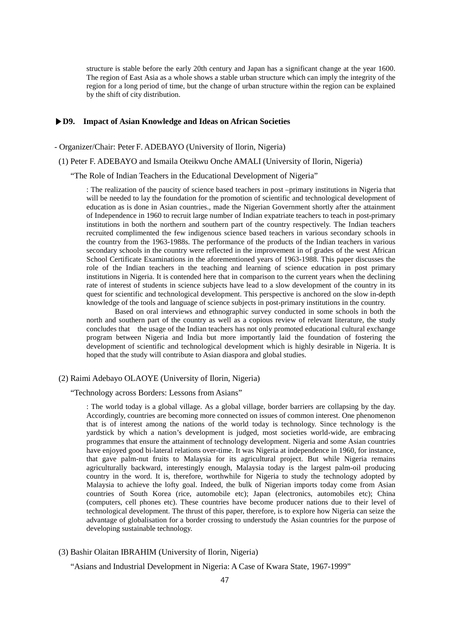structure is stable before the early 20th century and Japan has a significant change at the year 1600. The region of East Asia as a whole shows a stable urban structure which can imply the integrity of the region for a long period of time, but the change of urban structure within the region can be explained by the shift of city distribution.

## **▶D9. Impact of Asian Knowledge and Ideas on African Societies**

- Organizer/Chair: Peter F. ADEBAYO (University of Ilorin, Nigeria)
- (1) Peter F. ADEBAYO and Ismaila Oteikwu Onche AMALI (University of Ilorin, Nigeria)

"The Role of Indian Teachers in the Educational Development of Nigeria"

: The realization of the paucity of science based teachers in post –primary institutions in Nigeria that will be needed to lay the foundation for the promotion of scientific and technological development of education as is done in Asian countries., made the Nigerian Government shortly after the attainment of Independence in 1960 to recruit large number of Indian expatriate teachers to teach in post-primary institutions in both the northern and southern part of the country respectively. The Indian teachers recruited complimented the few indigenous science based teachers in various secondary schools in the country from the 1963-1988s. The performance of the products of the Indian teachers in various secondary schools in the country were reflected in the improvement in of grades of the west African School Certificate Examinations in the aforementioned years of 1963-1988. This paper discusses the role of the Indian teachers in the teaching and learning of science education in post primary institutions in Nigeria. It is contended here that in comparison to the current years when the declining rate of interest of students in science subjects have lead to a slow development of the country in its quest for scientific and technological development. This perspective is anchored on the slow in-depth knowledge of the tools and language of science subjects in post-primary institutions in the country.

Based on oral interviews and ethnographic survey conducted in some schools in both the north and southern part of the country as well as a copious review of relevant literature, the study concludes that the usage of the Indian teachers has not only promoted educational cultural exchange program between Nigeria and India but more importantly laid the foundation of fostering the development of scientific and technological development which is highly desirable in Nigeria. It is hoped that the study will contribute to Asian diaspora and global studies.

## (2) Raimi Adebayo OLAOYE (University of Ilorin, Nigeria)

"Technology across Borders: Lessons from Asians"

: The world today is a global village. As a global village, border barriers are collapsing by the day. Accordingly, countries are becoming more connected on issues of common interest. One phenomenon that is of interest among the nations of the world today is technology. Since technology is the yardstick by which a nation's development is judged, most societies world-wide, are embracing programmes that ensure the attainment of technology development. Nigeria and some Asian countries have enjoyed good bi-lateral relations over-time. It was Nigeria at independence in 1960, for instance, that gave palm-nut fruits to Malaysia for its agricultural project. But while Nigeria remains agriculturally backward, interestingly enough, Malaysia today is the largest palm-oil producing country in the word. It is, therefore, worthwhile for Nigeria to study the technology adopted by Malaysia to achieve the lofty goal. Indeed, the bulk of Nigerian imports today come from Asian countries of South Korea (rice, automobile etc); Japan (electronics, automobiles etc); China (computers, cell phones etc). These countries have become producer nations due to their level of technological development. The thrust of this paper, therefore, is to explore how Nigeria can seize the advantage of globalisation for a border crossing to understudy the Asian countries for the purpose of developing sustainable technology.

## (3) Bashir Olaitan IBRAHIM (University of Ilorin, Nigeria)

"Asians and Industrial Development in Nigeria: A Case of Kwara State, 1967-1999"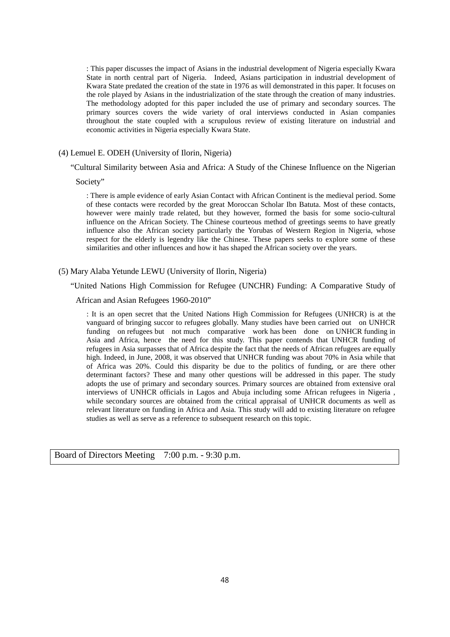: This paper discusses the impact of Asians in the industrial development of Nigeria especially Kwara State in north central part of Nigeria. Indeed, Asians participation in industrial development of Kwara State predated the creation of the state in 1976 as will demonstrated in this paper. It focuses on the role played by Asians in the industrialization of the state through the creation of many industries. The methodology adopted for this paper included the use of primary and secondary sources. The primary sources covers the wide variety of oral interviews conducted in Asian companies throughout the state coupled with a scrupulous review of existing literature on industrial and economic activities in Nigeria especially Kwara State.

## (4) Lemuel E. ODEH (University of Ilorin, Nigeria)

"Cultural Similarity between Asia and Africa: A Study of the Chinese Influence on the Nigerian

Society"

: There is ample evidence of early Asian Contact with African Continent is the medieval period. Some of these contacts were recorded by the great Moroccan Scholar Ibn Batuta. Most of these contacts, however were mainly trade related, but they however, formed the basis for some socio-cultural influence on the African Society. The Chinese courteous method of greetings seems to have greatly influence also the African society particularly the Yorubas of Western Region in Nigeria, whose respect for the elderly is legendry like the Chinese. These papers seeks to explore some of these similarities and other influences and how it has shaped the African society over the years.

## (5) Mary Alaba Yetunde LEWU (University of Ilorin, Nigeria)

"United Nations High Commission for Refugee (UNCHR) Funding: A Comparative Study of

#### African and Asian Refugees 1960-2010"

: It is an open secret that the United Nations High Commission for Refugees (UNHCR) is at the vanguard of bringing succor to refugees globally. Many studies have been carried out on UNHCR funding on refugees but not much comparative work has been done on UNHCR funding in Asia and Africa, hence the need for this study. This paper contends that UNHCR funding of refugees in Asia surpasses that of Africa despite the fact that the needs of African refugees are equally high. Indeed, in June, 2008, it was observed that UNHCR funding was about 70% in Asia while that of Africa was 20%. Could this disparity be due to the politics of funding, or are there other determinant factors? These and many other questions will be addressed in this paper. The study adopts the use of primary and secondary sources. Primary sources are obtained from extensive oral interviews of UNHCR officials in Lagos and Abuja including some African refugees in Nigeria , while secondary sources are obtained from the critical appraisal of UNHCR documents as well as relevant literature on funding in Africa and Asia. This study will add to existing literature on refugee studies as well as serve as a reference to subsequent research on this topic.

Board of Directors Meeting 7:00 p.m. - 9:30 p.m.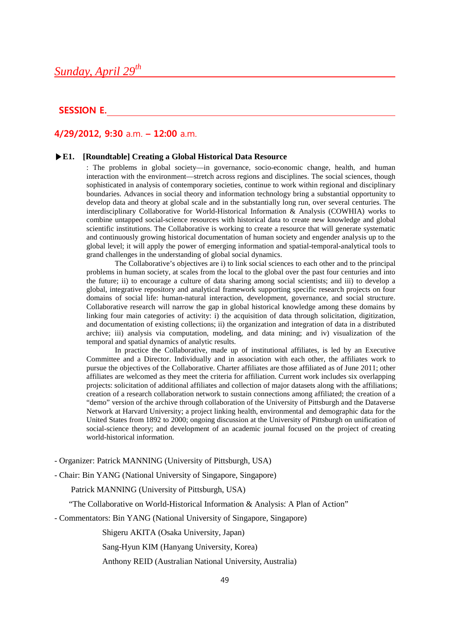# *Sunday, April 29th*

# **SESSION E.**

# **4/29/2012, 9:30** a.m. **– 12:00** a.m.

#### **▶E1. [Roundtable] Creating a Global Historical Data Resource**

: The problems in global society—in governance, socio-economic change, health, and human interaction with the environment—stretch across regions and disciplines. The social sciences, though sophisticated in analysis of contemporary societies, continue to work within regional and disciplinary boundaries. Advances in social theory and information technology bring a substantial opportunity to develop data and theory at global scale and in the substantially long run, over several centuries. The interdisciplinary Collaborative for World-Historical Information & Analysis (COWHIA) works to combine untapped social-science resources with historical data to create new knowledge and global scientific institutions. The Collaborative is working to create a resource that will generate systematic and continuously growing historical documentation of human society and engender analysis up to the global level; it will apply the power of emerging information and spatial-temporal-analytical tools to grand challenges in the understanding of global social dynamics.

The Collaborative's objectives are i) to link social sciences to each other and to the principal problems in human society, at scales from the local to the global over the past four centuries and into the future; ii) to encourage a culture of data sharing among social scientists; and iii) to develop a global, integrative repository and analytical framework supporting specific research projects on four domains of social life: human-natural interaction, development, governance, and social structure. Collaborative research will narrow the gap in global historical knowledge among these domains by linking four main categories of activity: i) the acquisition of data through solicitation, digitization, and documentation of existing collections; ii) the organization and integration of data in a distributed archive; iii) analysis via computation, modeling, and data mining; and iv) visualization of the temporal and spatial dynamics of analytic results.

In practice the Collaborative, made up of institutional affiliates, is led by an Executive Committee and a Director. Individually and in association with each other, the affiliates work to pursue the objectives of the Collaborative. Charter affiliates are those affiliated as of June 2011; other affiliates are welcomed as they meet the criteria for affiliation. Current work includes six overlapping projects: solicitation of additional affiliates and collection of major datasets along with the affiliations; creation of a research collaboration network to sustain connections among affiliated; the creation of a "demo" version of the archive through collaboration of the University of Pittsburgh and the Dataverse Network at Harvard University; a project linking health, environmental and demographic data for the United States from 1892 to 2000; ongoing discussion at the University of Pittsburgh on unification of social-science theory; and development of an academic journal focused on the project of creating world-historical information.

- Organizer: Patrick MANNING (University of Pittsburgh, USA)

- Chair: Bin YANG (National University of Singapore, Singapore)

Patrick MANNING (University of Pittsburgh, USA)

"The Collaborative on World-Historical Information & Analysis: A Plan of Action"

- Commentators: Bin YANG (National University of Singapore, Singapore)

Shigeru AKITA (Osaka University, Japan)

Sang-Hyun KIM (Hanyang University, Korea)

Anthony REID (Australian National University, Australia)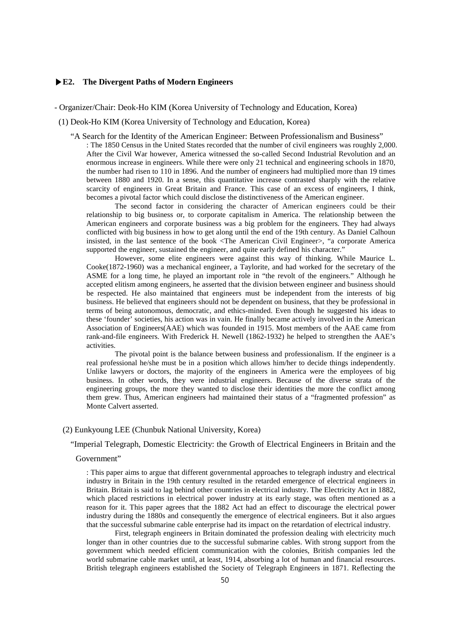## **▶E2. The Divergent Paths of Modern Engineers**

## - Organizer/Chair: Deok-Ho KIM (Korea University of Technology and Education, Korea)

- (1) Deok-Ho KIM (Korea University of Technology and Education, Korea)
	- "A Search for the Identity of the American Engineer: Between Professionalism and Business"

: The 1850 Census in the United States recorded that the number of civil engineers was roughly 2,000. After the Civil War however, America witnessed the so-called Second Industrial Revolution and an enormous increase in engineers. While there were only 21 technical and engineering schools in 1870, the number had risen to 110 in 1896. And the number of engineers had multiplied more than 19 times between 1880 and 1920. In a sense, this quantitative increase contrasted sharply with the relative scarcity of engineers in Great Britain and France. This case of an excess of engineers, I think, becomes a pivotal factor which could disclose the distinctiveness of the American engineer.

The second factor in considering the character of American engineers could be their relationship to big business or, to corporate capitalism in America. The relationship between the American engineers and corporate business was a big problem for the engineers. They had always conflicted with big business in how to get along until the end of the 19th century. As Daniel Calhoun insisted, in the last sentence of the book <The American Civil Engineer>, "a corporate America supported the engineer, sustained the engineer, and quite early defined his character."

However, some elite engineers were against this way of thinking. While Maurice L. Cooke(1872-1960) was a mechanical engineer, a Taylorite, and had worked for the secretary of the ASME for a long time, he played an important role in "the revolt of the engineers." Although he accepted elitism among engineers, he asserted that the division between engineer and business should be respected. He also maintained that engineers must be independent from the interests of big business. He believed that engineers should not be dependent on business, that they be professional in terms of being autonomous, democratic, and ethics-minded. Even though he suggested his ideas to these 'founder' societies, his action was in vain. He finally became actively involved in the American Association of Engineers(AAE) which was founded in 1915. Most members of the AAE came from rank-and-file engineers. With Frederick H. Newell (1862-1932) he helped to strengthen the AAE's activities.

The pivotal point is the balance between business and professionalism. If the engineer is a real professional he/she must be in a position which allows him/her to decide things independently. Unlike lawyers or doctors, the majority of the engineers in America were the employees of big business. In other words, they were industrial engineers. Because of the diverse strata of the engineering groups, the more they wanted to disclose their identities the more the conflict among them grew. Thus, American engineers had maintained their status of a "fragmented profession" as Monte Calvert asserted.

# (2) Eunkyoung LEE (Chunbuk National University, Korea)

"Imperial Telegraph, Domestic Electricity: the Growth of Electrical Engineers in Britain and the

#### Government"

: This paper aims to argue that different governmental approaches to telegraph industry and electrical industry in Britain in the 19th century resulted in the retarded emergence of electrical engineers in Britain. Britain is said to lag behind other countries in electrical industry. The Electricity Act in 1882, which placed restrictions in electrical power industry at its early stage, was often mentioned as a reason for it. This paper agrees that the 1882 Act had an effect to discourage the electrical power industry during the 1880s and consequently the emergence of electrical engineers. But it also argues that the successful submarine cable enterprise had its impact on the retardation of electrical industry.

First, telegraph engineers in Britain dominated the profession dealing with electricity much longer than in other countries due to the successful submarine cables. With strong support from the government which needed efficient communication with the colonies, British companies led the world submarine cable market until, at least, 1914, absorbing a lot of human and financial resources. British telegraph engineers established the Society of Telegraph Engineers in 1871. Reflecting the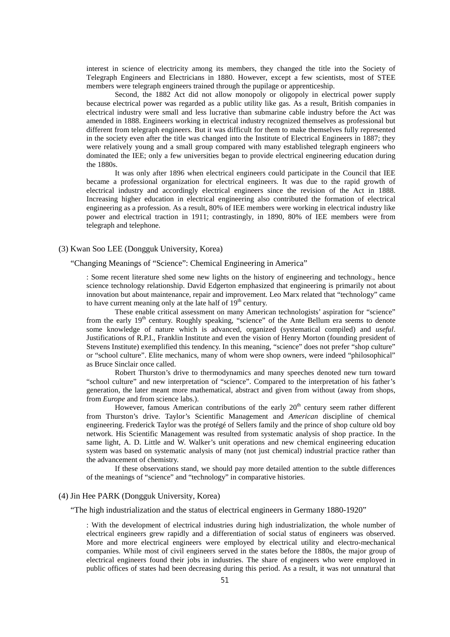interest in science of electricity among its members, they changed the title into the Society of Telegraph Engineers and Electricians in 1880. However, except a few scientists, most of STEE members were telegraph engineers trained through the pupilage or apprenticeship.

Second, the 1882 Act did not allow monopoly or oligopoly in electrical power supply because electrical power was regarded as a public utility like gas. As a result, British companies in electrical industry were small and less lucrative than submarine cable industry before the Act was amended in 1888. Engineers working in electrical industry recognized themselves as professional but different from telegraph engineers. But it was difficult for them to make themselves fully represented in the society even after the title was changed into the Institute of Electrical Engineers in 1887; they were relatively young and a small group compared with many established telegraph engineers who dominated the IEE; only a few universities began to provide electrical engineering education during the 1880s.

It was only after 1896 when electrical engineers could participate in the Council that IEE became a professional organization for electrical engineers. It was due to the rapid growth of electrical industry and accordingly electrical engineers since the revision of the Act in 1888. Increasing higher education in electrical engineering also contributed the formation of electrical engineering as a profession. As a result, 80% of IEE members were working in electrical industry like power and electrical traction in 1911; contrastingly, in 1890, 80% of IEE members were from telegraph and telephone.

## (3) Kwan Soo LEE (Dongguk University, Korea)

#### "Changing Meanings of "Science": Chemical Engineering in America"

: Some recent literature shed some new lights on the history of engineering and technology., hence science technology relationship. David Edgerton emphasized that engineering is primarily not about innovation but about maintenance, repair and improvement. Leo Marx related that "technology" came to have current meaning only at the late half of  $19<sup>th</sup>$  century.

These enable critical assessment on many American technologists' aspiration for "science" from the early  $19<sup>th</sup>$  century. Roughly speaking, "science" of the Ante Bellum era seems to denote some knowledge of nature which is advanced, organized (systematical compiled) and *useful*. Justifications of R.P.I., Franklin Institute and even the vision of Henry Morton (founding president of Stevens Institute) exemplified this tendency. In this meaning, "science" does not prefer "shop culture" or "school culture". Elite mechanics, many of whom were shop owners, were indeed "philosophical" as Bruce Sinclair once called.

Robert Thurston's drive to thermodynamics and many speeches denoted new turn toward "school culture" and new interpretation of "science". Compared to the interpretation of his father's generation, the later meant more mathematical, abstract and given from without (away from shops, from *Europe* and from science labs.).

However, famous American contributions of the early  $20<sup>th</sup>$  century seem rather different from Thurston's drive. Taylor's Scientific Management and *American* discipline of chemical engineering. Frederick Taylor was the protégé of Sellers family and the prince of shop culture old boy network. His Scientific Management was resulted from systematic analysis of shop practice. In the same light, A. D. Little and W. Walker's unit operations and new chemical engineering education system was based on systematic analysis of many (not just chemical) industrial practice rather than the advancement of chemistry.

If these observations stand, we should pay more detailed attention to the subtle differences of the meanings of "science" and "technology" in comparative histories.

# (4) Jin Hee PARK (Dongguk University, Korea)

"The high industrialization and the status of electrical engineers in Germany 1880-1920"

: With the development of electrical industries during high industrialization, the whole number of electrical engineers grew rapidly and a differentiation of social status of engineers was observed. More and more electrical engineers were employed by electrical utility and electro-mechanical companies. While most of civil engineers served in the states before the 1880s, the major group of electrical engineers found their jobs in industries. The share of engineers who were employed in public offices of states had been decreasing during this period. As a result, it was not unnatural that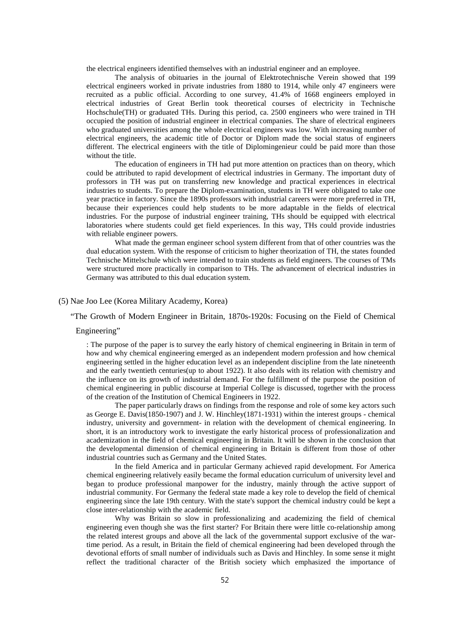the electrical engineers identified themselves with an industrial engineer and an employee.

The analysis of obituaries in the journal of Elektrotechnische Verein showed that 199 electrical engineers worked in private industries from 1880 to 1914, while only 47 engineers were recruited as a public official. According to one survey, 41.4% of 1668 engineers employed in electrical industries of Great Berlin took theoretical courses of electricity in Technische Hochschule(TH) or graduated THs. During this period, ca. 2500 engineers who were trained in TH occupied the position of industrial engineer in electrical companies. The share of electrical engineers who graduated universities among the whole electrical engineers was low. With increasing number of electrical engineers, the academic title of Doctor or Diplom made the social status of engineers different. The electrical engineers with the title of Diplomingenieur could be paid more than those without the title

The education of engineers in TH had put more attention on practices than on theory, which could be attributed to rapid development of electrical industries in Germany. The important duty of professors in TH was put on transferring new knowledge and practical experiences in electrical industries to students. To prepare the Diplom-examination, students in TH were obligated to take one year practice in factory. Since the 1890s professors with industrial careers were more preferred in TH, because their experiences could help students to be more adaptable in the fields of electrical industries. For the purpose of industrial engineer training, THs should be equipped with electrical laboratories where students could get field experiences. In this way, THs could provide industries with reliable engineer powers.

What made the german engineer school system different from that of other countries was the dual education system. With the response of criticism to higher theorization of TH, the states founded Technische Mittelschule which were intended to train students as field engineers. The courses of TMs were structured more practically in comparison to THs. The advancement of electrical industries in Germany was attributed to this dual education system.

## (5) Nae Joo Lee (Korea Military Academy, Korea)

"The Growth of Modern Engineer in Britain, 1870s-1920s: Focusing on the Field of Chemical

#### Engineering"

: The purpose of the paper is to survey the early history of chemical engineering in Britain in term of how and why chemical engineering emerged as an independent modern profession and how chemical engineering settled in the higher education level as an independent discipline from the late nineteenth and the early twentieth centuries(up to about 1922). It also deals with its relation with chemistry and the influence on its growth of industrial demand. For the fulfillment of the purpose the position of chemical engineering in public discourse at Imperial College is discussed, together with the process of the creation of the Institution of Chemical Engineers in 1922.

The paper particularly draws on findings from the response and role of some key actors such as George E. Davis(1850-1907) and J. W. Hinchley(1871-1931) within the interest groups - chemical industry, university and government- in relation with the development of chemical engineering. In short, it is an introductory work to investigate the early historical process of professionalization and academization in the field of chemical engineering in Britain. It will be shown in the conclusion that the developmental dimension of chemical engineering in Britain is different from those of other industrial countries such as Germany and the United States.

In the field America and in particular Germany achieved rapid development. For America chemical engineering relatively easily became the formal education curriculum of university level and began to produce professional manpower for the industry, mainly through the active support of industrial community. For Germany the federal state made a key role to develop the field of chemical engineering since the late 19th century. With the state's support the chemical industry could be kept a close inter-relationship with the academic field.

Why was Britain so slow in professionalizing and academizing the field of chemical engineering even though she was the first starter? For Britain there were little co-relationship among the related interest groups and above all the lack of the governmental support exclusive of the wartime period. As a result, in Britain the field of chemical engineering had been developed through the devotional efforts of small number of individuals such as Davis and Hinchley. In some sense it might reflect the traditional character of the British society which emphasized the importance of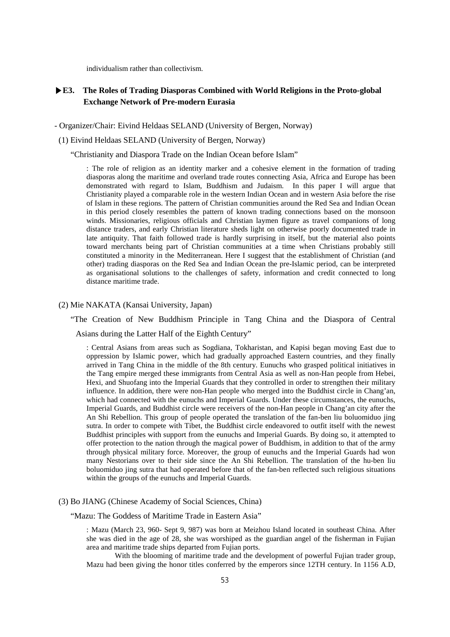individualism rather than collectivism.

# **▶E3. The Roles of Trading Diasporas Combined with World Religions in the Proto-global Exchange Network of Pre-modern Eurasia**

- Organizer/Chair: Eivind Heldaas SELAND (University of Bergen, Norway)

(1) Eivind Heldaas SELAND (University of Bergen, Norway)

"Christianity and Diaspora Trade on the Indian Ocean before Islam"

: The role of religion as an identity marker and a cohesive element in the formation of trading diasporas along the maritime and overland trade routes connecting Asia, Africa and Europe has been demonstrated with regard to Islam, Buddhism and Judaism. In this paper I will argue that Christianity played a comparable role in the western Indian Ocean and in western Asia before the rise of Islam in these regions. The pattern of Christian communities around the Red Sea and Indian Ocean in this period closely resembles the pattern of known trading connections based on the monsoon winds. Missionaries, religious officials and Christian laymen figure as travel companions of long distance traders, and early Christian literature sheds light on otherwise poorly documented trade in late antiquity. That faith followed trade is hardly surprising in itself, but the material also points toward merchants being part of Christian communities at a time when Christians probably still constituted a minority in the Mediterranean. Here I suggest that the establishment of Christian (and other) trading diasporas on the Red Sea and Indian Ocean the pre-Islamic period, can be interpreted as organisational solutions to the challenges of safety, information and credit connected to long distance maritime trade.

(2) Mie NAKATA (Kansai University, Japan)

"The Creation of New Buddhism Principle in Tang China and the Diaspora of Central Asians during the Latter Half of the Eighth Century"

: Central Asians from areas such as Sogdiana, Tokharistan, and Kapisi began moving East due to oppression by Islamic power, which had gradually approached Eastern countries, and they finally arrived in Tang China in the middle of the 8th century. Eunuchs who grasped political initiatives in the Tang empire merged these immigrants from Central Asia as well as non-Han people from Hebei, Hexi, and Shuofang into the Imperial Guards that they controlled in order to strengthen their military influence. In addition, there were non-Han people who merged into the Buddhist circle in Chang'an, which had connected with the eunuchs and Imperial Guards. Under these circumstances, the eunuchs, Imperial Guards, and Buddhist circle were receivers of the non-Han people in Chang'an city after the An Shi Rebellion. This group of people operated the translation of the fan-ben liu boluomiduo jing sutra. In order to compete with Tibet, the Buddhist circle endeavored to outfit itself with the newest Buddhist principles with support from the eunuchs and Imperial Guards. By doing so, it attempted to offer protection to the nation through the magical power of Buddhism, in addition to that of the army through physical military force. Moreover, the group of eunuchs and the Imperial Guards had won many Nestorians over to their side since the An Shi Rebellion. The translation of the hu-ben liu boluomiduo jing sutra that had operated before that of the fan-ben reflected such religious situations within the groups of the eunuchs and Imperial Guards.

## (3) Bo JIANG (Chinese Academy of Social Sciences, China)

"Mazu: The Goddess of Maritime Trade in Eastern Asia"

: Mazu (March 23, 960- Sept 9, 987) was born at Meizhou Island located in southeast China. After she was died in the age of 28, she was worshiped as the guardian angel of the fisherman in Fujian area and maritime trade ships departed from Fujian ports.

With the blooming of maritime trade and the development of powerful Fujian trader group, Mazu had been giving the honor titles conferred by the emperors since 12TH century. In 1156 A.D,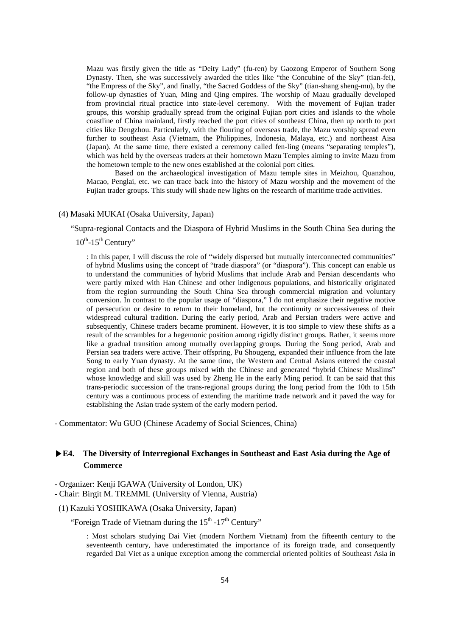Mazu was firstly given the title as "Deity Lady" (fu-ren) by Gaozong Emperor of Southern Song Dynasty. Then, she was successively awarded the titles like "the Concubine of the Sky" (tian-fei), "the Empress of the Sky", and finally, "the Sacred Goddess of the Sky" (tian-shang sheng-mu), by the follow-up dynasties of Yuan, Ming and Qing empires. The worship of Mazu gradually developed from provincial ritual practice into state-level ceremony. With the movement of Fujian trader groups, this worship gradually spread from the original Fujian port cities and islands to the whole coastline of China mainland, firstly reached the port cities of southeast China, then up north to port cities like Dengzhou. Particularly, with the flouring of overseas trade, the Mazu worship spread even further to southeast Asia (Vietnam, the Philippines, Indonesia, Malaya, etc.) and northeast Aisa (Japan). At the same time, there existed a ceremony called fen-ling (means "separating temples"), which was held by the overseas traders at their hometown Mazu Temples aiming to invite Mazu from the hometown temple to the new ones established at the colonial port cities.

Based on the archaeological investigation of Mazu temple sites in Meizhou, Quanzhou, Macao, Penglai, etc. we can trace back into the history of Mazu worship and the movement of the Fujian trader groups. This study will shade new lights on the research of maritime trade activities.

## (4) Masaki MUKAI (Osaka University, Japan)

"Supra-regional Contacts and the Diaspora of Hybrid Muslims in the South China Sea during the

 $10^{th}$ -15<sup>th</sup> Century"

: In this paper, I will discuss the role of "widely dispersed but mutually interconnected communities" of hybrid Muslims using the concept of "trade diaspora" (or "diaspora"). This concept can enable us to understand the communities of hybrid Muslims that include Arab and Persian descendants who were partly mixed with Han Chinese and other indigenous populations, and historically originated from the region surrounding the South China Sea through commercial migration and voluntary conversion. In contrast to the popular usage of "diaspora," I do not emphasize their negative motive of persecution or desire to return to their homeland, but the continuity or successiveness of their widespread cultural tradition. During the early period, Arab and Persian traders were active and subsequently, Chinese traders became prominent. However, it is too simple to view these shifts as a result of the scrambles for a hegemonic position among rigidly distinct groups. Rather, it seems more like a gradual transition among mutually overlapping groups. During the Song period, Arab and Persian sea traders were active. Their offspring, Pu Shougeng, expanded their influence from the late Song to early Yuan dynasty. At the same time, the Western and Central Asians entered the coastal region and both of these groups mixed with the Chinese and generated "hybrid Chinese Muslims" whose knowledge and skill was used by Zheng He in the early Ming period. It can be said that this trans-periodic succession of the trans-regional groups during the long period from the 10th to 15th century was a continuous process of extending the maritime trade network and it paved the way for establishing the Asian trade system of the early modern period.

- Commentator: Wu GUO (Chinese Academy of Social Sciences, China)

# **▶E4. The Diversity of Interregional Exchanges in Southeast and East Asia during the Age of Commerce**

- Organizer: Kenji IGAWA (University of London, UK)

- Chair: Birgit M. TREMML (University of Vienna, Austria)
- (1) Kazuki YOSHIKAWA (Osaka University, Japan)

"Foreign Trade of Vietnam during the  $15<sup>th</sup>$ -17<sup>th</sup> Century"

: Most scholars studying Dai Viet (modern Northern Vietnam) from the fifteenth century to the seventeenth century, have underestimated the importance of its foreign trade, and consequently regarded Dai Viet as a unique exception among the commercial oriented polities of Southeast Asia in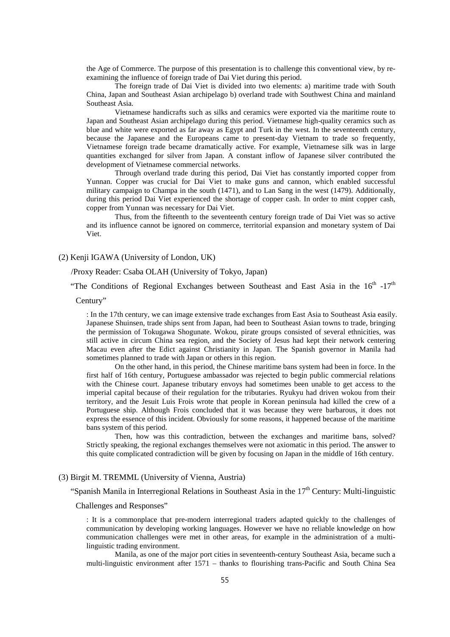the Age of Commerce. The purpose of this presentation is to challenge this conventional view, by reexamining the influence of foreign trade of Dai Viet during this period.

The foreign trade of Dai Viet is divided into two elements: a) maritime trade with South China, Japan and Southeast Asian archipelago b) overland trade with Southwest China and mainland Southeast Asia.

Vietnamese handicrafts such as silks and ceramics were exported via the maritime route to Japan and Southeast Asian archipelago during this period. Vietnamese high-quality ceramics such as blue and white were exported as far away as Egypt and Turk in the west. In the seventeenth century, because the Japanese and the Europeans came to present-day Vietnam to trade so frequently, Vietnamese foreign trade became dramatically active. For example, Vietnamese silk was in large quantities exchanged for silver from Japan. A constant inflow of Japanese silver contributed the development of Vietnamese commercial networks.

Through overland trade during this period, Dai Viet has constantly imported copper from Yunnan. Copper was crucial for Dai Viet to make guns and cannon, which enabled successful military campaign to Champa in the south (1471), and to Lan Sang in the west (1479). Additionally, during this period Dai Viet experienced the shortage of copper cash. In order to mint copper cash, copper from Yunnan was necessary for Dai Viet.

Thus, from the fifteenth to the seventeenth century foreign trade of Dai Viet was so active and its influence cannot be ignored on commerce, territorial expansion and monetary system of Dai Viet.

## (2) Kenji IGAWA (University of London, UK)

#### /Proxy Reader: Csaba OLAH (University of Tokyo, Japan)

"The Conditions of Regional Exchanges between Southeast and East Asia in the  $16<sup>th</sup> -17<sup>th</sup>$ 

#### Century"

: In the 17th century, we can image extensive trade exchanges from East Asia to Southeast Asia easily. Japanese Shuinsen, trade ships sent from Japan, had been to Southeast Asian towns to trade, bringing the permission of Tokugawa Shogunate. Wokou, pirate groups consisted of several ethnicities, was still active in circum China sea region, and the Society of Jesus had kept their network centering Macau even after the Edict against Christianity in Japan. The Spanish governor in Manila had sometimes planned to trade with Japan or others in this region.

On the other hand, in this period, the Chinese maritime bans system had been in force. In the first half of 16th century, Portuguese ambassador was rejected to begin public commercial relations with the Chinese court. Japanese tributary envoys had sometimes been unable to get access to the imperial capital because of their regulation for the tributaries. Ryukyu had driven wokou from their territory, and the Jesuit Luis Frois wrote that people in Korean peninsula had killed the crew of a Portuguese ship. Although Frois concluded that it was because they were barbarous, it does not express the essence of this incident. Obviously for some reasons, it happened because of the maritime bans system of this period.

Then, how was this contradiction, between the exchanges and maritime bans, solved? Strictly speaking, the regional exchanges themselves were not axiomatic in this period. The answer to this quite complicated contradiction will be given by focusing on Japan in the middle of 16th century.

## (3) Birgit M. TREMML (University of Vienna, Austria)

"Spanish Manila in Interregional Relations in Southeast Asia in the  $17<sup>th</sup>$  Century: Multi-linguistic

Challenges and Responses"

: It is a commonplace that pre-modern interregional traders adapted quickly to the challenges of communication by developing working languages. However we have no reliable knowledge on how communication challenges were met in other areas, for example in the administration of a multilinguistic trading environment.

Manila, as one of the major port cities in seventeenth-century Southeast Asia, became such a multi-linguistic environment after 1571 – thanks to flourishing trans-Pacific and South China Sea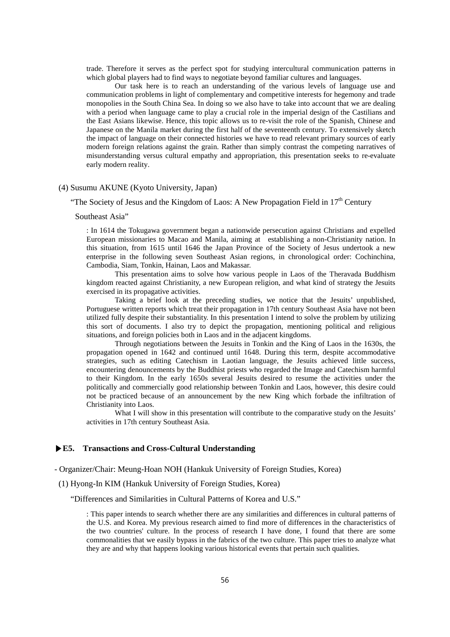trade. Therefore it serves as the perfect spot for studying intercultural communication patterns in which global players had to find ways to negotiate beyond familiar cultures and languages.

Our task here is to reach an understanding of the various levels of language use and communication problems in light of complementary and competitive interests for hegemony and trade monopolies in the South China Sea. In doing so we also have to take into account that we are dealing with a period when language came to play a crucial role in the imperial design of the Castilians and the East Asians likewise. Hence, this topic allows us to re-visit the role of the Spanish, Chinese and Japanese on the Manila market during the first half of the seventeenth century. To extensively sketch the impact of language on their connected histories we have to read relevant primary sources of early modern foreign relations against the grain. Rather than simply contrast the competing narratives of misunderstanding versus cultural empathy and appropriation, this presentation seeks to re-evaluate early modern reality.

## (4) Susumu AKUNE (Kyoto University, Japan)

"The Society of Jesus and the Kingdom of Laos: A New Propagation Field in  $17<sup>th</sup>$  Century

Southeast Asia"

: In 1614 the Tokugawa government began a nationwide persecution against Christians and expelled European missionaries to Macao and Manila, aiming at establishing a non-Christianity nation. In this situation, from 1615 until 1646 the Japan Province of the Society of Jesus undertook a new enterprise in the following seven Southeast Asian regions, in chronological order: Cochinchina, Cambodia, Siam, Tonkin, Hainan, Laos and Makassar.

This presentation aims to solve how various people in Laos of the Theravada Buddhism kingdom reacted against Christianity, a new European religion, and what kind of strategy the Jesuits exercised in its propagative activities.

Taking a brief look at the preceding studies, we notice that the Jesuits' unpublished, Portuguese written reports which treat their propagation in 17th century Southeast Asia have not been utilized fully despite their substantiality. In this presentation I intend to solve the problem by utilizing this sort of documents. I also try to depict the propagation, mentioning political and religious situations, and foreign policies both in Laos and in the adjacent kingdoms.

Through negotiations between the Jesuits in Tonkin and the King of Laos in the 1630s, the propagation opened in 1642 and continued until 1648. During this term, despite accommodative strategies, such as editing Catechism in Laotian language, the Jesuits achieved little success, encountering denouncements by the Buddhist priests who regarded the Image and Catechism harmful to their Kingdom. In the early 1650s several Jesuits desired to resume the activities under the politically and commercially good relationship between Tonkin and Laos, however, this desire could not be practiced because of an announcement by the new King which forbade the infiltration of Christianity into Laos.

What I will show in this presentation will contribute to the comparative study on the Jesuits' activities in 17th century Southeast Asia.

## **▶E5. Transactions and Cross-Cultural Understanding**

- Organizer/Chair: Meung-Hoan NOH (Hankuk University of Foreign Studies, Korea)

(1) Hyong-In KIM (Hankuk University of Foreign Studies, Korea)

"Differences and Similarities in Cultural Patterns of Korea and U.S."

: This paper intends to search whether there are any similarities and differences in cultural patterns of the U.S. and Korea. My previous research aimed to find more of differences in the characteristics of the two countries' culture. In the process of research I have done, I found that there are some commonalities that we easily bypass in the fabrics of the two culture. This paper tries to analyze what they are and why that happens looking various historical events that pertain such qualities.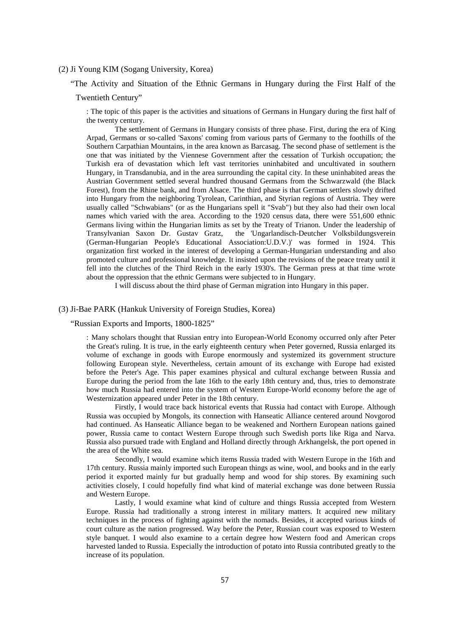## (2) Ji Young KIM (Sogang University, Korea)

"The Activity and Situation of the Ethnic Germans in Hungary during the First Half of the

## Twentieth Century"

: The topic of this paper is the activities and situations of Germans in Hungary during the first half of the twenty century.

The settlement of Germans in Hungary consists of three phase. First, during the era of King Arpad, Germans or so-called 'Saxons' coming from various parts of Germany to the foothills of the Southern Carpathian Mountains, in the area known as Barcasag. The second phase of settlement is the one that was initiated by the Viennese Government after the cessation of Turkish occupation; the Turkish era of devastation which left vast territories uninhabited and uncultivated in southern Hungary, in Transdanubia, and in the area surrounding the capital city. In these uninhabited areas the Austrian Government settled several hundred thousand Germans from the Schwarzwald (the Black Forest), from the Rhine bank, and from Alsace. The third phase is that German settlers slowly drifted into Hungary from the neighboring Tyrolean, Carinthian, and Styrian regions of Austria. They were usually called "Schwabians" (or as the Hungarians spell it "Svab") but they also had their own local names which varied with the area. According to the 1920 census data, there were 551,600 ethnic Germans living within the Hungarian limits as set by the Treaty of Trianon. Under the leadership of Transylvanian Saxon Dr. Gustav Gratz, the 'Ungarlandisch-Deutcher Volksbildungsverein Transylvanian Saxon Dr. Gustav Gratz, the 'Ungarlandisch-Deutcher Volksbildungsverein (German-Hungarian People's Educational Association:U.D.V.)' was formed in 1924. This organization first worked in the interest of developing a German-Hungarian understanding and also promoted culture and professional knowledge. It insisted upon the revisions of the peace treaty until it fell into the clutches of the Third Reich in the early 1930's. The German press at that time wrote about the oppression that the ethnic Germans were subjected to in Hungary.

I will discuss about the third phase of German migration into Hungary in this paper.

#### (3) Ji-Bae PARK (Hankuk University of Foreign Studies, Korea)

"Russian Exports and Imports, 1800-1825"

: Many scholars thought that Russian entry into European-World Economy occurred only after Peter the Great's ruling. It is true, in the early eighteenth century when Peter governed, Russia enlarged its volume of exchange in goods with Europe enormously and systemized its government structure following European style. Nevertheless, certain amount of its exchange with Europe had existed before the Peter's Age. This paper examines physical and cultural exchange between Russia and Europe during the period from the late 16th to the early 18th century and, thus, tries to demonstrate how much Russia had entered into the system of Western Europe-World economy before the age of Westernization appeared under Peter in the 18th century.

Firstly, I would trace back historical events that Russia had contact with Europe. Although Russia was occupied by Mongols, its connection with Hanseatic Alliance centered around Novgorod had continued. As Hanseatic Alliance began to be weakened and Northern European nations gained power, Russia came to contact Western Europe through such Swedish ports like Riga and Narva. Russia also pursued trade with England and Holland directly through Arkhangelsk, the port opened in the area of the White sea.

Secondly, I would examine which items Russia traded with Western Europe in the 16th and 17th century. Russia mainly imported such European things as wine, wool, and books and in the early period it exported mainly fur but gradually hemp and wood for ship stores. By examining such activities closely, I could hopefully find what kind of material exchange was done between Russia and Western Europe.

Lastly, I would examine what kind of culture and things Russia accepted from Western Europe. Russia had traditionally a strong interest in military matters. It acquired new military techniques in the process of fighting against with the nomads. Besides, it accepted various kinds of court culture as the nation progressed. Way before the Peter, Russian court was exposed to Western style banquet. I would also examine to a certain degree how Western food and American crops harvested landed to Russia. Especially the introduction of potato into Russia contributed greatly to the increase of its population.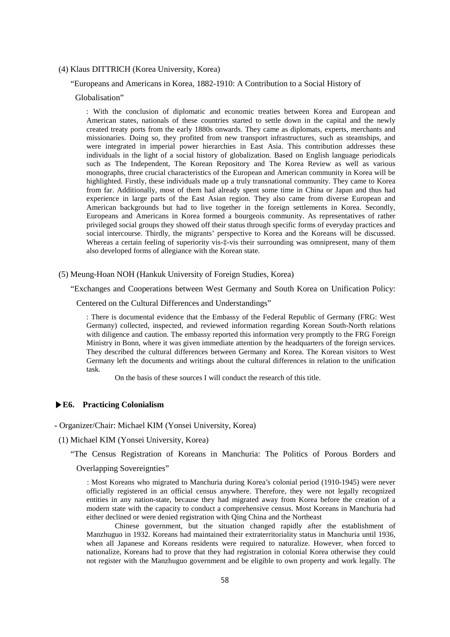#### (4) Klaus DITTRICH (Korea University, Korea)

#### "Europeans and Americans in Korea, 1882-1910: A Contribution to a Social History of

## Globalisation"

: With the conclusion of diplomatic and economic treaties between Korea and European and American states, nationals of these countries started to settle down in the capital and the newly created treaty ports from the early 1880s onwards. They came as diplomats, experts, merchants and missionaries. Doing so, they profited from new transport infrastructures, such as steamships, and were integrated in imperial power hierarchies in East Asia. This contribution addresses these individuals in the light of a social history of globalization. Based on English language periodicals such as The Independent, The Korean Repository and The Korea Review as well as various monographs, three crucial characteristics of the European and American community in Korea will be highlighted. Firstly, these individuals made up a truly transnational community. They came to Korea from far. Additionally, most of them had already spent some time in China or Japan and thus had experience in large parts of the East Asian region. They also came from diverse European and American backgrounds but had to live together in the foreign settlements in Korea. Secondly, Europeans and Americans in Korea formed a bourgeois community. As representatives of rather privileged social groups they showed off their status through specific forms of everyday practices and social intercourse. Thirdly, the migrants' perspective to Korea and the Koreans will be discussed. Whereas a certain feeling of superiority vis- $\ddagger$ -vis their surrounding was omnipresent, many of them also developed forms of allegiance with the Korean state.

#### (5) Meung-Hoan NOH (Hankuk University of Foreign Studies, Korea)

"Exchanges and Cooperations between West Germany and South Korea on Unification Policy:

Centered on the Cultural Differences and Understandings"

: There is documental evidence that the Embassy of the Federal Republic of Germany (FRG: West Germany) collected, inspected, and reviewed information regarding Korean South-North relations with diligence and caution. The embassy reported this information very promptly to the FRG Foreign Ministry in Bonn, where it was given immediate attention by the headquarters of the foreign services. They described the cultural differences between Germany and Korea. The Korean visitors to West Germany left the documents and writings about the cultural differences in relation to the unification task.

On the basis of these sources I will conduct the research of this title.

## **▶E6. Practicing Colonialism**

**-** Organizer/Chair: Michael KIM (Yonsei University, Korea)

(1) Michael KIM (Yonsei University, Korea)

"The Census Registration of Koreans in Manchuria: The Politics of Porous Borders and

Overlapping Sovereignties"

: Most Koreans who migrated to Manchuria during Korea's colonial period (1910-1945) were never officially registered in an official census anywhere. Therefore, they were not legally recognized entities in any nation-state, because they had migrated away from Korea before the creation of a modern state with the capacity to conduct a comprehensive census. Most Koreans in Manchuria had either declined or were denied registration with Qing China and the Northeast

Chinese government, but the situation changed rapidly after the establishment of Manzhuguo in 1932. Koreans had maintained their extraterritoriality status in Manchuria until 1936, when all Japanese and Koreans residents were required to naturalize. However, when forced to nationalize, Koreans had to prove that they had registration in colonial Korea otherwise they could not register with the Manzhuguo government and be eligible to own property and work legally. The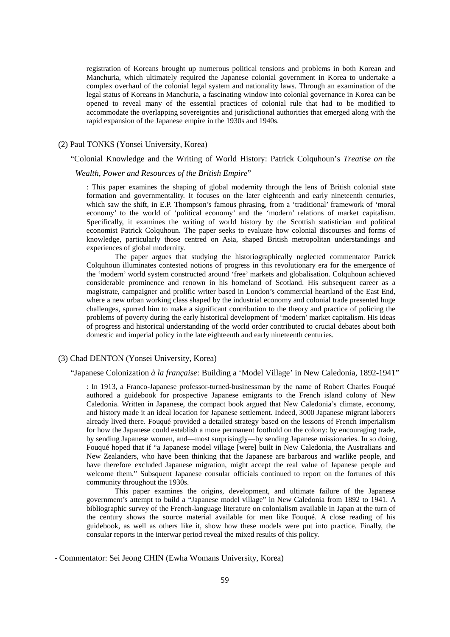registration of Koreans brought up numerous political tensions and problems in both Korean and Manchuria, which ultimately required the Japanese colonial government in Korea to undertake a complex overhaul of the colonial legal system and nationality laws. Through an examination of the legal status of Koreans in Manchuria, a fascinating window into colonial governance in Korea can be opened to reveal many of the essential practices of colonial rule that had to be modified to accommodate the overlapping sovereignties and jurisdictional authorities that emerged along with the rapid expansion of the Japanese empire in the 1930s and 1940s.

# (2) Paul TONKS (Yonsei University, Korea)

## "Colonial Knowledge and the Writing of World History: Patrick Colquhoun's *Treatise on the*

## *Wealth, Power and Resources of the British Empire*"

: This paper examines the shaping of global modernity through the lens of British colonial state formation and governmentality. It focuses on the later eighteenth and early nineteenth centuries, which saw the shift, in E.P. Thompson's famous phrasing, from a 'traditional' framework of 'moral economy' to the world of 'political economy' and the 'modern' relations of market capitalism. Specifically, it examines the writing of world history by the Scottish statistician and political economist Patrick Colquhoun. The paper seeks to evaluate how colonial discourses and forms of knowledge, particularly those centred on Asia, shaped British metropolitan understandings and experiences of global modernity.

The paper argues that studying the historiographically neglected commentator Patrick Colquhoun illuminates contested notions of progress in this revolutionary era for the emergence of the 'modern' world system constructed around 'free' markets and globalisation. Colquhoun achieved considerable prominence and renown in his homeland of Scotland. His subsequent career as a magistrate, campaigner and prolific writer based in London's commercial heartland of the East End, where a new urban working class shaped by the industrial economy and colonial trade presented huge challenges, spurred him to make a significant contribution to the theory and practice of policing the problems of poverty during the early historical development of 'modern' market capitalism. His ideas of progress and historical understanding of the world order contributed to crucial debates about both domestic and imperial policy in the late eighteenth and early nineteenth centuries.

## (3) Chad DENTON (Yonsei University, Korea)

## "Japanese Colonization *à la française*: Building a 'Model Village' in New Caledonia, 1892-1941"

: In 1913, a Franco-Japanese professor-turned-businessman by the name of Robert Charles Fouqué authored a guidebook for prospective Japanese emigrants to the French island colony of New Caledonia. Written in Japanese, the compact book argued that New Caledonia's climate, economy, and history made it an ideal location for Japanese settlement. Indeed, 3000 Japanese migrant laborers already lived there. Fouqué provided a detailed strategy based on the lessons of French imperialism for how the Japanese could establish a more permanent foothold on the colony: by encouraging trade, by sending Japanese women, and—most surprisingly—by sending Japanese missionaries. In so doing, Fouqué hoped that if "a Japanese model village [were] built in New Caledonia, the Australians and New Zealanders, who have been thinking that the Japanese are barbarous and warlike people, and have therefore excluded Japanese migration, might accept the real value of Japanese people and welcome them." Subsquent Japanese consular officials continued to report on the fortunes of this community throughout the 1930s.

This paper examines the origins, development, and ultimate failure of the Japanese government's attempt to build a "Japanese model village" in New Caledonia from 1892 to 1941. A bibliographic survey of the French-language literature on colonialism available in Japan at the turn of the century shows the source material available for men like Fouqué. A close reading of his guidebook, as well as others like it, show how these models were put into practice. Finally, the consular reports in the interwar period reveal the mixed results of this policy.

- Commentator: Sei Jeong CHIN (Ewha Womans University, Korea)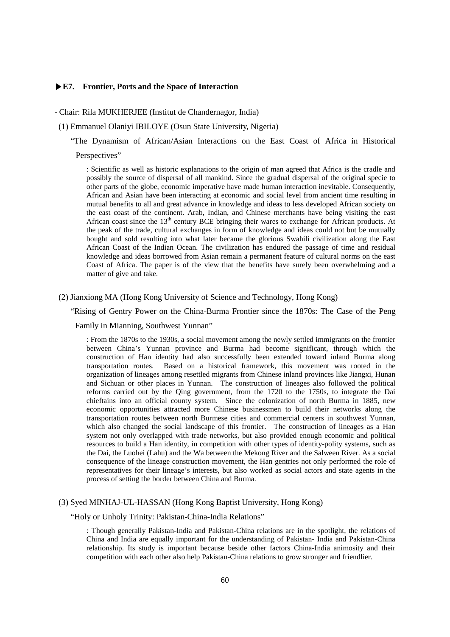## **▶E7. Frontier, Ports and the Space of Interaction**

- Chair: Rila MUKHERJEE (Institut de Chandernagor, India)

(1) Emmanuel Olaniyi IBILOYE (Osun State University, Nigeria)

"The Dynamism of African/Asian Interactions on the East Coast of Africa in Historical

Perspectives"

: Scientific as well as historic explanations to the origin of man agreed that Africa is the cradle and possibly the source of dispersal of all mankind. Since the gradual dispersal of the original specie to other parts of the globe, economic imperative have made human interaction inevitable. Consequently, African and Asian have been interacting at economic and social level from ancient time resulting in mutual benefits to all and great advance in knowledge and ideas to less developed African society on the east coast of the continent. Arab, Indian, and Chinese merchants have being visiting the east African coast since the 13<sup>th</sup> century BCE bringing their wares to exchange for African products. At the peak of the trade, cultural exchanges in form of knowledge and ideas could not but be mutually bought and sold resulting into what later became the glorious Swahili civilization along the East African Coast of the Indian Ocean. The civilization has endured the passage of time and residual knowledge and ideas borrowed from Asian remain a permanent feature of cultural norms on the east Coast of Africa. The paper is of the view that the benefits have surely been overwhelming and a matter of give and take.

(2) Jianxiong MA (Hong Kong University of Science and Technology, Hong Kong)

"Rising of Gentry Power on the China-Burma Frontier since the 1870s: The Case of the Peng

## Family in Mianning, Southwest Yunnan"

: From the 1870s to the 1930s, a social movement among the newly settled immigrants on the frontier between China's Yunnan province and Burma had become significant, through which the construction of Han identity had also successfully been extended toward inland Burma along transportation routes. Based on a historical framework, this movement was rooted in the organization of lineages among resettled migrants from Chinese inland provinces like Jiangxi, Hunan and Sichuan or other places in Yunnan. The construction of lineages also followed the political reforms carried out by the Qing government, from the 1720 to the 1750s, to integrate the Dai chieftains into an official county system. Since the colonization of north Burma in 1885, new economic opportunities attracted more Chinese businessmen to build their networks along the transportation routes between north Burmese cities and commercial centers in southwest Yunnan, which also changed the social landscape of this frontier. The construction of lineages as a Han system not only overlapped with trade networks, but also provided enough economic and political resources to build a Han identity, in competition with other types of identity-polity systems, such as the Dai, the Luohei (Lahu) and the Wa between the Mekong River and the Salween River. As a social consequence of the lineage construction movement, the Han gentries not only performed the role of representatives for their lineage's interests, but also worked as social actors and state agents in the process of setting the border between China and Burma.

#### (3) Syed MINHAJ-UL-HASSAN (Hong Kong Baptist University, Hong Kong)

"Holy or Unholy Trinity: Pakistan-China-India Relations"

: Though generally Pakistan-India and Pakistan-China relations are in the spotlight, the relations of China and India are equally important for the understanding of Pakistan- India and Pakistan-China relationship. Its study is important because beside other factors China-India animosity and their competition with each other also help Pakistan-China relations to grow stronger and friendlier.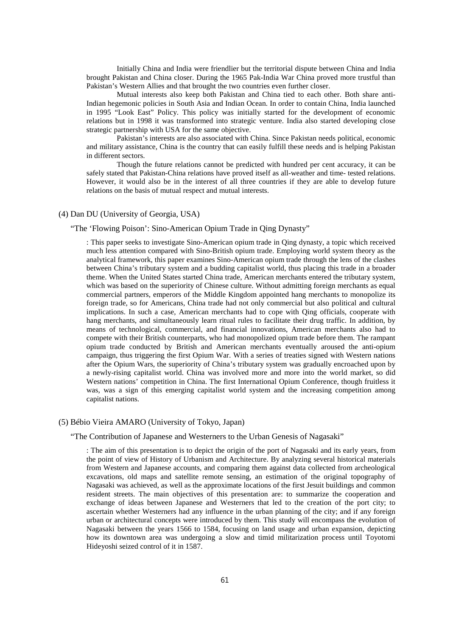Initially China and India were friendlier but the territorial dispute between China and India brought Pakistan and China closer. During the 1965 Pak-India War China proved more trustful than Pakistan's Western Allies and that brought the two countries even further closer.

Mutual interests also keep both Pakistan and China tied to each other. Both share anti-Indian hegemonic policies in South Asia and Indian Ocean. In order to contain China, India launched in 1995 "Look East" Policy. This policy was initially started for the development of economic relations but in 1998 it was transformed into strategic venture. India also started developing close strategic partnership with USA for the same objective.

Pakistan's interests are also associated with China. Since Pakistan needs political, economic and military assistance, China is the country that can easily fulfill these needs and is helping Pakistan in different sectors.

Though the future relations cannot be predicted with hundred per cent accuracy, it can be safely stated that Pakistan-China relations have proved itself as all-weather and time- tested relations. However, it would also be in the interest of all three countries if they are able to develop future relations on the basis of mutual respect and mutual interests.

## (4) Dan DU (University of Georgia, USA)

## "The 'Flowing Poison': Sino-American Opium Trade in Qing Dynasty"

: This paper seeks to investigate Sino-American opium trade in Qing dynasty, a topic which received much less attention compared with Sino-British opium trade. Employing world system theory as the analytical framework, this paper examines Sino-American opium trade through the lens of the clashes between China's tributary system and a budding capitalist world, thus placing this trade in a broader theme. When the United States started China trade, American merchants entered the tributary system, which was based on the superiority of Chinese culture. Without admitting foreign merchants as equal commercial partners, emperors of the Middle Kingdom appointed hang merchants to monopolize its foreign trade, so for Americans, China trade had not only commercial but also political and cultural implications. In such a case, American merchants had to cope with Qing officials, cooperate with hang merchants, and simultaneously learn ritual rules to facilitate their drug traffic. In addition, by means of technological, commercial, and financial innovations, American merchants also had to compete with their British counterparts, who had monopolized opium trade before them. The rampant opium trade conducted by British and American merchants eventually aroused the anti-opium campaign, thus triggering the first Opium War. With a series of treaties signed with Western nations after the Opium Wars, the superiority of China's tributary system was gradually encroached upon by a newly-rising capitalist world. China was involved more and more into the world market, so did Western nations' competition in China. The first International Opium Conference, though fruitless it was, was a sign of this emerging capitalist world system and the increasing competition among capitalist nations.

#### (5) Bébio Vieira AMARO (University of Tokyo, Japan)

#### "The Contribution of Japanese and Westerners to the Urban Genesis of Nagasaki"

: The aim of this presentation is to depict the origin of the port of Nagasaki and its early years, from the point of view of History of Urbanism and Architecture. By analyzing several historical materials from Western and Japanese accounts, and comparing them against data collected from archeological excavations, old maps and satellite remote sensing, an estimation of the original topography of Nagasaki was achieved, as well as the approximate locations of the first Jesuit buildings and common resident streets. The main objectives of this presentation are: to summarize the cooperation and exchange of ideas between Japanese and Westerners that led to the creation of the port city; to ascertain whether Westerners had any influence in the urban planning of the city; and if any foreign urban or architectural concepts were introduced by them. This study will encompass the evolution of Nagasaki between the years 1566 to 1584, focusing on land usage and urban expansion, depicting how its downtown area was undergoing a slow and timid militarization process until Toyotomi Hideyoshi seized control of it in 1587.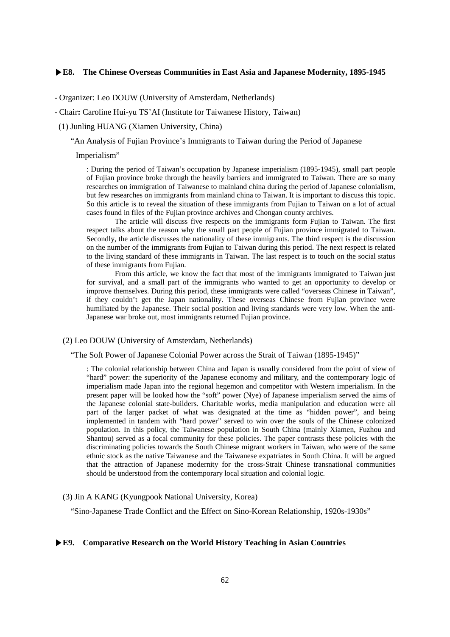## **▶E8. The Chinese Overseas Communities in East Asia and Japanese Modernity, 1895-1945**

- Organizer: Leo DOUW (University of Amsterdam, Netherlands)

- Chair**:** Caroline Hui-yu TS'AI (Institute for Taiwanese History, Taiwan)

(1) Junling HUANG (Xiamen University, China)

"An Analysis of Fujian Province's Immigrants to Taiwan during the Period of Japanese

#### Imperialism"

: During the period of Taiwan's occupation by Japanese imperialism (1895-1945), small part people of Fujian province broke through the heavily barriers and immigrated to Taiwan. There are so many researches on immigration of Taiwanese to mainland china during the period of Japanese colonialism, but few researches on immigrants from mainland china to Taiwan. It is important to discuss this topic. So this article is to reveal the situation of these immigrants from Fujian to Taiwan on a lot of actual cases found in files of the Fujian province archives and Chongan county archives.

The article will discuss five respects on the immigrants form Fujian to Taiwan. The first respect talks about the reason why the small part people of Fujian province immigrated to Taiwan. Secondly, the article discusses the nationality of these immigrants. The third respect is the discussion on the number of the immigrants from Fujian to Taiwan during this period. The next respect is related to the living standard of these immigrants in Taiwan. The last respect is to touch on the social status of these immigrants from Fujian.

From this article, we know the fact that most of the immigrants immigrated to Taiwan just for survival, and a small part of the immigrants who wanted to get an opportunity to develop or improve themselves. During this period, these immigrants were called "overseas Chinese in Taiwan", if they couldn't get the Japan nationality. These overseas Chinese from Fujian province were humiliated by the Japanese. Their social position and living standards were very low. When the anti-Japanese war broke out, most immigrants returned Fujian province.

#### (2) Leo DOUW (University of Amsterdam, Netherlands)

"The Soft Power of Japanese Colonial Power across the Strait of Taiwan (1895-1945)"

: The colonial relationship between China and Japan is usually considered from the point of view of "hard" power: the superiority of the Japanese economy and military, and the contemporary logic of imperialism made Japan into the regional hegemon and competitor with Western imperialism. In the present paper will be looked how the "soft" power (Nye) of Japanese imperialism served the aims of the Japanese colonial state-builders. Charitable works, media manipulation and education were all part of the larger packet of what was designated at the time as "hidden power", and being implemented in tandem with "hard power" served to win over the souls of the Chinese colonized population. In this policy, the Taiwanese population in South China (mainly Xiamen, Fuzhou and Shantou) served as a focal community for these policies. The paper contrasts these policies with the discriminating policies towards the South Chinese migrant workers in Taiwan, who were of the same ethnic stock as the native Taiwanese and the Taiwanese expatriates in South China. It will be argued that the attraction of Japanese modernity for the cross-Strait Chinese transnational communities should be understood from the contemporary local situation and colonial logic.

## (3) Jin A KANG (Kyungpook National University, Korea)

"Sino-Japanese Trade Conflict and the Effect on Sino-Korean Relationship, 1920s-1930s"

#### **▶E9. Comparative Research on the World History Teaching in Asian Countries**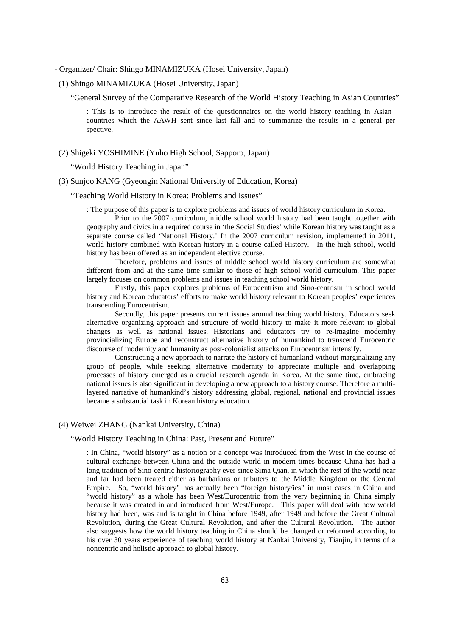- Organizer/ Chair: Shingo MINAMIZUKA (Hosei University, Japan)
- (1) Shingo MINAMIZUKA (Hosei University, Japan)

"General Survey of the Comparative Research of the World History Teaching in Asian Countries"

: This is to introduce the result of the questionnaires on the world history teaching in Asian countries which the AAWH sent since last fall and to summarize the results in a general per spective.

(2) Shigeki YOSHIMINE (Yuho High School, Sapporo, Japan)

"World History Teaching in Japan"

(3) Sunjoo KANG (Gyeongin National University of Education, Korea)

"Teaching World History in Korea: Problems and Issues"

: The purpose of this paper is to explore problems and issues of world history curriculum in Korea.

Prior to the 2007 curriculum, middle school world history had been taught together with geography and civics in a required course in 'the Social Studies' while Korean history was taught as a separate course called 'National History.' In the 2007 curriculum revision, implemented in 2011, world history combined with Korean history in a course called History. In the high school, world history has been offered as an independent elective course.

Therefore, problems and issues of middle school world history curriculum are somewhat different from and at the same time similar to those of high school world curriculum. This paper largely focuses on common problems and issues in teaching school world history.

Firstly, this paper explores problems of Eurocentrism and Sino-centrism in school world history and Korean educators' efforts to make world history relevant to Korean peoples' experiences transcending Eurocentrism.

Secondly, this paper presents current issues around teaching world history. Educators seek alternative organizing approach and structure of world history to make it more relevant to global changes as well as national issues. Historians and educators try to re-imagine modernity provincializing Europe and reconstruct alternative history of humankind to transcend Eurocentric discourse of modernity and humanity as post-colonialist attacks on Eurocentrism intensify.

Constructing a new approach to narrate the history of humankind without marginalizing any group of people, while seeking alternative modernity to appreciate multiple and overlapping processes of history emerged as a crucial research agenda in Korea. At the same time, embracing national issues is also significant in developing a new approach to a history course. Therefore a multilayered narrative of humankind's history addressing global, regional, national and provincial issues became a substantial task in Korean history education.

## (4) Weiwei ZHANG (Nankai University, China)

## "World History Teaching in China: Past, Present and Future"

: In China, "world history" as a notion or a concept was introduced from the West in the course of cultural exchange between China and the outside world in modern times because China has had a long tradition of Sino-centric historiography ever since Sima Qian, in which the rest of the world near and far had been treated either as barbarians or tributers to the Middle Kingdom or the Central Empire. So, "world history" has actually been "foreign history/ies" in most cases in China and "world history" as a whole has been West/Eurocentric from the very beginning in China simply because it was created in and introduced from West/Europe. This paper will deal with how world history had been, was and is taught in China before 1949, after 1949 and before the Great Cultural Revolution, during the Great Cultural Revolution, and after the Cultural Revolution. The author also suggests how the world history teaching in China should be changed or reformed according to his over 30 years experience of teaching world history at Nankai University, Tianjin, in terms of a noncentric and holistic approach to global history.